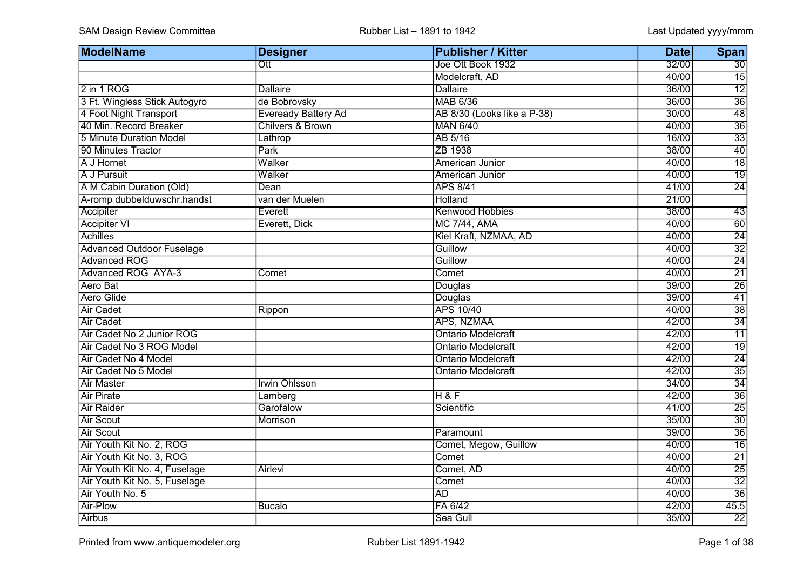| <b>ModelName</b>                 | <b>Designer</b>            | <b>Publisher / Kitter</b>   | <b>Date</b> | Span            |
|----------------------------------|----------------------------|-----------------------------|-------------|-----------------|
|                                  | Ott                        | Joe Ott Book 1932           | 32/00       | 30              |
|                                  |                            | Modelcraft, AD              | 40/00       | $\overline{15}$ |
| 2 in 1 ROG                       | <b>Dallaire</b>            | <b>Dallaire</b>             | 36/00       | $\overline{12}$ |
| 3 Ft. Wingless Stick Autogyro    | de Bobrovsky               | MAB 6/36                    | 36/00       | $\overline{36}$ |
| 4 Foot Night Transport           | <b>Eveready Battery Ad</b> | AB 8/30 (Looks like a P-38) | 30/00       | $\overline{48}$ |
| 40 Min. Record Breaker           | Chilvers & Brown           | MAN 6/40                    | 40/00       | $\overline{36}$ |
| 5 Minute Duration Model          | Lathrop                    | AB 5/16                     | 16/00       | $\overline{33}$ |
| 90 Minutes Tractor               | Park                       | ZB 1938                     | 38/00       | 40              |
| A J Hornet                       | Walker                     | American Junior             | 40/00       | $\overline{18}$ |
| A J Pursuit                      | Walker                     | American Junior             | 40/00       | $\overline{19}$ |
| A M Cabin Duration (Old)         | Dean                       | <b>APS 8/41</b>             | 41/00       | $\overline{24}$ |
| A-romp dubbelduwschr.handst      | van der Muelen             | Holland                     | 21/00       |                 |
| Accipiter                        | Everett                    | <b>Kenwood Hobbies</b>      | 38/00       | 43              |
| <b>Accipiter VI</b>              | Everett, Dick              | <b>MC 7/44, AMA</b>         | 40/00       | 60              |
| Achilles                         |                            | Kiel Kraft, NZMAA, AD       | 40/00       | $\overline{24}$ |
| <b>Advanced Outdoor Fuselage</b> |                            | Guillow                     | 40/00       | $\overline{32}$ |
| Advanced ROG                     |                            | Guillow                     | 40/00       | $\overline{24}$ |
| Advanced ROG AYA-3               | Comet                      | Comet                       | 40/00       | $\overline{21}$ |
| Aero Bat                         |                            | Douglas                     | 39/00       | $\overline{26}$ |
| <b>Aero Glide</b>                |                            | Douglas                     | 39/00       | $\overline{41}$ |
| <b>Air Cadet</b>                 | Rippon                     | <b>APS 10/40</b>            | 40/00       | $\overline{38}$ |
| <b>Air Cadet</b>                 |                            | APS, NZMAA                  | 42/00       | $\overline{34}$ |
| Air Cadet No 2 Junior ROG        |                            | <b>Ontario Modelcraft</b>   | 42/00       | $\overline{11}$ |
| Air Cadet No 3 ROG Model         |                            | <b>Ontario Modelcraft</b>   | 42/00       | $\overline{19}$ |
| Air Cadet No 4 Model             |                            | <b>Ontario Modelcraft</b>   | 42/00       | $\overline{24}$ |
| Air Cadet No 5 Model             |                            | <b>Ontario Modelcraft</b>   | 42/00       | $\overline{35}$ |
| <b>Air Master</b>                | <b>Irwin Ohlsson</b>       |                             | 34/00       | $\overline{34}$ |
| <b>Air Pirate</b>                | Lamberg                    | <b>H&amp;F</b>              | 42/00       | $\overline{36}$ |
| <b>Air Raider</b>                | Garofalow                  | Scientific                  | 41/00       | $\overline{25}$ |
| <b>Air Scout</b>                 | Morrison                   |                             | 35/00       | $\overline{30}$ |
| <b>Air Scout</b>                 |                            | Paramount                   | 39/00       | $\overline{36}$ |
| Air Youth Kit No. 2, ROG         |                            | Comet, Megow, Guillow       | 40/00       | $\overline{16}$ |
| Air Youth Kit No. 3, ROG         |                            | Comet                       | 40/00       | $\overline{21}$ |
| Air Youth Kit No. 4, Fuselage    | <b>Airlevi</b>             | Comet, AD                   | 40/00       | $\overline{25}$ |
| Air Youth Kit No. 5, Fuselage    |                            | Comet                       | 40/00       | $\overline{32}$ |
| Air Youth No. 5                  |                            | <b>AD</b>                   | 40/00       | $\overline{36}$ |
| Air-Plow                         | <b>Bucalo</b>              | FA 6/42                     | 42/00       | 45.5            |
| Airbus                           |                            | Sea Gull                    | 35/00       | $\overline{22}$ |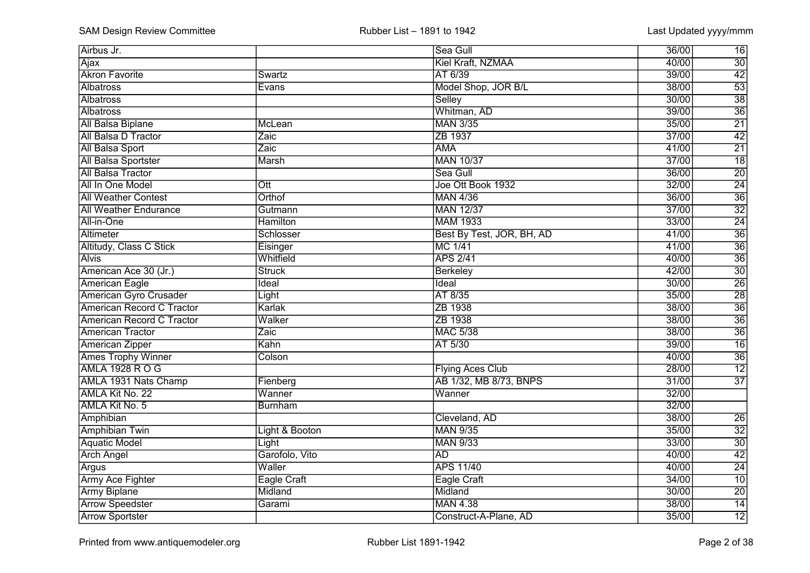| Airbus Jr.                   |                 | Sea Gull                  | 36/00<br>16              |
|------------------------------|-----------------|---------------------------|--------------------------|
| Ajax                         |                 | Kiel Kraft, NZMAA         | $\overline{30}$<br>40/00 |
| <b>Akron Favorite</b>        | Swartz          | AT 6/39                   | $\overline{42}$<br>39/00 |
| Albatross                    | Evans           | Model Shop, JOR B/L       | $\overline{53}$<br>38/00 |
| Albatross                    |                 | Selley                    | $\overline{38}$<br>30/00 |
| <b>Albatross</b>             |                 | Whitman, AD               | $\overline{36}$<br>39/00 |
| <b>All Balsa Biplane</b>     | McLean          | <b>MAN 3/35</b>           | $\overline{21}$<br>35/00 |
| <b>All Balsa D Tractor</b>   | Zaic            | ZB 1937                   | $\overline{42}$<br>37/00 |
| <b>All Balsa Sport</b>       | Zaic            | <b>AMA</b>                | $\overline{21}$<br>41/00 |
| All Balsa Sportster          | <b>Marsh</b>    | <b>MAN 10/37</b>          | $\overline{18}$<br>37/00 |
| <b>All Balsa Tractor</b>     |                 | Sea Gull                  | $\overline{20}$<br>36/00 |
| All In One Model             | Ott             | Joe Ott Book 1932         | $\overline{24}$<br>32/00 |
| <b>All Weather Contest</b>   | Orthof          | <b>MAN 4/36</b>           | $\overline{36}$<br>36/00 |
| <b>All Weather Endurance</b> | Gutmann         | <b>MAN 12/37</b>          | $\overline{32}$<br>37/00 |
| All-in-One                   | <b>Hamilton</b> | <b>MAM 1933</b>           | $\overline{24}$<br>33/00 |
| Altimeter                    | Schlosser       | Best By Test, JOR, BH, AD | $\overline{36}$<br>41/00 |
| Altitudy, Class C Stick      | Eisinger        | MC 1/41                   | $\overline{36}$<br>41/00 |
| <b>Alvis</b>                 | Whitfield       | <b>APS 2/41</b>           | $\overline{36}$<br>40/00 |
| American Ace 30 (Jr.)        | <b>Struck</b>   | Berkeley                  | $\frac{30}{26}$<br>42/00 |
| <b>American Eagle</b>        | Ideal           | Ideal                     | 30/00                    |
| American Gyro Crusader       | Light           | AT 8/35                   | $\overline{28}$<br>35/00 |
| American Record C Tractor    | Karlak          | ZB 1938                   | $\overline{36}$<br>38/00 |
| American Record C Tractor    | Walker          | ZB 1938                   | $\overline{36}$<br>38/00 |
| <b>American Tractor</b>      | Zaic            | <b>MAC 5/38</b>           | $\overline{36}$<br>38/00 |
| <b>American Zipper</b>       | Kahn            | AT 5/30                   | $\overline{16}$<br>39/00 |
| <b>Ames Trophy Winner</b>    | Colson          |                           | $\overline{36}$<br>40/00 |
| AMLA 1928 ROG                |                 | <b>Flying Aces Club</b>   | $\overline{12}$<br>28/00 |
| AMLA 1931 Nats Champ         | Fienberg        | AB 1/32, MB 8/73, BNPS    | $\overline{37}$<br>31/00 |
| AMLA Kit No. 22              | Wanner          | Wanner                    | 32/00                    |
| AMLA Kit No. 5               | <b>Burnham</b>  |                           | 32/00                    |
| Amphibian                    |                 | Cleveland, AD             | 38/00<br>$\overline{26}$ |
| <b>Amphibian Twin</b>        | Light & Booton  | <b>MAN 9/35</b>           | $\overline{32}$<br>35/00 |
| <b>Aquatic Model</b>         | Light           | <b>MAN 9/33</b>           | $\overline{30}$<br>33/00 |
| <b>Arch Angel</b>            | Garofolo, Vito  | <b>AD</b>                 | $\overline{42}$<br>40/00 |
| Argus                        | Waller          | <b>APS 11/40</b>          | $\overline{24}$<br>40/00 |
| <b>Army Ace Fighter</b>      | Eagle Craft     | <b>Eagle Craft</b>        | $\overline{10}$<br>34/00 |
| <b>Army Biplane</b>          | Midland         | Midland                   | $\overline{20}$<br>30/00 |
| <b>Arrow Speedster</b>       | Garami          | <b>MAN 4.38</b>           | 14<br>38/00              |
| <b>Arrow Sportster</b>       |                 | Construct-A-Plane, AD     | $\overline{12}$<br>35/00 |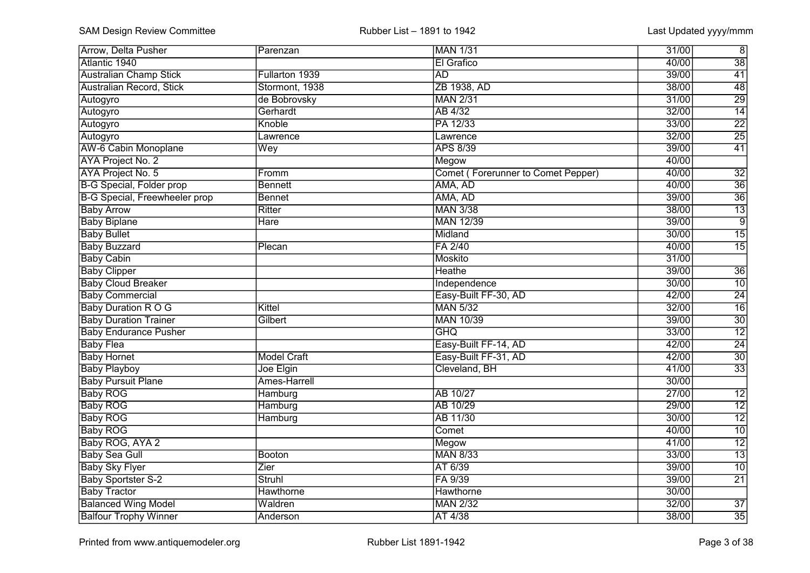| <b>Arrow, Delta Pusher</b>           | Parenzan           | <b>MAN 1/31</b>                           | 31/00 | $\infty$        |
|--------------------------------------|--------------------|-------------------------------------------|-------|-----------------|
| Atlantic 1940                        |                    | El Grafico                                | 40/00 | $\overline{38}$ |
| <b>Australian Champ Stick</b>        | Fullarton 1939     | <b>AD</b>                                 | 39/00 | 41              |
| Australian Record, Stick             | Stormont, 1938     | ZB 1938, AD                               | 38/00 | $\overline{48}$ |
| Autogyro                             | de Bobrovsky       | <b>MAN 2/31</b>                           | 31/00 | 29              |
| Autogyro                             | Gerhardt           | AB 4/32                                   | 32/00 | $\overline{14}$ |
| Autogyro                             | Knoble             | PA 12/33                                  | 33/00 | $\overline{22}$ |
| Autogyro                             | Lawrence           | Lawrence                                  | 32/00 | $\overline{25}$ |
| <b>AW-6 Cabin Monoplane</b>          | Wey                | <b>APS 8/39</b>                           | 39/00 | $\overline{41}$ |
| AYA Project No. 2                    |                    | Megow                                     | 40/00 |                 |
| <b>AYA Project No. 5</b>             | Fromm              | <b>Comet (Forerunner to Comet Pepper)</b> | 40/00 | $\overline{32}$ |
| <b>B-G Special, Folder prop</b>      | Bennett            | AMA, AD                                   | 40/00 | $\overline{36}$ |
| <b>B-G Special, Freewheeler prop</b> | <b>Bennet</b>      | AMA, AD                                   | 39/00 | $\overline{36}$ |
| <b>Baby Arrow</b>                    | Ritter             | <b>MAN 3/38</b>                           | 38/00 | $\overline{13}$ |
| <b>Baby Biplane</b>                  | <b>Hare</b>        | <b>MAN 12/39</b>                          | 39/00 | $\overline{9}$  |
| <b>Baby Bullet</b>                   |                    | Midland                                   | 30/00 | $\overline{15}$ |
| <b>Baby Buzzard</b>                  | Plecan             | FA 2/40                                   | 40/00 | 15              |
| <b>Baby Cabin</b>                    |                    | Moskito                                   | 31/00 |                 |
| <b>Baby Clipper</b>                  |                    | Heathe                                    | 39/00 | 36              |
| <b>Baby Cloud Breaker</b>            |                    | Independence                              | 30/00 | 10              |
| <b>Baby Commercial</b>               |                    | Easy-Built FF-30, AD                      | 42/00 | $\overline{24}$ |
| <b>Baby Duration R O G</b>           | Kittel             | <b>MAN 5/32</b>                           | 32/00 | $\overline{16}$ |
| <b>Baby Duration Trainer</b>         | Gilbert            | <b>MAN 10/39</b>                          | 39/00 | $\overline{30}$ |
| <b>Baby Endurance Pusher</b>         |                    | <b>GHQ</b>                                | 33/00 | $\overline{12}$ |
| <b>Baby Flea</b>                     |                    | Easy-Built FF-14, AD                      | 42/00 | $\overline{24}$ |
| <b>Baby Hornet</b>                   | <b>Model Craft</b> | Easy-Built FF-31, AD                      | 42/00 | $\overline{30}$ |
| <b>Baby Playboy</b>                  | Joe Elgin          | Cleveland, BH                             | 41/00 | $\overline{33}$ |
| <b>Baby Pursuit Plane</b>            | Ames-Harrell       |                                           | 30/00 |                 |
| <b>Baby ROG</b>                      | Hamburg            | AB 10/27                                  | 27/00 | $\overline{12}$ |
| <b>Baby ROG</b>                      | Hamburg            | AB 10/29                                  | 29/00 | $\overline{12}$ |
| <b>Baby ROG</b>                      | Hamburg            | AB 11/30                                  | 30/00 | $\overline{12}$ |
| <b>Baby ROG</b>                      |                    | Comet                                     | 40/00 | $\overline{10}$ |
| Baby ROG, AYA 2                      |                    | Megow                                     | 41/00 | $\overline{12}$ |
| <b>Baby Sea Gull</b>                 | Booton             | <b>MAN 8/33</b>                           | 33/00 | $\overline{13}$ |
| <b>Baby Sky Flyer</b>                | Zier               | AT 6/39                                   | 39/00 | $\overline{10}$ |
| <b>Baby Sportster S-2</b>            | <b>Struhl</b>      | FA 9/39                                   | 39/00 | $\overline{21}$ |
| <b>Baby Tractor</b>                  | Hawthorne          | <b>Hawthorne</b>                          | 30/00 |                 |
| <b>Balanced Wing Model</b>           | Waldren            | <b>MAN 2/32</b>                           | 32/00 | $\overline{37}$ |
| <b>Balfour Trophy Winner</b>         | Anderson           | AT 4/38                                   | 38/00 | 35              |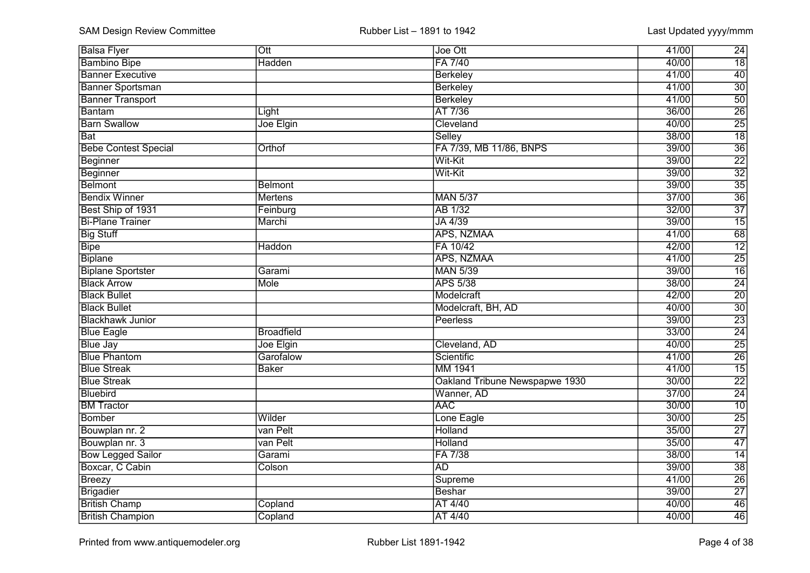| <b>Balsa Flyer</b>          | $\overline{Ott}$  | Joe Ott                        | 41/00 | $\overline{24}$ |
|-----------------------------|-------------------|--------------------------------|-------|-----------------|
| <b>Bambino Bipe</b>         | Hadden            | FA 7/40                        | 40/00 | $\overline{18}$ |
| <b>Banner Executive</b>     |                   | <b>Berkeley</b>                | 41/00 | $\overline{40}$ |
| <b>Banner Sportsman</b>     |                   | Berkeley                       | 41/00 | $\overline{30}$ |
| <b>Banner Transport</b>     |                   | <b>Berkeley</b>                | 41/00 | 50              |
| Bantam                      | Light             | AT 7/36                        | 36/00 | $\overline{26}$ |
| <b>Barn Swallow</b>         | Joe Elgin         | Cleveland                      | 40/00 | $\overline{25}$ |
| <b>Bat</b>                  |                   | <b>Selley</b>                  | 38/00 | $\overline{18}$ |
| <b>Bebe Contest Special</b> | Orthof            | FA 7/39, MB 11/86, BNPS        | 39/00 | $\overline{36}$ |
| Beginner                    |                   | Wit-Kit                        | 39/00 | $\overline{22}$ |
| Beginner                    |                   | Wit-Kit                        | 39/00 | $\overline{32}$ |
| <b>Belmont</b>              | <b>Belmont</b>    |                                | 39/00 | $\overline{35}$ |
| <b>Bendix Winner</b>        | <b>Mertens</b>    | <b>MAN 5/37</b>                | 37/00 | $\overline{36}$ |
| Best Ship of 1931           | Feinburg          | AB 1/32                        | 32/00 | $\overline{37}$ |
| <b>Bi-Plane Trainer</b>     | Marchi            | JA 4/39                        | 39/00 | $\overline{15}$ |
| <b>Big Stuff</b>            |                   | APS, NZMAA                     | 41/00 | 68              |
| <b>Bipe</b>                 | Haddon            | FA 10/42                       | 42/00 | $\overline{12}$ |
| <b>Biplane</b>              |                   | APS, NZMAA                     | 41/00 | $\frac{25}{16}$ |
| <b>Biplane Sportster</b>    | Garami            | <b>MAN 5/39</b>                | 39/00 |                 |
| <b>Black Arrow</b>          | Mole              | <b>APS 5/38</b>                | 38/00 | 24              |
| <b>Black Bullet</b>         |                   | Modelcraft                     | 42/00 | $\overline{20}$ |
| <b>Black Bullet</b>         |                   | Modelcraft, BH, AD             | 40/00 | $\overline{30}$ |
| <b>Blackhawk Junior</b>     |                   | Peerless                       | 39/00 | $\overline{23}$ |
| <b>Blue Eagle</b>           | <b>Broadfield</b> |                                | 33/00 | $\frac{24}{25}$ |
| <b>Blue Jay</b>             | Joe Elgin         | Cleveland, AD                  | 40/00 |                 |
| <b>Blue Phantom</b>         | Garofalow         | Scientific                     | 41/00 | $\overline{26}$ |
| <b>Blue Streak</b>          | <b>Baker</b>      | MM 1941                        | 41/00 | $\overline{15}$ |
| <b>Blue Streak</b>          |                   | Oakland Tribune Newspapwe 1930 | 30/00 | $\overline{22}$ |
| Bluebird                    |                   | Wanner, AD                     | 37/00 | $\overline{24}$ |
| <b>BM Tractor</b>           |                   | <b>AAC</b>                     | 30/00 | $\overline{10}$ |
| Bomber                      | Wilder            | Lone Eagle                     | 30/00 | $\overline{25}$ |
| Bouwplan nr. 2              | van Pelt          | Holland                        | 35/00 | $\overline{27}$ |
| Bouwplan nr. 3              | van Pelt          | Holland                        | 35/00 | $\overline{47}$ |
| <b>Bow Legged Sailor</b>    | Garami            | FA 7/38                        | 38/00 | $\overline{14}$ |
| Boxcar, C Cabin             | Colson            | <b>AD</b>                      | 39/00 | $\overline{38}$ |
| <b>Breezy</b>               |                   | Supreme                        | 41/00 | $\overline{26}$ |
| Brigadier                   |                   | Beshar                         | 39/00 | $\overline{27}$ |
| <b>British Champ</b>        | Copland           | AT 4/40                        | 40/00 | 46              |
| <b>British Champion</b>     | Copland           | AT 4/40                        | 40/00 | 46              |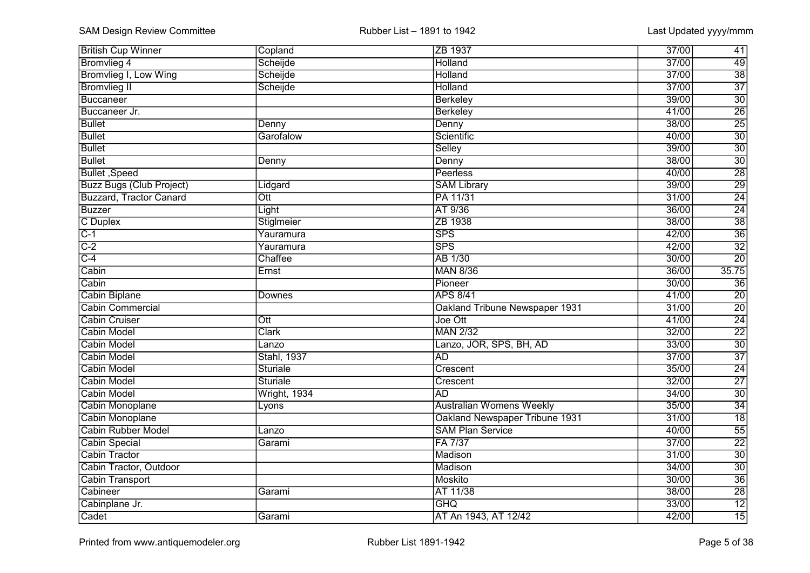| <b>British Cup Winner</b>       | Copland                 | ZB 1937                         | 37/00 | 41              |
|---------------------------------|-------------------------|---------------------------------|-------|-----------------|
| <b>Bromvlieg 4</b>              | Scheijde                | Holland                         | 37/00 | 49              |
| Bromvlieg I, Low Wing           | Scheijde                | Holland                         | 37/00 | $\overline{38}$ |
| <b>Bromvlieg II</b>             | Scheijde                | Holland                         | 37/00 | $\overline{37}$ |
| Buccaneer                       |                         | <b>Berkeley</b>                 | 39/00 | $\overline{30}$ |
| Buccaneer Jr.                   |                         | <b>Berkeley</b>                 | 41/00 | $\overline{26}$ |
| <b>Bullet</b>                   | Denny                   | Denny                           | 38/00 | $\overline{25}$ |
| <b>Bullet</b>                   | Garofalow               | Scientific                      | 40/00 | $\overline{30}$ |
| <b>Bullet</b>                   |                         | Selley                          | 39/00 | $\overline{30}$ |
| <b>Bullet</b>                   | Denny                   | Denny                           | 38/00 | $\overline{30}$ |
| Bullet, Speed                   |                         | Peerless                        | 40/00 | $\overline{28}$ |
| <b>Buzz Bugs (Club Project)</b> | Lidgard                 | <b>SAM Library</b>              | 39/00 | $\overline{29}$ |
| <b>Buzzard, Tractor Canard</b>  | $\overline{\text{Ott}}$ | PA 11/31                        | 31/00 | $\overline{24}$ |
| <b>Buzzer</b>                   | Light                   | AT 9/36                         | 36/00 | $\overline{24}$ |
| C Duplex                        | Stiglmeier              | ZB 1938                         | 38/00 | $\overline{38}$ |
| $C-1$                           | Yauramura               | <b>SPS</b>                      | 42/00 | $\overline{36}$ |
| $C-2$                           | Yauramura               | <b>SPS</b>                      | 42/00 | $\overline{32}$ |
| $C-4$                           | Chaffee                 | AB 1/30                         | 30/00 | $\overline{20}$ |
| Cabin                           | Ernst                   | <b>MAN 8/36</b>                 | 36/00 | 35.75           |
| Cabin                           |                         | Pioneer                         | 30/00 | 36              |
| <b>Cabin Biplane</b>            | Downes                  | <b>APS 8/41</b>                 | 41/00 | $\overline{20}$ |
| <b>Cabin Commercial</b>         |                         | Oakland Tribune Newspaper 1931  | 31/00 | $\overline{20}$ |
| <b>Cabin Cruiser</b>            | $\overline{\text{Ott}}$ | Joe Ott                         | 41/00 | $\overline{24}$ |
| <b>Cabin Model</b>              | <b>Clark</b>            | <b>MAN 2/32</b>                 | 32/00 | $\overline{22}$ |
| <b>Cabin Model</b>              | Lanzo                   | Lanzo, JOR, SPS, BH, AD         | 33/00 | $\overline{30}$ |
| <b>Cabin Model</b>              | <b>Stahl, 1937</b>      | $\overline{AD}$                 | 37/00 | $\overline{37}$ |
| <b>Cabin Model</b>              | <b>Sturiale</b>         | Crescent                        | 35/00 | $\overline{24}$ |
| <b>Cabin Model</b>              | <b>Sturiale</b>         | Crescent                        | 32/00 | $\overline{27}$ |
| Cabin Model                     | Wright, 1934            | <b>AD</b>                       | 34/00 | $\overline{30}$ |
| Cabin Monoplane                 | Lyons                   | <b>Australian Womens Weekly</b> | 35/00 | $\overline{34}$ |
| Cabin Monoplane                 |                         | Oakland Newspaper Tribune 1931  | 31/00 | $\overline{18}$ |
| <b>Cabin Rubber Model</b>       | Lanzo                   | <b>SAM Plan Service</b>         | 40/00 | $\overline{55}$ |
| Cabin Special                   | Garami                  | FA 7/37                         | 37/00 | $\overline{22}$ |
| <b>Cabin Tractor</b>            |                         | Madison                         | 31/00 | $\overline{30}$ |
| Cabin Tractor, Outdoor          |                         | Madison                         | 34/00 | $\overline{30}$ |
| <b>Cabin Transport</b>          |                         | Moskito                         | 30/00 | $\overline{36}$ |
| Cabineer                        | Garami                  | AT 11/38                        | 38/00 | $\overline{28}$ |
| Cabinplane Jr.                  |                         | <b>GHQ</b>                      | 33/00 | $\overline{12}$ |
| Cadet                           | Garami                  | AT An 1943, AT 12/42            | 42/00 | 15              |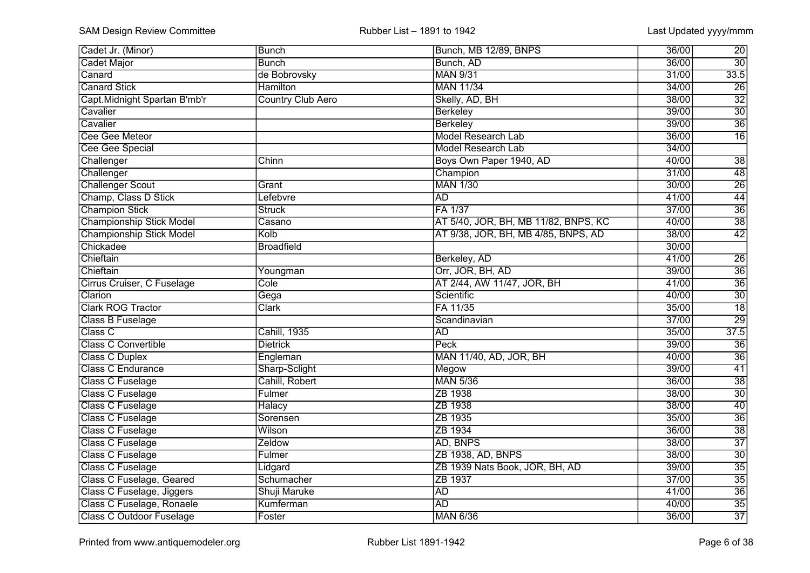| Cadet Jr. (Minor)               | <b>Bunch</b>             | Bunch, MB 12/89, BNPS                | 36/00 | 20              |
|---------------------------------|--------------------------|--------------------------------------|-------|-----------------|
| <b>Cadet Major</b>              | <b>Bunch</b>             | Bunch, AD                            | 36/00 | $\overline{30}$ |
| Canard                          | de Bobrovsky             | <b>MAN 9/31</b>                      | 31/00 | 33.5            |
| <b>Canard Stick</b>             | <b>Hamilton</b>          | <b>MAN 11/34</b>                     | 34/00 | $\overline{26}$ |
| Capt. Midnight Spartan B'mb'r   | <b>Country Club Aero</b> | Skelly, AD, BH                       | 38/00 | $\overline{32}$ |
| Cavalier                        |                          | <b>Berkeley</b>                      | 39/00 | $\overline{30}$ |
| Cavalier                        |                          | <b>Berkeley</b>                      | 39/00 | $\overline{36}$ |
| Cee Gee Meteor                  |                          | <b>Model Research Lab</b>            | 36/00 | $\overline{16}$ |
| Cee Gee Special                 |                          | <b>Model Research Lab</b>            | 34/00 |                 |
| Challenger                      | Chinn                    | Boys Own Paper 1940, AD              | 40/00 | $\overline{38}$ |
| Challenger                      |                          | Champion                             | 31/00 | 48              |
| <b>Challenger Scout</b>         | Grant                    | <b>MAN 1/30</b>                      | 30/00 | $\overline{26}$ |
| Champ, Class D Stick            | Lefebvre                 | AD                                   | 41/00 | 44              |
| <b>Champion Stick</b>           | <b>Struck</b>            | FA 1/37                              | 37/00 | $\overline{36}$ |
| <b>Championship Stick Model</b> | Casano                   | AT 5/40, JOR, BH, MB 11/82, BNPS, KC | 40/00 | $\overline{38}$ |
| <b>Championship Stick Model</b> | Kolb                     | AT 9/38, JOR, BH, MB 4/85, BNPS, AD  | 38/00 | 42              |
| Chickadee                       | <b>Broadfield</b>        |                                      | 30/00 |                 |
| Chieftain                       |                          | Berkeley, AD                         | 41/00 | 26              |
| Chieftain                       | Youngman                 | Orr, JOR, BH, AD                     | 39/00 | 36              |
| Cirrus Cruiser, C Fuselage      | Cole                     | AT 2/44, AW 11/47, JOR, BH           | 41/00 | $\overline{36}$ |
| Clarion                         | Gega                     | Scientific                           | 40/00 | $\overline{30}$ |
| <b>Clark ROG Tractor</b>        | <b>Clark</b>             | FA 11/35                             | 35/00 | $\overline{18}$ |
| Class B Fuselage                |                          | Scandinavian                         | 37/00 | 29              |
| Class C                         | <b>Cahill</b> , 1935     | <b>AD</b>                            | 35/00 | 37.5            |
| <b>Class C Convertible</b>      | <b>Dietrick</b>          | Peck                                 | 39/00 | $\overline{36}$ |
| <b>Class C Duplex</b>           | Engleman                 | MAN 11/40, AD, JOR, BH               | 40/00 | $\overline{36}$ |
| Class C Endurance               | Sharp-Sclight            | Megow                                | 39/00 | $\overline{41}$ |
| Class C Fuselage                | Cahill, Robert           | <b>MAN 5/36</b>                      | 36/00 | $\overline{38}$ |
| Class C Fuselage                | Fulmer                   | ZB 1938                              | 38/00 | $\overline{30}$ |
| Class C Fuselage                | <b>Halacy</b>            | ZB 1938                              | 38/00 | $\overline{40}$ |
| <b>Class C Fuselage</b>         | Sorensen                 | ZB 1935                              | 35/00 | $\overline{36}$ |
| <b>Class C Fuselage</b>         | Wilson                   | ZB 1934                              | 36/00 | $\overline{38}$ |
| <b>Class C Fuselage</b>         | Zeldow                   | AD, BNPS                             | 38/00 | $\overline{37}$ |
| <b>Class C Fuselage</b>         | Fulmer                   | ZB 1938, AD, BNPS                    | 38/00 | $\overline{30}$ |
| <b>Class C Fuselage</b>         | Lidgard                  | ZB 1939 Nats Book, JOR, BH, AD       | 39/00 | $\overline{35}$ |
| Class C Fuselage, Geared        | Schumacher               | ZB 1937                              | 37/00 | $\overline{35}$ |
| Class C Fuselage, Jiggers       | Shuji Maruke             | <b>AD</b>                            | 41/00 | $\overline{36}$ |
| Class C Fuselage, Ronaele       | Kumferman                | <b>AD</b>                            | 40/00 | 35              |
| <b>Class C Outdoor Fuselage</b> | Foster                   | <b>MAN 6/36</b>                      | 36/00 | $\overline{37}$ |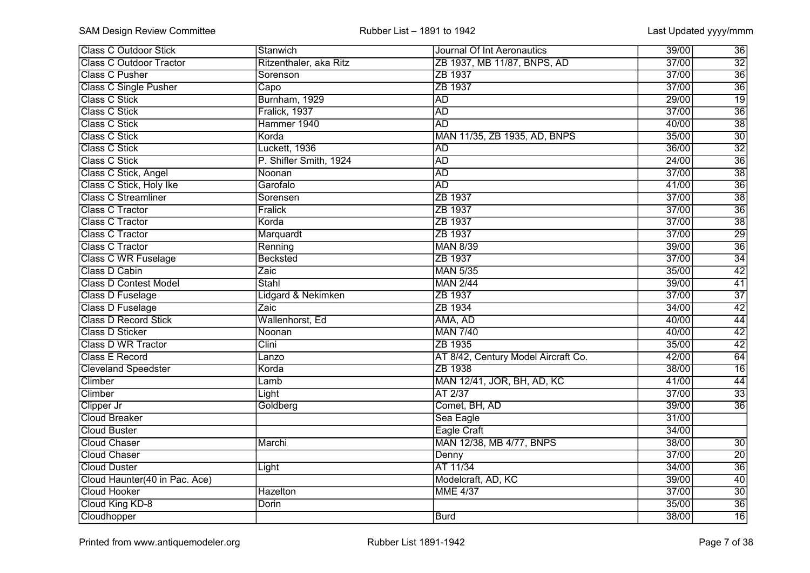| <b>Class C Outdoor Stick</b>   | Stanwich               | Journal Of Int Aeronautics          | 36<br>39/00              |
|--------------------------------|------------------------|-------------------------------------|--------------------------|
| <b>Class C Outdoor Tractor</b> | Ritzenthaler, aka Ritz | ZB 1937, MB 11/87, BNPS, AD         | $\overline{32}$<br>37/00 |
| <b>Class C Pusher</b>          | Sorenson               | ZB 1937                             | $\overline{36}$<br>37/00 |
| <b>Class C Single Pusher</b>   | Capo                   | ZB 1937                             | $\overline{36}$<br>37/00 |
| Class C Stick                  | Burnham, 1929          | <b>AD</b>                           | $\overline{19}$<br>29/00 |
| <b>Class C Stick</b>           | Fralick, 1937          | <b>AD</b>                           | $\overline{36}$<br>37/00 |
| <b>Class C Stick</b>           | Hammer 1940            | <b>AD</b>                           | $\overline{38}$<br>40/00 |
| <b>Class C Stick</b>           | Korda                  | MAN 11/35, ZB 1935, AD, BNPS        | $\overline{30}$<br>35/00 |
| <b>Class C Stick</b>           | Luckett, 1936          | <b>AD</b>                           | $\overline{32}$<br>36/00 |
| <b>Class C Stick</b>           | P. Shifler Smith, 1924 | <b>AD</b>                           | $\overline{36}$<br>24/00 |
| Class C Stick, Angel           | Noonan                 | <b>AD</b>                           | $\overline{38}$<br>37/00 |
| Class C Stick, Holy Ike        | Garofalo               | <b>AD</b>                           | $\overline{36}$<br>41/00 |
| <b>Class C Streamliner</b>     | Sorensen               | ZB 1937                             | $\overline{38}$<br>37/00 |
| <b>Class C Tractor</b>         | <b>Fralick</b>         | ZB 1937                             | $\overline{36}$<br>37/00 |
| <b>Class C Tractor</b>         | Korda                  | ZB 1937                             | $\overline{38}$<br>37/00 |
| <b>Class C Tractor</b>         | Marquardt              | ZB 1937                             | $\overline{29}$<br>37/00 |
| <b>Class C Tractor</b>         | Renning                | <b>MAN 8/39</b>                     | $\overline{36}$<br>39/00 |
| <b>Class C WR Fuselage</b>     | <b>Becksted</b>        | ZB 1937                             | 34<br>37/00              |
| Class D Cabin                  | Zaic                   | <b>MAN 5/35</b>                     | 42<br>35/00              |
| <b>Class D Contest Model</b>   | <b>Stahl</b>           | <b>MAN 2/44</b>                     | 41<br>39/00              |
| Class D Fuselage               | Lidgard & Nekimken     | ZB 1937                             | $\overline{37}$<br>37/00 |
| Class D Fuselage               | Zaic                   | ZB 1934                             | $\overline{42}$<br>34/00 |
| <b>Class D Record Stick</b>    | Wallenhorst, Ed        | AMA, AD                             | 44<br>40/00              |
| <b>Class D Sticker</b>         | Noonan                 | <b>MAN 7/40</b>                     | $\overline{42}$<br>40/00 |
| <b>Class D WR Tractor</b>      | Clini                  | ZB 1935                             | $\overline{42}$<br>35/00 |
| <b>Class E Record</b>          | Lanzo                  | AT 8/42, Century Model Aircraft Co. | 64<br>42/00              |
| <b>Cleveland Speedster</b>     | Korda                  | ZB 1938                             | $\overline{16}$<br>38/00 |
| Climber                        | Lamb                   | MAN 12/41, JOR, BH, AD, KC          | 41/00<br>$\overline{44}$ |
| Climber                        | Light                  | AT 2/37                             | $\overline{33}$<br>37/00 |
| Clipper Jr                     | Goldberg               | Comet, BH, AD                       | $\overline{36}$<br>39/00 |
| <b>Cloud Breaker</b>           |                        | Sea Eagle                           | 31/00                    |
| <b>Cloud Buster</b>            |                        | Eagle Craft                         | 34/00                    |
| <b>Cloud Chaser</b>            | Marchi                 | MAN 12/38, MB 4/77, BNPS            | 38/00<br>$\overline{30}$ |
| <b>Cloud Chaser</b>            |                        | Denny                               | $\overline{20}$<br>37/00 |
| <b>Cloud Duster</b>            | Light                  | AT 11/34                            | $\overline{36}$<br>34/00 |
| Cloud Haunter(40 in Pac. Ace)  |                        | Modelcraft, AD, KC                  | 40<br>39/00              |
| <b>Cloud Hooker</b>            | <b>Hazelton</b>        | <b>MME 4/37</b>                     | $\overline{30}$<br>37/00 |
| Cloud King KD-8                | <b>Dorin</b>           |                                     | $\overline{36}$<br>35/00 |
| Cloudhopper                    |                        | <b>Burd</b>                         | 16<br>38/00              |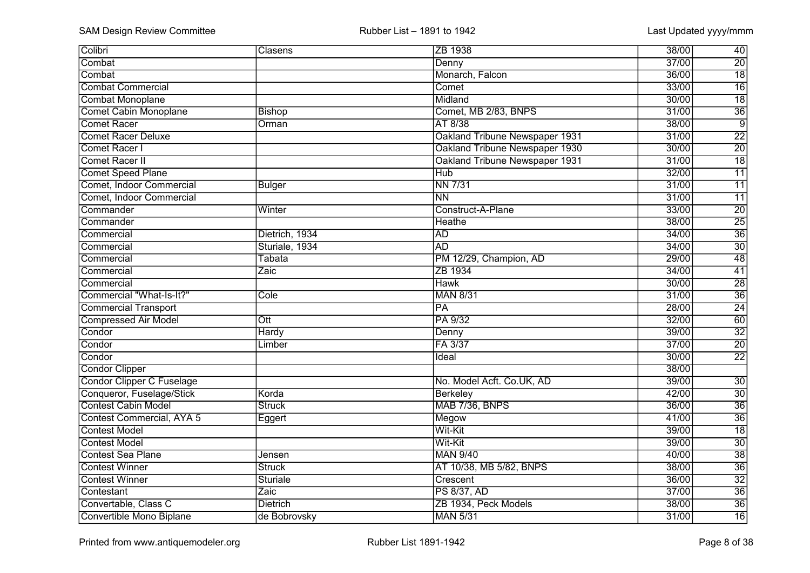| Colibri                          | Clasens          | ZB 1938                        | 38/00<br>40              |
|----------------------------------|------------------|--------------------------------|--------------------------|
| Combat                           |                  | Denny                          | $\overline{20}$<br>37/00 |
| Combat                           |                  | Monarch, Falcon                | $\overline{18}$<br>36/00 |
| <b>Combat Commercial</b>         |                  | Comet                          | $\overline{16}$<br>33/00 |
| <b>Combat Monoplane</b>          |                  | Midland                        | $\overline{18}$<br>30/00 |
| <b>Comet Cabin Monoplane</b>     | <b>Bishop</b>    | Comet, MB 2/83, BNPS           | $\overline{36}$<br>31/00 |
| Comet Racer                      | Orman            | AT 8/38                        | $\overline{9}$<br>38/00  |
| <b>Comet Racer Deluxe</b>        |                  | Oakland Tribune Newspaper 1931 | $\overline{22}$<br>31/00 |
| Comet Racer I                    |                  | Oakland Tribune Newspaper 1930 | $\overline{20}$<br>30/00 |
| Comet Racer II                   |                  | Oakland Tribune Newspaper 1931 | $\overline{18}$<br>31/00 |
| <b>Comet Speed Plane</b>         |                  | <b>Hub</b>                     | 32/00<br>$\overline{11}$ |
| Comet, Indoor Commercial         | <b>Bulger</b>    | <b>NN 7/31</b>                 | $\overline{11}$<br>31/00 |
| Comet, Indoor Commercial         |                  | $\overline{NN}$                | 31/00<br>$\overline{11}$ |
| Commander                        | Winter           | Construct-A-Plane              | $\overline{20}$<br>33/00 |
| Commander                        |                  | <b>Heathe</b>                  | $\overline{25}$<br>38/00 |
| Commercial                       | Dietrich, 1934   | <b>AD</b>                      | $\overline{36}$<br>34/00 |
| Commercial                       | Sturiale, 1934   | <b>AD</b>                      | $\overline{30}$<br>34/00 |
| Commercial                       | Tabata           | PM 12/29, Champion, AD         | 48<br>29/00              |
| Commercial                       | Zaic             | ZB 1934                        | 34/00<br>41              |
| Commercial                       |                  | <b>Hawk</b>                    | $\overline{28}$<br>30/00 |
| Commercial "What-Is-It?"         | Cole             | <b>MAN 8/31</b>                | $\overline{36}$<br>31/00 |
| <b>Commercial Transport</b>      |                  | $\overline{PA}$                | $\overline{24}$<br>28/00 |
| <b>Compressed Air Model</b>      | $\overline{Ott}$ | PA 9/32                        | 60<br>32/00              |
| Condor                           | <b>Hardy</b>     | Denny                          | $\overline{32}$<br>39/00 |
| Condor                           | Limber           | FA 3/37                        | $\overline{20}$<br>37/00 |
| Condor                           |                  | Ideal                          | $\overline{22}$<br>30/00 |
| <b>Condor Clipper</b>            |                  |                                | 38/00                    |
| <b>Condor Clipper C Fuselage</b> |                  | No. Model Acft. Co.UK, AD      | 39/00<br>$\overline{30}$ |
| Conqueror, Fuselage/Stick        | Korda            | Berkeley                       | $\overline{30}$<br>42/00 |
| <b>Contest Cabin Model</b>       | <b>Struck</b>    | MAB 7/36, BNPS                 | $\overline{36}$<br>36/00 |
| Contest Commercial, AYA 5        | Eggert           | Megow                          | $\overline{36}$<br>41/00 |
| <b>Contest Model</b>             |                  | Wit-Kit                        | $\overline{18}$<br>39/00 |
| <b>Contest Model</b>             |                  | Wit-Kit                        | $\overline{30}$<br>39/00 |
| <b>Contest Sea Plane</b>         | Jensen           | <b>MAN 9/40</b>                | $\overline{38}$<br>40/00 |
| <b>Contest Winner</b>            | <b>Struck</b>    | AT 10/38, MB 5/82, BNPS        | $\overline{36}$<br>38/00 |
| <b>Contest Winner</b>            | Sturiale         | Crescent                       | $\overline{32}$<br>36/00 |
| Contestant                       | Zaic             | <b>PS 8/37, AD</b>             | $\overline{36}$<br>37/00 |
| Convertable, Class C             | <b>Dietrich</b>  | ZB 1934, Peck Models           | $\overline{36}$<br>38/00 |
| Convertible Mono Biplane         | de Bobrovsky     | <b>MAN 5/31</b>                | 16<br>31/00              |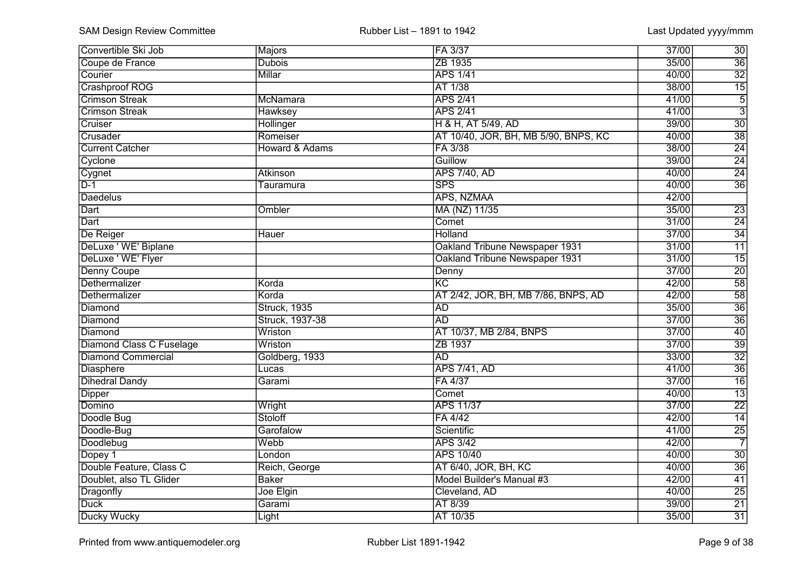| Convertible Ski Job       | Majors                    | FA 3/37                              | 37/00           | 30              |
|---------------------------|---------------------------|--------------------------------------|-----------------|-----------------|
| Coupe de France           | <b>Dubois</b>             | ZB 1935                              | 35/00           | $\overline{36}$ |
| Courier                   | Millar                    | <b>APS 1/41</b>                      | 40/00           | $\overline{32}$ |
| Crashproof ROG            |                           | AT 1/38                              | 38/00           | $\overline{15}$ |
| <b>Crimson Streak</b>     | McNamara                  | <b>APS 2/41</b>                      | 41/00           | $rac{5}{3}$     |
| <b>Crimson Streak</b>     | <b>Hawksey</b>            | <b>APS 2/41</b>                      | 41/00           |                 |
| Cruiser                   | Hollinger                 | H & H, AT 5/49, AD                   | 39/00           | $\overline{30}$ |
| Crusader                  | Romeiser                  | AT 10/40, JOR, BH, MB 5/90, BNPS, KC | 40/00           | $\overline{38}$ |
| <b>Current Catcher</b>    | <b>Howard &amp; Adams</b> | FA 3/38                              | 38/00           | $\overline{24}$ |
| Cyclone                   |                           | Guillow                              | 39/00           | $\overline{24}$ |
| Cygnet                    | <b>Atkinson</b>           | <b>APS 7/40, AD</b>                  | 40/00           | $\overline{24}$ |
| $\overline{D-1}$          | Tauramura                 | <b>SPS</b>                           | 40/00           | $\overline{36}$ |
| Daedelus                  |                           | APS, NZMAA                           | 42/00           |                 |
| Dart                      | Ombler                    | MA (NZ) 11/35                        | 35/00           | $\overline{23}$ |
| Dart                      |                           | Comet                                | 31/00           | $\overline{24}$ |
| De Reiger                 | <b>Hauer</b>              | Holland                              | 37/00           | $\overline{34}$ |
| DeLuxe ' WE' Biplane      |                           | Oakland Tribune Newspaper 1931       | 31/00           | $\overline{11}$ |
| DeLuxe ' WE' Flyer        |                           | Oakland Tribune Newspaper 1931       | 31/00           | 15              |
| Denny Coupe               |                           | Denny                                | 37/00           | $\overline{20}$ |
| Dethermalizer             | Korda                     | $\overline{KC}$                      | 42/00           | $\overline{58}$ |
| Dethermalizer             | Korda                     | AT 2/42, JOR, BH, MB 7/86, BNPS, AD  | 42/00           | $\overline{58}$ |
| Diamond                   | <b>Struck, 1935</b>       | <b>AD</b>                            | 35/00           | $\overline{36}$ |
| Diamond                   | Struck, 1937-38           | <b>AD</b>                            | 37/00           | $\overline{36}$ |
| Diamond                   | Wriston                   | AT 10/37, MB 2/84, BNPS              | 37/00           | $\overline{40}$ |
| Diamond Class C Fuselage  | Wriston                   | ZB 1937                              | $\frac{37}{00}$ | $\overline{39}$ |
| <b>Diamond Commercial</b> | Goldberg, 1933            | $\overline{AD}$                      | 33/00           | $\overline{32}$ |
| Diasphere                 | Lucas                     | <b>APS 7/41, AD</b>                  | 41/00           | $\overline{36}$ |
| <b>Dihedral Dandy</b>     | Garami                    | FA 4/37                              | $\frac{37}{00}$ | $\overline{16}$ |
| <b>Dipper</b>             |                           | Comet                                | 40/00           | $\overline{13}$ |
| Domino                    | Wright                    | <b>APS 11/37</b>                     | 37/00           | $\overline{22}$ |
| Doodle Bug                | Stoloff                   | FA 4/42                              | 42/00           | $\overline{14}$ |
| Doodle-Bug                | Garofalow                 | Scientific                           | 41/00           | $\overline{25}$ |
| Doodlebug                 | Webb                      | <b>APS 3/42</b>                      | 42/00           | $\overline{7}$  |
| Dopey 1                   | London                    | <b>APS 10/40</b>                     | 40/00           | $\overline{30}$ |
| Double Feature, Class C   | Reich, George             | AT 6/40, JOR, BH, KC                 | 40/00           | $\overline{36}$ |
| Doublet, also TL Glider   | <b>Baker</b>              | Model Builder's Manual #3            | 42/00           | 41              |
| Dragonfly                 | Joe Elgin                 | Cleveland, AD                        | 40/00           | $\overline{25}$ |
| <b>Duck</b>               | Garami                    | AT 8/39                              | 39/00           | 21              |
| Ducky Wucky               | Light                     | AT 10/35                             | 35/00           | 31              |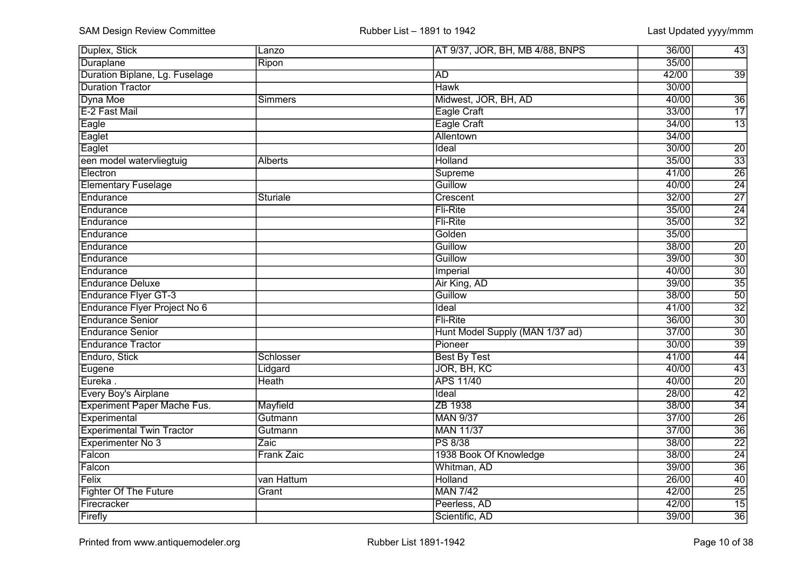| Duplex, Stick                      | Lanzo          | AT 9/37, JOR, BH, MB 4/88, BNPS | 36/00 | 43              |
|------------------------------------|----------------|---------------------------------|-------|-----------------|
| Duraplane                          | Ripon          |                                 | 35/00 |                 |
| Duration Biplane, Lg. Fuselage     |                | <b>AD</b>                       | 42/00 | $\overline{39}$ |
| <b>Duration Tractor</b>            |                | <b>Hawk</b>                     | 30/00 |                 |
| Dyna Moe                           | Simmers        | Midwest, JOR, BH, AD            | 40/00 | $\overline{36}$ |
| E-2 Fast Mail                      |                | Eagle Craft                     | 33/00 | $\overline{17}$ |
| Eagle                              |                | Eagle Craft                     | 34/00 | $\overline{13}$ |
| Eaglet                             |                | <b>Allentown</b>                | 34/00 |                 |
| Eaglet                             |                | Ideal                           | 30/00 | $\overline{20}$ |
| een model watervliegtuig           | <b>Alberts</b> | <b>Holland</b>                  | 35/00 | $\overline{33}$ |
| Electron                           |                | <b>Supreme</b>                  | 41/00 | $\overline{26}$ |
| <b>Elementary Fuselage</b>         |                | Guillow                         | 40/00 | $\overline{24}$ |
| Endurance                          | Sturiale       | Crescent                        | 32/00 | $\overline{27}$ |
| Endurance                          |                | Fli-Rite                        | 35/00 | $\overline{24}$ |
| Endurance                          |                | Fli-Rite                        | 35/00 | $\overline{32}$ |
| Endurance                          |                | Golden                          | 35/00 |                 |
| Endurance                          |                | Guillow                         | 38/00 | $\overline{20}$ |
| Endurance                          |                | Guillow                         | 39/00 | 30              |
| Endurance                          |                | Imperial                        | 40/00 | $\overline{30}$ |
| <b>Endurance Deluxe</b>            |                | Air King, AD                    | 39/00 | $\overline{35}$ |
| <b>Endurance Flyer GT-3</b>        |                | Guillow                         | 38/00 | $\overline{50}$ |
| Endurance Flyer Project No 6       |                | Ideal                           | 41/00 | $\overline{32}$ |
| <b>Endurance Senior</b>            |                | Fli-Rite                        | 36/00 | 30              |
| <b>Endurance Senior</b>            |                | Hunt Model Supply (MAN 1/37 ad) | 37/00 | $\overline{30}$ |
| <b>Endurance Tractor</b>           |                | Pioneer                         | 30/00 | $\overline{39}$ |
| Enduro, Stick                      | Schlosser      | <b>Best By Test</b>             | 41/00 | $\overline{44}$ |
| Eugene                             | Lidgard        | JOR, BH, KC                     | 40/00 | $\overline{43}$ |
| Eureka.                            | <b>Heath</b>   | <b>APS 11/40</b>                | 40/00 | $\overline{20}$ |
| <b>Every Boy's Airplane</b>        |                | Ideal                           | 28/00 | $\overline{42}$ |
| <b>Experiment Paper Mache Fus.</b> | Mayfield       | ZB 1938                         | 38/00 | $\overline{34}$ |
| Experimental                       | Gutmann        | <b>MAN 9/37</b>                 | 37/00 | $\overline{26}$ |
| <b>Experimental Twin Tractor</b>   | Gutmann        | <b>MAN 11/37</b>                | 37/00 | $\overline{36}$ |
| Experimenter No 3                  | Zaic           | <b>PS 8/38</b>                  | 38/00 | $\overline{22}$ |
| Falcon                             | Frank Zaic     | 1938 Book Of Knowledge          | 38/00 | $\overline{24}$ |
| Falcon                             |                | Whitman, AD                     | 39/00 | $\overline{36}$ |
| Felix                              | van Hattum     | Holland                         | 26/00 | 40              |
| <b>Fighter Of The Future</b>       | Grant          | <b>MAN 7/42</b>                 | 42/00 | $\overline{25}$ |
| Firecracker                        |                | Peerless, AD                    | 42/00 | $\overline{15}$ |
| Firefly                            |                | Scientific, AD                  | 39/00 | 36              |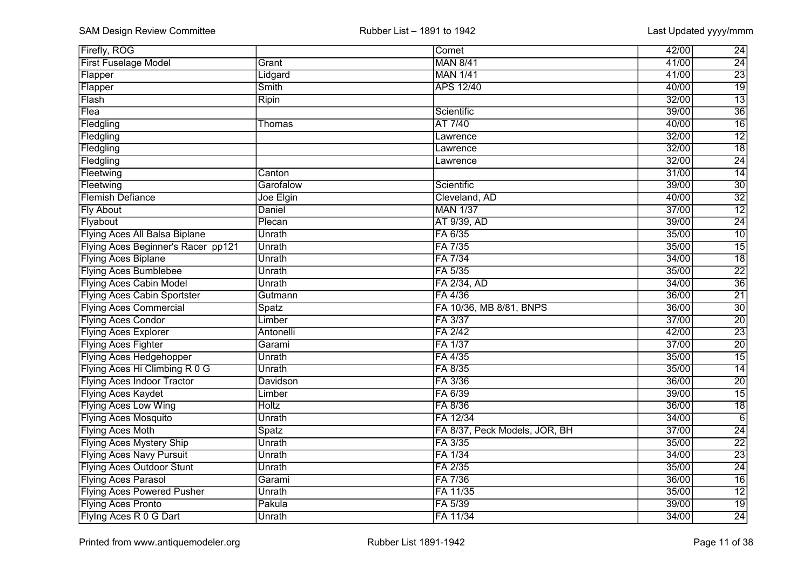| <b>Firefly, ROG</b>                  |              | Comet                         | 42/00 | $\overline{24}$ |
|--------------------------------------|--------------|-------------------------------|-------|-----------------|
| <b>First Fuselage Model</b>          | Grant        | <b>MAN 8/41</b>               | 41/00 | $\overline{24}$ |
| Flapper                              | Lidgard      | <b>MAN 1/41</b>               | 41/00 | $\overline{23}$ |
| Flapper                              | <b>Smith</b> | <b>APS 12/40</b>              | 40/00 | $\overline{19}$ |
| Flash                                | Ripin        |                               | 32/00 | $\overline{13}$ |
| Flea                                 |              | Scientific                    | 39/00 | $\overline{36}$ |
| Fledgling                            | Thomas       | AT 7/40                       | 40/00 | $\overline{16}$ |
| Fledgling                            |              | Lawrence                      | 32/00 | $\overline{12}$ |
| Fledgling                            |              | Lawrence                      | 32/00 | $\overline{18}$ |
| Fledgling                            |              | Lawrence                      | 32/00 | $\overline{24}$ |
| Fleetwing                            | Canton       |                               | 31/00 | $\overline{14}$ |
| Fleetwing                            | Garofalow    | Scientific                    | 39/00 | $\overline{30}$ |
| <b>Flemish Defiance</b>              | Joe Elgin    | Cleveland, AD                 | 40/00 | $\overline{32}$ |
| <b>Fly About</b>                     | Daniel       | <b>MAN 1/37</b>               | 37/00 | $\overline{12}$ |
| Flyabout                             | Plecan       | <b>AT 9/39, AD</b>            | 39/00 | $\overline{24}$ |
| <b>Flying Aces All Balsa Biplane</b> | Unrath       | FA 6/35                       | 35/00 | $\overline{10}$ |
| Flying Aces Beginner's Racer pp121   | Unrath       | FA 7/35                       | 35/00 | $\overline{15}$ |
| <b>Flying Aces Biplane</b>           | Unrath       | FA 7/34                       | 34/00 | $\overline{18}$ |
| <b>Flying Aces Bumblebee</b>         | Unrath       | FA 5/35                       | 35/00 | $\overline{22}$ |
| <b>Flying Aces Cabin Model</b>       | Unrath       | FA 2/34, AD                   | 34/00 | $\overline{36}$ |
| <b>Flying Aces Cabin Sportster</b>   | Gutmann      | FA 4/36                       | 36/00 | $\overline{21}$ |
| <b>Flying Aces Commercial</b>        | Spatz        | FA 10/36, MB 8/81, BNPS       | 36/00 | 30              |
| <b>Flying Aces Condor</b>            | Limber       | FA 3/37                       | 37/00 | $\overline{20}$ |
| <b>Flying Aces Explorer</b>          | Antonelli    | FA 2/42                       | 42/00 | $\overline{23}$ |
| <b>Flying Aces Fighter</b>           | Garami       | FA 1/37                       | 37/00 | $\overline{20}$ |
| <b>Flying Aces Hedgehopper</b>       | Unrath       | FA 4/35                       | 35/00 | $\overline{15}$ |
| Flying Aces Hi Climbing R 0 G        | Unrath       | FA 8/35                       | 35/00 | $\overline{14}$ |
| <b>Flying Aces Indoor Tractor</b>    | Davidson     | FA 3/36                       | 36/00 | $\overline{20}$ |
| <b>Flying Aces Kaydet</b>            | Limber       | FA 6/39                       | 39/00 | $\overline{15}$ |
| <b>Flying Aces Low Wing</b>          | <b>Holtz</b> | FA 8/36                       | 36/00 | $\overline{18}$ |
| <b>Flying Aces Mosquito</b>          | Unrath       | FA 12/34                      | 34/00 | $\overline{6}$  |
| <b>Flying Aces Moth</b>              | Spatz        | FA 8/37, Peck Models, JOR, BH | 37/00 | $\overline{24}$ |
| <b>Flying Aces Mystery Ship</b>      | Unrath       | FA 3/35                       | 35/00 | $\overline{22}$ |
| <b>Flying Aces Navy Pursuit</b>      | Unrath       | FA 1/34                       | 34/00 | $\overline{23}$ |
| <b>Flying Aces Outdoor Stunt</b>     | Unrath       | FA 2/35                       | 35/00 | $\overline{24}$ |
| <b>Flying Aces Parasol</b>           | Garami       | FA 7/36                       | 36/00 | 16              |
| <b>Flying Aces Powered Pusher</b>    | Unrath       | FA 11/35                      | 35/00 | $\overline{12}$ |
| <b>Flying Aces Pronto</b>            | Pakula       | FA 5/39                       | 39/00 | 19              |
| Flying Aces R 0 G Dart               | Unrath       | FA 11/34                      | 34/00 | 24              |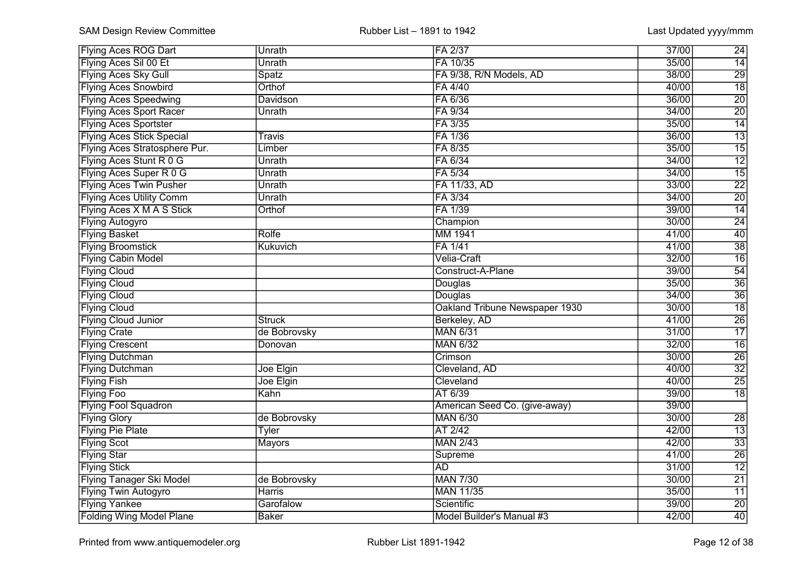| <b>Flying Aces ROG Dart</b>      | Unrath          | FA 2/37                        | 37/00<br>24              |
|----------------------------------|-----------------|--------------------------------|--------------------------|
| Flying Aces Sil 00 Et            | Unrath          | FA 10/35                       | $\overline{14}$<br>35/00 |
| <b>Flying Aces Sky Gull</b>      | Spatz           | FA 9/38, R/N Models, AD        | $\overline{29}$<br>38/00 |
| <b>Flying Aces Snowbird</b>      | Orthof          | FA 4/40                        | $\overline{18}$<br>40/00 |
| <b>Flying Aces Speedwing</b>     | <b>Davidson</b> | FA 6/36                        | $\overline{20}$<br>36/00 |
| <b>Flying Aces Sport Racer</b>   | Unrath          | FA 9/34                        | $\overline{20}$<br>34/00 |
| <b>Flying Aces Sportster</b>     |                 | FA 3/35                        | $\overline{14}$<br>35/00 |
| <b>Flying Aces Stick Special</b> | Travis          | FA 1/36                        | $\overline{13}$<br>36/00 |
| Flying Aces Stratosphere Pur.    | Limber          | FA 8/35                        | $\overline{15}$<br>35/00 |
| Flying Aces Stunt R 0 G          | Unrath          | FA 6/34                        | $\overline{12}$<br>34/00 |
| Flying Aces Super R 0 G          | Unrath          | FA 5/34                        | $\overline{15}$<br>34/00 |
| <b>Flying Aces Twin Pusher</b>   | Unrath          | FA 11/33, AD                   | $\overline{22}$<br>33/00 |
| <b>Flying Aces Utility Comm</b>  | Unrath          | FA 3/34                        | $\overline{20}$<br>34/00 |
| Flying Aces X M A S Stick        | Orthof          | FA 1/39                        | $\overline{14}$<br>39/00 |
| <b>Flying Autogyro</b>           |                 | Champion                       | 24<br>30/00              |
| <b>Flying Basket</b>             | <b>Rolfe</b>    | MM 1941                        | 40<br>41/00              |
| <b>Flying Broomstick</b>         | Kukuvich        | FA 1/41                        | $\overline{38}$<br>41/00 |
| <b>Flying Cabin Model</b>        |                 | Velia-Craft                    | 16<br>32/00              |
| <b>Flying Cloud</b>              |                 | Construct-A-Plane              | 54<br>39/00              |
| <b>Flying Cloud</b>              |                 | Douglas                        | $\overline{36}$<br>35/00 |
| <b>Flying Cloud</b>              |                 | Douglas                        | $\overline{36}$<br>34/00 |
| <b>Flying Cloud</b>              |                 | Oakland Tribune Newspaper 1930 | $\overline{18}$<br>30/00 |
| <b>Flying Cloud Junior</b>       | <b>Struck</b>   | Berkeley, AD                   | $\overline{26}$<br>41/00 |
| <b>Flying Crate</b>              | de Bobrovsky    | <b>MAN 6/31</b>                | $\overline{17}$<br>31/00 |
| <b>Flying Crescent</b>           | Donovan         | <b>MAN 6/32</b>                | $\overline{16}$<br>32/00 |
| <b>Flying Dutchman</b>           |                 | Crimson                        | $\overline{26}$<br>30/00 |
| <b>Flying Dutchman</b>           | Joe Elgin       | Cleveland, AD                  | $\overline{32}$<br>40/00 |
| <b>Flying Fish</b>               | Joe Elgin       | Cleveland                      | $\overline{25}$<br>40/00 |
| <b>Flying Foo</b>                | Kahn            | AT 6/39                        | $\overline{18}$<br>39/00 |
| <b>Flying Fool Squadron</b>      |                 | American Seed Co. (give-away)  | 39/00                    |
| <b>Flying Glory</b>              | de Bobrovsky    | <b>MAN 6/30</b>                | 30/00<br>$\overline{28}$ |
| <b>Flying Pie Plate</b>          | <b>Tyler</b>    | AT 2/42                        | $\overline{13}$<br>42/00 |
| <b>Flying Scot</b>               | <b>Mayors</b>   | <b>MAN 2/43</b>                | $\overline{33}$<br>42/00 |
| <b>Flying Star</b>               |                 | Supreme                        | $\overline{26}$<br>41/00 |
| <b>Flying Stick</b>              |                 | <b>AD</b>                      | $\overline{12}$<br>31/00 |
| <b>Flying Tanager Ski Model</b>  | de Bobrovsky    | <b>MAN 7/30</b>                | 21<br>30/00              |
| <b>Flying Twin Autogyro</b>      | Harris          | <b>MAN 11/35</b>               | 11<br>35/00              |
| <b>Flying Yankee</b>             | Garofalow       | Scientific                     | $\overline{20}$<br>39/00 |
| <b>Folding Wing Model Plane</b>  | <b>Baker</b>    | Model Builder's Manual #3      | 40<br>42/00              |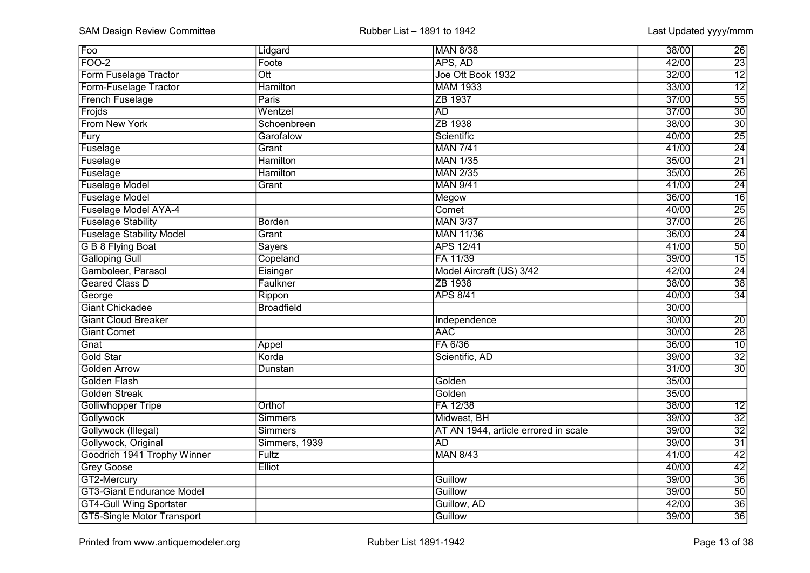| Foo                               | Lidgard                 | <b>MAN 8/38</b>                      | 38/00 | 26              |
|-----------------------------------|-------------------------|--------------------------------------|-------|-----------------|
| FOO-2                             | Foote                   | APS, AD                              | 42/00 | 23              |
| Form Fuselage Tractor             | $\overline{\text{Ott}}$ | Joe Ott Book 1932                    | 32/00 | $\overline{12}$ |
| Form-Fuselage Tractor             | <b>Hamilton</b>         | <b>MAM 1933</b>                      | 33/00 | $\overline{12}$ |
| <b>French Fuselage</b>            | Paris                   | ZB 1937                              | 37/00 | 55              |
| Frojds                            | Wentzel                 | <b>AD</b>                            | 37/00 | $\overline{30}$ |
| From New York                     | Schoenbreen             | ZB 1938                              | 38/00 | $\overline{30}$ |
| Fury                              | Garofalow               | Scientific                           | 40/00 | $\overline{25}$ |
| Fuselage                          | Grant                   | <b>MAN 7/41</b>                      | 41/00 | $\overline{24}$ |
| Fuselage                          | <b>Hamilton</b>         | <b>MAN 1/35</b>                      | 35/00 | $\overline{21}$ |
| Fuselage                          | <b>Hamilton</b>         | <b>MAN 2/35</b>                      | 35/00 | $\overline{26}$ |
| <b>Fuselage Model</b>             | Grant                   | <b>MAN 9/41</b>                      | 41/00 | $\overline{24}$ |
| <b>Fuselage Model</b>             |                         | Megow                                | 36/00 | $\overline{16}$ |
| <b>Fuselage Model AYA-4</b>       |                         | Comet                                | 40/00 | $\overline{25}$ |
| <b>Fuselage Stability</b>         | <b>Borden</b>           | <b>MAN 3/37</b>                      | 37/00 | $\overline{26}$ |
| <b>Fuselage Stability Model</b>   | Grant                   | <b>MAN 11/36</b>                     | 36/00 | $\overline{24}$ |
| G B 8 Flying Boat                 | <b>Sayers</b>           | <b>APS 12/41</b>                     | 41/00 | 50              |
| <b>Galloping Gull</b>             | Copeland                | FA 11/39                             | 39/00 | 15              |
| Gamboleer, Parasol                | Eisinger                | Model Aircraft (US) 3/42             | 42/00 | $\overline{24}$ |
| <b>Geared Class D</b>             | Faulkner                | ZB 1938                              | 38/00 | $\overline{38}$ |
| George                            | Rippon                  | <b>APS 8/41</b>                      | 40/00 | 34              |
| <b>Giant Chickadee</b>            | <b>Broadfield</b>       |                                      | 30/00 |                 |
| <b>Giant Cloud Breaker</b>        |                         | Independence                         | 30/00 | $\overline{20}$ |
| <b>Giant Comet</b>                |                         | <b>AAC</b>                           | 30/00 | $\overline{28}$ |
| Gnat                              | Appel                   | FA 6/36                              | 36/00 | $\overline{10}$ |
| Gold Star                         | Korda                   | Scientific, AD                       | 39/00 | $\overline{32}$ |
| <b>Golden Arrow</b>               | Dunstan                 |                                      | 31/00 | $\overline{30}$ |
| <b>Golden Flash</b>               |                         | Golden                               | 35/00 |                 |
| <b>Golden Streak</b>              |                         | Golden                               | 35/00 |                 |
| <b>Golliwhopper Tripe</b>         | Orthof                  | FA 12/38                             | 38/00 | $\overline{12}$ |
| Gollywock                         | <b>Simmers</b>          | Midwest, BH                          | 39/00 | $\overline{32}$ |
| Gollywock (Illegal)               | <b>Simmers</b>          | AT AN 1944, article errored in scale | 39/00 | $\overline{32}$ |
| Gollywock, Original               | Simmers, 1939           | <b>AD</b>                            | 39/00 | $\overline{31}$ |
| Goodrich 1941 Trophy Winner       | Fultz                   | <b>MAN 8/43</b>                      | 41/00 | $\overline{42}$ |
| <b>Grey Goose</b>                 | Elliot                  |                                      | 40/00 | 42              |
| GT2-Mercury                       |                         | Guillow                              | 39/00 | $\overline{36}$ |
| <b>GT3-Giant Endurance Model</b>  |                         | Guillow                              | 39/00 | 50              |
| <b>GT4-Gull Wing Sportster</b>    |                         | Guillow, AD                          | 42/00 | 36              |
| <b>GT5-Single Motor Transport</b> |                         | Guillow                              | 39/00 | $\overline{36}$ |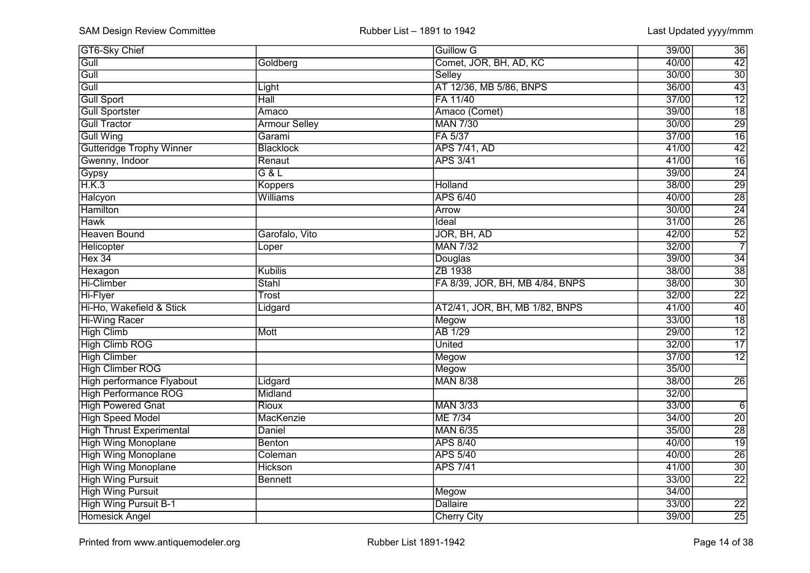| <b>GT6-Sky Chief</b>            |                      | <b>Guillow G</b>                | 39/00<br>36              |
|---------------------------------|----------------------|---------------------------------|--------------------------|
| Gull                            | Goldberg             | Comet, JOR, BH, AD, KC          | 42<br>40/00              |
| $G$ ull                         |                      | Selley                          | $\overline{30}$<br>30/00 |
| $\overline{GuII}$               | Light                | AT 12/36, MB 5/86, BNPS         | $\overline{43}$<br>36/00 |
| Gull Sport                      | Hall                 | FA 11/40                        | $\overline{12}$<br>37/00 |
| <b>Gull Sportster</b>           | Amaco                | Amaco (Comet)                   | $\overline{18}$<br>39/00 |
| <b>Gull Tractor</b>             | <b>Armour Selley</b> | <b>MAN 7/30</b>                 | $\overline{29}$<br>30/00 |
| <b>Gull Wing</b>                | Garami               | FA 5/37                         | $\overline{16}$<br>37/00 |
| <b>Gutteridge Trophy Winner</b> | Blacklock            | <b>APS 7/41, AD</b>             | $\overline{42}$<br>41/00 |
| Gwenny, Indoor                  | Renaut               | <b>APS 3/41</b>                 | $\overline{16}$<br>41/00 |
| Gypsy                           | G&L                  |                                 | $\overline{24}$<br>39/00 |
| H.K.3                           | Koppers              | Holland                         | $\overline{29}$<br>38/00 |
| Halcyon                         | Williams             | <b>APS 6/40</b>                 | $\overline{28}$<br>40/00 |
| <b>Hamilton</b>                 |                      | <b>Arrow</b>                    | $\overline{24}$<br>30/00 |
| <b>Hawk</b>                     |                      | Ideal                           | $\overline{26}$<br>31/00 |
| <b>Heaven Bound</b>             | Garofalo, Vito       | JOR, BH, AD                     | $\overline{52}$<br>42/00 |
| Helicopter                      | Loper                | <b>MAN 7/32</b>                 | $\overline{7}$<br>32/00  |
| Hex 34                          |                      | Douglas                         | 34<br>39/00              |
| Hexagon                         | Kubilis              | ZB 1938                         | 38<br>38/00              |
| Hi-Climber                      | Stahl                | FA 8/39, JOR, BH, MB 4/84, BNPS | $\overline{30}$<br>38/00 |
| Hi-Flyer                        | Trost                |                                 | $\overline{22}$<br>32/00 |
| Hi-Ho, Wakefield & Stick        | Lidgard              | AT2/41, JOR, BH, MB 1/82, BNPS  | $\overline{40}$<br>41/00 |
| <b>Hi-Wing Racer</b>            |                      | Megow                           | $\overline{18}$<br>33/00 |
| <b>High Climb</b>               | Mott                 | <b>AB 1/29</b>                  | $\overline{12}$<br>29/00 |
| <b>High Climb ROG</b>           |                      | <b>United</b>                   | $\overline{17}$<br>32/00 |
| <b>High Climber</b>             |                      | Megow                           | $\overline{12}$<br>37/00 |
| <b>High Climber ROG</b>         |                      | Megow                           | 35/00                    |
| High performance Flyabout       | Lidgard              | <b>MAN 8/38</b>                 | 38/00<br>$\overline{26}$ |
| <b>High Performance ROG</b>     | Midland              |                                 | 32/00                    |
| <b>High Powered Gnat</b>        | Rioux                | <b>MAN 3/33</b>                 | 33/00<br>$\overline{6}$  |
| <b>High Speed Model</b>         | MacKenzie            | <b>ME 7/34</b>                  | 34/00<br>$\overline{20}$ |
| <b>High Thrust Experimental</b> | Daniel               | <b>MAN 6/35</b>                 | $\overline{28}$<br>35/00 |
| <b>High Wing Monoplane</b>      | <b>Benton</b>        | <b>APS 8/40</b>                 | $\overline{19}$<br>40/00 |
| <b>High Wing Monoplane</b>      | Coleman              | <b>APS 5/40</b>                 | $\overline{26}$<br>40/00 |
| <b>High Wing Monoplane</b>      | <b>Hickson</b>       | <b>APS 7/41</b>                 | $\overline{30}$<br>41/00 |
| <b>High Wing Pursuit</b>        | <b>Bennett</b>       |                                 | $\overline{22}$<br>33/00 |
| <b>High Wing Pursuit</b>        |                      | Megow                           | 34/00                    |
| <b>High Wing Pursuit B-1</b>    |                      | <b>Dallaire</b>                 | 33/00<br>$\overline{22}$ |
| <b>Homesick Angel</b>           |                      | <b>Cherry City</b>              | 25<br>39/00              |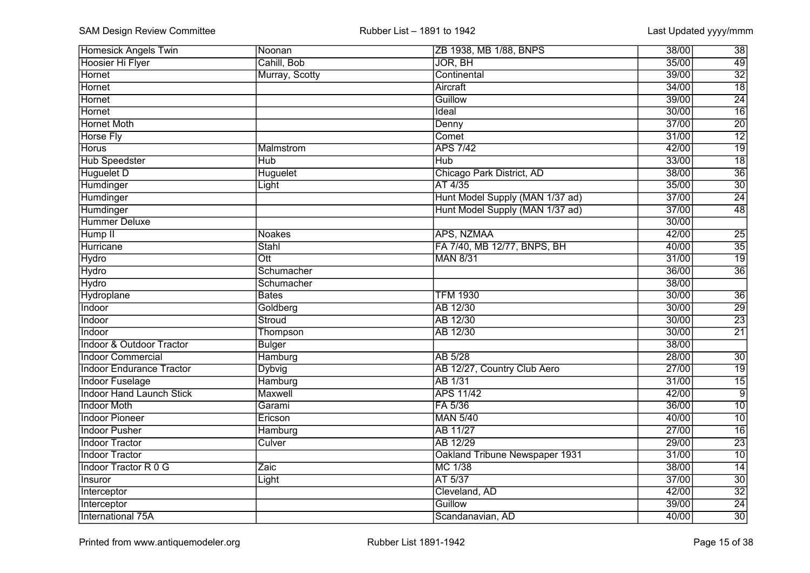| <b>Homesick Angels Twin</b>     | Noonan           | ZB 1938, MB 1/88, BNPS          | 38/00           | 38              |
|---------------------------------|------------------|---------------------------------|-----------------|-----------------|
| <b>Hoosier Hi Flyer</b>         | Cahill, Bob      | JOR, BH                         | 35/00           | 49              |
| Hornet                          | Murray, Scotty   | Continental                     | 39/00           | $\overline{32}$ |
| Hornet                          |                  | Aircraft                        | 34/00           | $\overline{18}$ |
| Hornet                          |                  | Guillow                         | 39/00           | $\overline{24}$ |
| <b>Hornet</b>                   |                  | Ideal                           | 30/00           | $\overline{16}$ |
| <b>Hornet Moth</b>              |                  | Denny                           | $\frac{37}{00}$ | $\overline{20}$ |
| <b>Horse Fly</b>                |                  | Comet                           | 31/00           | $\overline{12}$ |
| <b>Horus</b>                    | Malmstrom        | <b>APS 7/42</b>                 | 42/00           | $\overline{19}$ |
| <b>Hub Speedster</b>            | <b>Hub</b>       | <b>Hub</b>                      | 33/00           | $\overline{18}$ |
| <b>Huguelet D</b>               | <b>Huguelet</b>  | Chicago Park District, AD       | 38/00           | $\overline{36}$ |
| Humdinger                       | Light            | AT 4/35                         | 35/00           | $\overline{30}$ |
| Humdinger                       |                  | Hunt Model Supply (MAN 1/37 ad) | 37/00           | $\overline{24}$ |
| Humdinger                       |                  | Hunt Model Supply (MAN 1/37 ad) | 37/00           | 48              |
| <b>Hummer Deluxe</b>            |                  |                                 | 30/00           |                 |
| Hump II                         | <b>Noakes</b>    | APS, NZMAA                      | 42/00           | $\overline{25}$ |
| Hurricane                       | <b>Stahl</b>     | FA 7/40, MB 12/77, BNPS, BH     | 40/00           | 35              |
| Hydro                           | $\overline{Ott}$ | <b>MAN 8/31</b>                 | 31/00           | 19              |
| <b>Hydro</b>                    | Schumacher       |                                 | 36/00           | 36              |
| <b>Hydro</b>                    | Schumacher       |                                 | 38/00           |                 |
| Hydroplane                      | <b>Bates</b>     | <b>TFM 1930</b>                 | 30/00           | 36              |
| Indoor                          | Goldberg         | AB 12/30                        | 30/00           | $\overline{29}$ |
| Indoor                          | Stroud           | AB 12/30                        | 30/00           | $\overline{23}$ |
| Indoor                          | Thompson         | AB 12/30                        | 30/00           | $\overline{21}$ |
| Indoor & Outdoor Tractor        | <b>Bulger</b>    |                                 | 38/00           |                 |
| <b>Indoor Commercial</b>        | Hamburg          | AB 5/28                         | 28/00           | $\overline{30}$ |
| <b>Indoor Endurance Tractor</b> | <b>Dybvig</b>    | AB 12/27, Country Club Aero     | 27/00           | $\overline{19}$ |
| <b>Indoor Fuselage</b>          | Hamburg          | <b>AB 1/31</b>                  | 31/00           | $\overline{15}$ |
| <b>Indoor Hand Launch Stick</b> | Maxwell          | <b>APS 11/42</b>                | 42/00           | $\overline{9}$  |
| <b>Indoor Moth</b>              | Garami           | FA 5/36                         | 36/00           | $\overline{10}$ |
| <b>Indoor Pioneer</b>           | Ericson          | <b>MAN 5/40</b>                 | 40/00           | $\overline{10}$ |
| <b>Indoor Pusher</b>            | Hamburg          | <b>AB 11/27</b>                 | 27/00           | $\overline{16}$ |
| <b>Indoor Tractor</b>           | Culver           | AB 12/29                        | 29/00           | $\overline{23}$ |
| <b>Indoor Tractor</b>           |                  | Oakland Tribune Newspaper 1931  | 31/00           | $\overline{10}$ |
| <b>Indoor Tractor R 0 G</b>     | Zaic             | MC 1/38                         | 38/00           | $\overline{14}$ |
| Insuror                         | Light            | AT 5/37                         | 37/00           | $\overline{30}$ |
| Interceptor                     |                  | Cleveland, AD                   | 42/00           | $\overline{32}$ |
| Interceptor                     |                  | Guillow                         | 39/00           | 24              |
| International 75A               |                  | Scandanavian, AD                | 40/00           | $\overline{30}$ |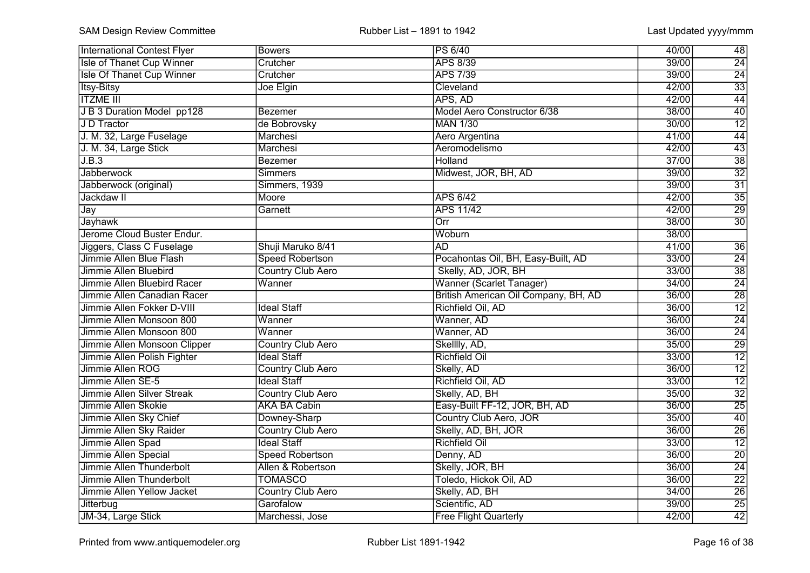| <b>International Contest Flyer</b> | <b>Bowers</b>            | PS 6/40                              | 48<br>40/00              |
|------------------------------------|--------------------------|--------------------------------------|--------------------------|
| <b>Isle of Thanet Cup Winner</b>   | Crutcher                 | <b>APS 8/39</b>                      | $\overline{24}$<br>39/00 |
| <b>Isle Of Thanet Cup Winner</b>   | Crutcher                 | <b>APS 7/39</b>                      | $\overline{24}$<br>39/00 |
| <b>Itsy-Bitsy</b>                  | Joe Elgin                | Cleveland                            | $\overline{33}$<br>42/00 |
| <b>ITZME III</b>                   |                          | APS, AD                              | 44<br>42/00              |
| J B 3 Duration Model pp128         | <b>Bezemer</b>           | Model Aero Constructor 6/38          | $\overline{40}$<br>38/00 |
| J D Tractor                        | de Bobrovsky             | <b>MAN 1/30</b>                      | $\overline{12}$<br>30/00 |
| J. M. 32, Large Fuselage           | Marchesi                 | Aero Argentina                       | $\overline{44}$<br>41/00 |
| J. M. 34, Large Stick              | Marchesi                 | Aeromodelismo                        | $\overline{43}$<br>42/00 |
| J.B.3                              | <b>Bezemer</b>           | <b>Holland</b>                       | $\overline{38}$<br>37/00 |
| <b>Jabberwock</b>                  | <b>Simmers</b>           | Midwest, JOR, BH, AD                 | $\overline{32}$<br>39/00 |
| Jabberwock (original)              | Simmers, 1939            |                                      | $\overline{31}$<br>39/00 |
| Jackdaw II                         | Moore                    | <b>APS 6/42</b>                      | $\overline{35}$<br>42/00 |
| Jay                                | Garnett                  | <b>APS 11/42</b>                     | $\overline{29}$<br>42/00 |
| <b>Jayhawk</b>                     |                          | Orr                                  | $\overline{30}$<br>38/00 |
| Jerome Cloud Buster Endur.         |                          | Woburn                               | 38/00                    |
| Jiggers, Class C Fuselage          | Shuji Maruko 8/41        | <b>AD</b>                            | $\overline{36}$<br>41/00 |
| Jimmie Allen Blue Flash            | <b>Speed Robertson</b>   | Pocahontas Oil, BH, Easy-Built, AD   | 24<br>33/00              |
| Jimmie Allen Bluebird              | <b>Country Club Aero</b> | Skelly, AD, JOR, BH                  | $\overline{38}$<br>33/00 |
| Jimmie Allen Bluebird Racer        | Wanner                   | Wanner (Scarlet Tanager)             | $\overline{24}$<br>34/00 |
| Jimmie Allen Canadian Racer        |                          | British American Oil Company, BH, AD | $\overline{28}$<br>36/00 |
| Jimmie Allen Fokker D-VIII         | <b>Ideal Staff</b>       | Richfield Oil, AD                    | $\overline{12}$<br>36/00 |
| Jimmie Allen Monsoon 800           | Wanner                   | Wanner, AD                           | $\overline{24}$<br>36/00 |
| Jimmie Allen Monsoon 800           | Wanner                   | Wanner, AD                           | $\overline{24}$<br>36/00 |
| Jimmie Allen Monsoon Clipper       | <b>Country Club Aero</b> | Skelllly, AD,                        | $\overline{29}$<br>35/00 |
| Jimmie Allen Polish Fighter        | <b>Ideal Staff</b>       | <b>Richfield Oil</b>                 | $\overline{12}$<br>33/00 |
| Jimmie Allen ROG                   | <b>Country Club Aero</b> | Skelly, AD                           | $\overline{12}$<br>36/00 |
| Jimmie Allen SE-5                  | <b>Ideal Staff</b>       | Richfield Oil, AD                    | $\overline{12}$<br>33/00 |
| <b>Jimmie Allen Silver Streak</b>  | <b>Country Club Aero</b> | Skelly, AD, BH                       | $\overline{32}$<br>35/00 |
| Jimmie Allen Skokie                | <b>AKA BA Cabin</b>      | Easy-Built FF-12, JOR, BH, AD        | $\overline{25}$<br>36/00 |
| Jimmie Allen Sky Chief             | Downey-Sharp             | Country Club Aero, JOR               | $\overline{40}$<br>35/00 |
| Jimmie Allen Sky Raider            | <b>Country Club Aero</b> | Skelly, AD, BH, JOR                  | $\overline{26}$<br>36/00 |
| Jimmie Allen Spad                  | <b>Ideal Staff</b>       | <b>Richfield Oil</b>                 | $\overline{12}$<br>33/00 |
| Jimmie Allen Special               | <b>Speed Robertson</b>   | Denny, AD                            | $\overline{20}$<br>36/00 |
| Jimmie Allen Thunderbolt           | Allen & Robertson        | Skelly, JOR, BH                      | $\overline{24}$<br>36/00 |
| Jimmie Allen Thunderbolt           | <b>TOMASCO</b>           | Toledo, Hickok Oil, AD               | $\overline{22}$<br>36/00 |
| Jimmie Allen Yellow Jacket         | <b>Country Club Aero</b> | Skelly, AD, BH                       | $\overline{26}$<br>34/00 |
| Jitterbug                          | Garofalow                | Scientific, AD                       | 25<br>39/00              |
| JM-34, Large Stick                 | Marchessi, Jose          | <b>Free Flight Quarterly</b>         | 42<br>42/00              |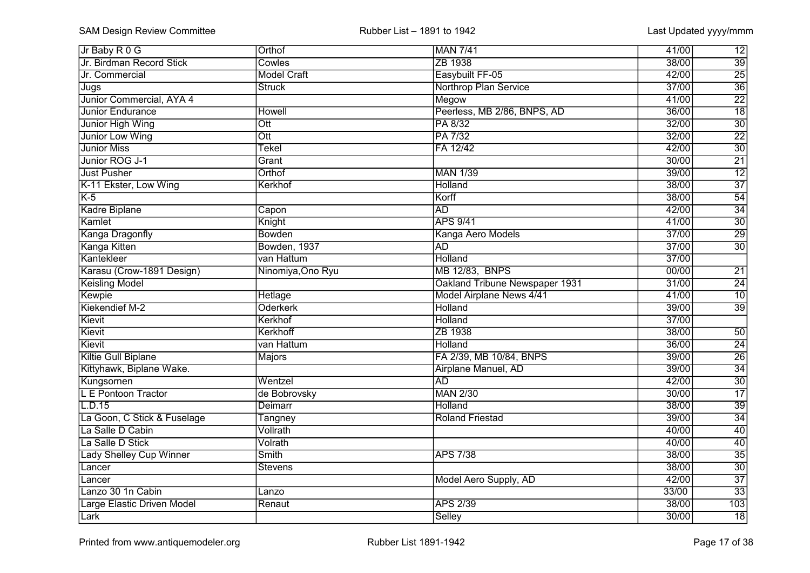| Jr Baby R 0 G                  | Orthof                  | <b>MAN 7/41</b>                | 41/00 | 12              |
|--------------------------------|-------------------------|--------------------------------|-------|-----------------|
| Jr. Birdman Record Stick       | Cowles                  | ZB 1938                        | 38/00 | 39              |
| Jr. Commercial                 | <b>Model Craft</b>      | Easybuilt FF-05                | 42/00 | $\overline{25}$ |
| Jugs                           | <b>Struck</b>           | <b>Northrop Plan Service</b>   | 37/00 | $\overline{36}$ |
| Junior Commercial, AYA 4       |                         | Megow                          | 41/00 | $\overline{22}$ |
| <b>Junior Endurance</b>        | <b>Howell</b>           | Peerless, MB 2/86, BNPS, AD    | 36/00 | $\overline{18}$ |
| Junior High Wing               | $\overline{\text{Ott}}$ | PA 8/32                        | 32/00 | $\overline{30}$ |
| Junior Low Wing                | $\overline{\text{Ott}}$ | PA 7/32                        | 32/00 | $\overline{22}$ |
| <b>Junior Miss</b>             | Tekel                   | FA 12/42                       | 42/00 | $\overline{30}$ |
| Junior ROG J-1                 | Grant                   |                                | 30/00 | $\overline{21}$ |
| Just Pusher                    | Orthof                  | <b>MAN 1/39</b>                | 39/00 | $\overline{12}$ |
| K-11 Ekster, Low Wing          | Kerkhof                 | <b>Holland</b>                 | 38/00 | $\overline{37}$ |
| $K-5$                          |                         | Korff                          | 38/00 | $\overline{54}$ |
| <b>Kadre Biplane</b>           | Capon                   | <b>AD</b>                      | 42/00 | $\overline{34}$ |
| Kamlet                         | Knight                  | <b>APS 9/41</b>                | 41/00 | $\overline{30}$ |
| <b>Kanga Dragonfly</b>         | <b>Bowden</b>           | Kanga Aero Models              | 37/00 | $\overline{29}$ |
| Kanga Kitten                   | Bowden, 1937            | <b>AD</b>                      | 37/00 | $\overline{30}$ |
| Kantekleer                     | van Hattum              | Holland                        | 37/00 |                 |
| Karasu (Crow-1891 Design)      | Ninomiya, Ono Ryu       | MB 12/83, BNPS                 | 00/00 | $\overline{21}$ |
| <b>Keisling Model</b>          |                         | Oakland Tribune Newspaper 1931 | 31/00 | $\frac{24}{10}$ |
| Kewpie                         | Hetlage                 | Model Airplane News 4/41       | 41/00 |                 |
| Kiekendief M-2                 | <b>Oderkerk</b>         | <b>Holland</b>                 | 39/00 | $\overline{39}$ |
| Kievit                         | Kerkhof                 | <b>Holland</b>                 | 37/00 |                 |
| Kievit                         | Kerkhoff                | ZB 1938                        | 38/00 | 50              |
| Kievit                         | van Hattum              | Holland                        | 36/00 | $\overline{24}$ |
| Kiltie Gull Biplane            | <b>Majors</b>           | FA 2/39, MB 10/84, BNPS        | 39/00 | $\overline{26}$ |
| Kittyhawk, Biplane Wake.       |                         | Airplane Manuel, AD            | 39/00 | $\overline{34}$ |
| Kungsornen                     | Wentzel                 | $\overline{AD}$                | 42/00 | $\overline{30}$ |
| L E Pontoon Tractor            | de Bobrovsky            | <b>MAN 2/30</b>                | 30/00 | $\overline{17}$ |
| L.D.15                         | Deimarr                 | Holland                        | 38/00 | $\overline{39}$ |
| La Goon, C Stick & Fuselage    | Tangney                 | <b>Roland Friestad</b>         | 39/00 | $\overline{34}$ |
| La Salle D Cabin               | Vollrath                |                                | 40/00 | $\overline{40}$ |
| La Salle D Stick               | Volrath                 |                                | 40/00 | 40              |
| <b>Lady Shelley Cup Winner</b> | Smith                   | <b>APS 7/38</b>                | 38/00 | $\overline{35}$ |
| Lancer                         | <b>Stevens</b>          |                                | 38/00 | $\overline{30}$ |
| Lancer                         |                         | Model Aero Supply, AD          | 42/00 | $\overline{37}$ |
| Lanzo 30 1n Cabin              | Lanzo                   |                                | 33/00 | $\overline{33}$ |
| Large Elastic Driven Model     | Renaut                  | <b>APS 2/39</b>                | 38/00 | 103             |
| Lark                           |                         | Selley                         | 30/00 | 18              |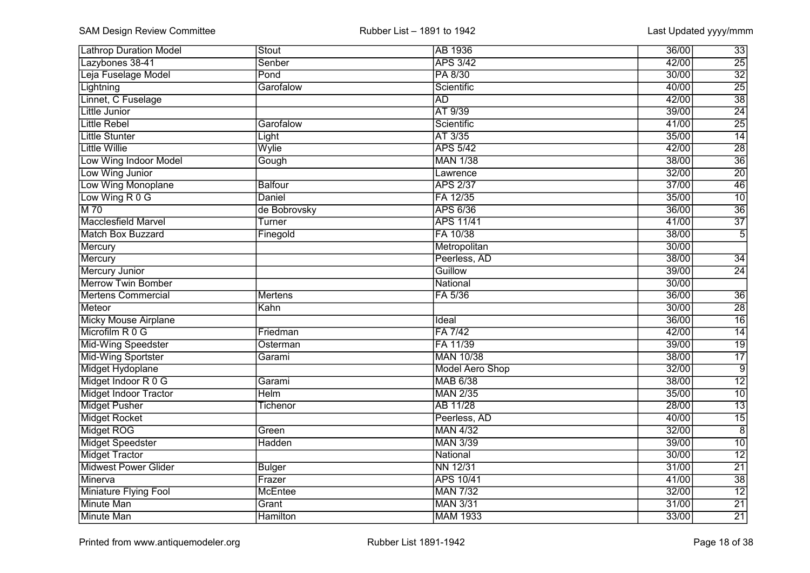| <b>Lathrop Duration Model</b> | Stout          | <b>AB</b> 1936         | 36/00<br>33              |
|-------------------------------|----------------|------------------------|--------------------------|
| Lazybones 38-41               | Senber         | <b>APS 3/42</b>        | $\overline{25}$<br>42/00 |
| Leja Fuselage Model           | Pond           | PA 8/30                | $\overline{32}$<br>30/00 |
| Lightning                     | Garofalow      | Scientific             | $\overline{25}$<br>40/00 |
| Linnet, C Fuselage            |                | <b>AD</b>              | $\overline{38}$<br>42/00 |
| Little Junior                 |                | AT 9/39                | $\overline{24}$<br>39/00 |
| <b>Little Rebel</b>           | Garofalow      | Scientific             | $\overline{25}$<br>41/00 |
| <b>Little Stunter</b>         | Light          | AT 3/35                | $\overline{14}$<br>35/00 |
| <b>Little Willie</b>          | Wylie          | <b>APS 5/42</b>        | $\overline{28}$<br>42/00 |
| Low Wing Indoor Model         | Gough          | <b>MAN 1/38</b>        | $\overline{36}$<br>38/00 |
| Low Wing Junior               |                | Lawrence               | $\overline{20}$<br>32/00 |
| Low Wing Monoplane            | <b>Balfour</b> | <b>APS 2/37</b>        | $\overline{46}$<br>37/00 |
| Low Wing R 0 G                | Daniel         | FA 12/35               | $\overline{10}$<br>35/00 |
| M 70                          | de Bobrovsky   | <b>APS 6/36</b>        | $\overline{36}$<br>36/00 |
| Macclesfield Marvel           | Turner         | <b>APS 11/41</b>       | $\overline{37}$<br>41/00 |
| <b>Match Box Buzzard</b>      | Finegold       | FA 10/38               | 38/00<br>$\overline{5}$  |
| Mercury                       |                | Metropolitan           | 30/00                    |
| Mercury                       |                | Peerless, AD           | 38/00<br>34              |
| <b>Mercury Junior</b>         |                | Guillow                | $\overline{24}$<br>39/00 |
| <b>Merrow Twin Bomber</b>     |                | National               | 30/00                    |
| <b>Mertens Commercial</b>     | <b>Mertens</b> | FA 5/36                | 36/00<br>36              |
| Meteor                        | Kahn           |                        | $\overline{28}$<br>30/00 |
| <b>Micky Mouse Airplane</b>   |                | Ideal                  | $\overline{16}$<br>36/00 |
| Microfilm R 0 G               | Friedman       | FA 7/42                | 42/00<br>$\overline{14}$ |
| Mid-Wing Speedster            | Osterman       | FA 11/39               | $\overline{19}$<br>39/00 |
| Mid-Wing Sportster            | Garami         | <b>MAN 10/38</b>       | $\overline{17}$<br>38/00 |
| Midget Hydoplane              |                | <b>Model Aero Shop</b> | $\overline{9}$<br>32/00  |
| Midget Indoor R 0 G           | Garami         | <b>MAB 6/38</b>        | $\overline{12}$<br>38/00 |
| <b>Midget Indoor Tractor</b>  | <b>Helm</b>    | <b>MAN 2/35</b>        | $\overline{10}$<br>35/00 |
| <b>Midget Pusher</b>          | Tichenor       | <b>AB 11/28</b>        | $\overline{13}$<br>28/00 |
| <b>Midget Rocket</b>          |                | Peerless, AD           | $\overline{15}$<br>40/00 |
| Midget ROG                    | Green          | <b>MAN 4/32</b>        | $\overline{8}$<br>32/00  |
| <b>Midget Speedster</b>       | <b>Hadden</b>  | <b>MAN 3/39</b>        | $\overline{10}$<br>39/00 |
| <b>Midget Tractor</b>         |                | National               | $\overline{12}$<br>30/00 |
| <b>Midwest Power Glider</b>   | <b>Bulger</b>  | <b>NN 12/31</b>        | $\overline{21}$<br>31/00 |
| Minerva                       | Frazer         | <b>APS 10/41</b>       | 38<br>41/00              |
| <b>Miniature Flying Fool</b>  | <b>McEntee</b> | <b>MAN 7/32</b>        | $\overline{12}$<br>32/00 |
| Minute Man                    | Grant          | <b>MAN 3/31</b>        | $\overline{21}$<br>31/00 |
| <b>Minute Man</b>             | Hamilton       | <b>MAM 1933</b>        | 33/00<br>$\overline{21}$ |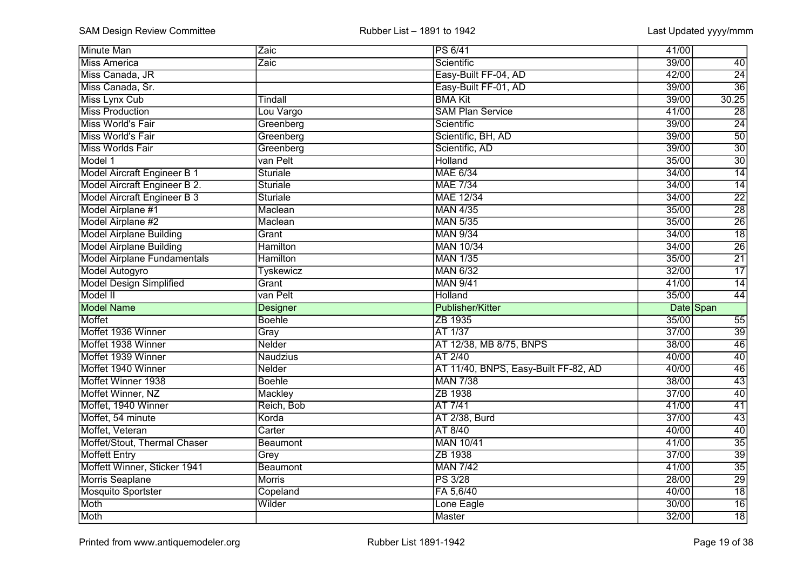| <b>Minute Man</b>                  | Zaic             | PS 6/41                              | 41/00 |                 |
|------------------------------------|------------------|--------------------------------------|-------|-----------------|
| <b>Miss America</b>                | Zaic             | Scientific                           | 39/00 | 40              |
| Miss Canada, JR                    |                  | Easy-Built FF-04, AD                 | 42/00 | $\overline{24}$ |
| Miss Canada, Sr.                   |                  | Easy-Built FF-01, AD                 | 39/00 | $\overline{36}$ |
| Miss Lynx Cub                      | Tindall          | <b>BMA Kit</b>                       | 39/00 | 30.25           |
| <b>Miss Production</b>             | Lou Vargo        | <b>SAM Plan Service</b>              | 41/00 | $\overline{28}$ |
| Miss World's Fair                  | Greenberg        | Scientific                           | 39/00 | $\overline{24}$ |
| Miss World's Fair                  | Greenberg        | Scientific, BH, AD                   | 39/00 | $\overline{50}$ |
| <b>Miss Worlds Fair</b>            | Greenberg        | Scientific, AD                       | 39/00 | $\overline{30}$ |
| Model 1                            | van Pelt         | <b>Holland</b>                       | 35/00 | $\overline{30}$ |
| Model Aircraft Engineer B 1        | Sturiale         | <b>MAE 6/34</b>                      | 34/00 | $\overline{14}$ |
| Model Aircraft Engineer B 2.       | Sturiale         | <b>MAE 7/34</b>                      | 34/00 | $\overline{14}$ |
| <b>Model Aircraft Engineer B 3</b> | <b>Sturiale</b>  | <b>MAE 12/34</b>                     | 34/00 | $\overline{22}$ |
| Model Airplane #1                  | Maclean          | <b>MAN 4/35</b>                      | 35/00 | $\overline{28}$ |
| Model Airplane #2                  | Maclean          | <b>MAN 5/35</b>                      | 35/00 | $\overline{26}$ |
| <b>Model Airplane Building</b>     | Grant            | <b>MAN 9/34</b>                      | 34/00 | $\overline{18}$ |
| <b>Model Airplane Building</b>     | Hamilton         | <b>MAN 10/34</b>                     | 34/00 | $\overline{26}$ |
| <b>Model Airplane Fundamentals</b> | <b>Hamilton</b>  | <b>MAN 1/35</b>                      | 35/00 | $\overline{21}$ |
| Model Autogyro                     | <b>Tyskewicz</b> | <b>MAN 6/32</b>                      | 32/00 | 17              |
| <b>Model Design Simplified</b>     | Grant            | <b>MAN 9/41</b>                      | 41/00 | 14              |
| Model II                           | van Pelt         | Holland                              | 35/00 | 44              |
| <b>Model Name</b>                  | <b>Designer</b>  | Publisher/Kitter                     |       | Date Span       |
| <b>Moffet</b>                      | <b>Boehle</b>    | ZB 1935                              | 35/00 | $\overline{55}$ |
| Moffet 1936 Winner                 | Gray             | AT 1/37                              | 37/00 | $\overline{39}$ |
| Moffet 1938 Winner                 | <b>Nelder</b>    | AT 12/38, MB 8/75, BNPS              | 38/00 | $\overline{46}$ |
| Moffet 1939 Winner                 | <b>Naudzius</b>  | AT 2/40                              | 40/00 | $\overline{40}$ |
| Moffet 1940 Winner                 | Nelder           | AT 11/40, BNPS, Easy-Built FF-82, AD | 40/00 | $\overline{46}$ |
| Moffet Winner 1938                 | <b>Boehle</b>    | <b>MAN 7/38</b>                      | 38/00 | $\overline{43}$ |
| Moffet Winner, NZ                  | Mackley          | ZB 1938                              | 37/00 | $\overline{40}$ |
| Moffet, 1940 Winner                | Reich, Bob       | AT 7/41                              | 41/00 | $\overline{41}$ |
| Moffet, 54 minute                  | Korda            | AT 2/38, Burd                        | 37/00 | $\overline{43}$ |
| Moffet, Veteran                    | Carter           | AT 8/40                              | 40/00 | $\overline{40}$ |
| Moffet/Stout, Thermal Chaser       | Beaumont         | <b>MAN 10/41</b>                     | 41/00 | $\overline{35}$ |
| <b>Moffett Entry</b>               | Grey             | ZB 1938                              | 37/00 | $\overline{39}$ |
| Moffett Winner, Sticker 1941       | Beaumont         | <b>MAN 7/42</b>                      | 41/00 | $\overline{35}$ |
| <b>Morris Seaplane</b>             | <b>Morris</b>    | <b>PS 3/28</b>                       | 28/00 | 29              |
| <b>Mosquito Sportster</b>          | Copeland         | FA 5,6/40                            | 40/00 | $\overline{18}$ |
| Moth                               | Wilder           | Lone Eagle                           | 30/00 | $\overline{16}$ |
| Moth                               |                  | Master                               | 32/00 | $\overline{18}$ |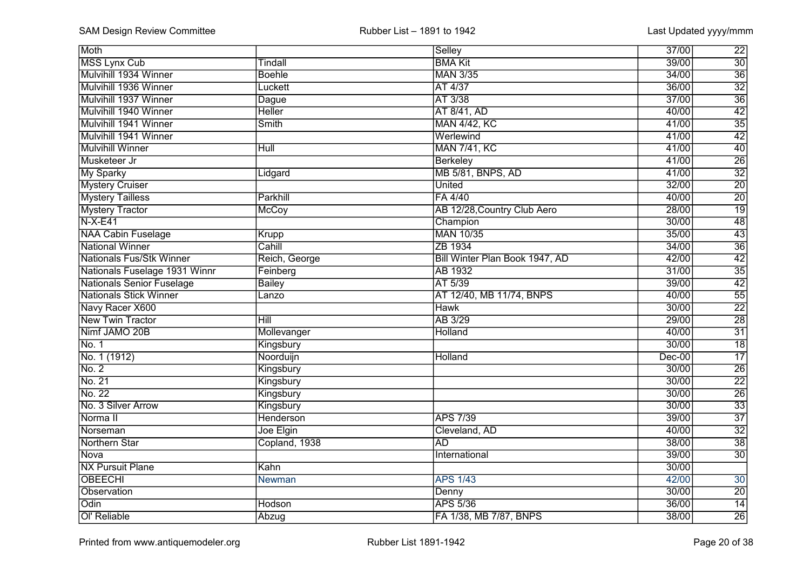| Moth                             |                | Selley                         | 37/00<br>$\overline{22}$    |
|----------------------------------|----------------|--------------------------------|-----------------------------|
| <b>MSS Lynx Cub</b>              | <b>Tindall</b> | <b>BMA Kit</b>                 | $\overline{30}$<br>39/00    |
| Mulvihill 1934 Winner            | <b>Boehle</b>  | <b>MAN 3/35</b>                | $\overline{36}$<br>34/00    |
| Mulvihill 1936 Winner            | Luckett        | AT 4/37                        | $\overline{32}$<br>36/00    |
| Mulvihill 1937 Winner            | Dague          | AT 3/38                        | $\overline{36}$<br>37/00    |
| Mulvihill 1940 Winner            | <b>Heller</b>  | AT 8/41, AD                    | $\overline{42}$<br>40/00    |
| Mulvihill 1941 Winner            | Smith          | <b>MAN 4/42, KC</b>            | $\frac{35}{42}$<br>41/00    |
| Mulvihill 1941 Winner            |                | Werlewind                      | 41/00                       |
| <b>Mulvihill Winner</b>          | Hull           | <b>MAN 7/41, KC</b>            | $\overline{40}$<br>41/00    |
| Musketeer Jr                     |                | <b>Berkeley</b>                | $\overline{26}$<br>41/00    |
| <b>My Sparky</b>                 | Lidgard        | <b>MB 5/81, BNPS, AD</b>       | $\overline{32}$<br>41/00    |
| <b>Mystery Cruiser</b>           |                | <b>United</b>                  | $\overline{20}$<br>32/00    |
| <b>Mystery Tailless</b>          | Parkhill       | FA 4/40                        | $\overline{20}$<br>40/00    |
| <b>Mystery Tractor</b>           | <b>McCoy</b>   | AB 12/28, Country Club Aero    | $\overline{19}$<br>28/00    |
| $N-X-E41$                        |                | Champion                       | 48<br>30/00                 |
| <b>NAA Cabin Fuselage</b>        | Krupp          | <b>MAN 10/35</b>               | $\overline{43}$<br>35/00    |
| <b>National Winner</b>           | Cahill         | ZB 1934                        | $\overline{36}$<br>34/00    |
| Nationals Fus/Stk Winner         | Reich, George  | Bill Winter Plan Book 1947, AD | 42<br>42/00                 |
| Nationals Fuselage 1931 Winnr    | Feinberg       | <b>AB 1932</b>                 | 31/00                       |
| <b>Nationals Senior Fuselage</b> | <b>Bailey</b>  | AT 5/39                        | $\frac{35}{42}$<br>39/00    |
| <b>Nationals Stick Winner</b>    | Lanzo          | AT 12/40, MB 11/74, BNPS       | $\overline{55}$<br>40/00    |
| Navy Racer X600                  |                | <b>Hawk</b>                    | $\overline{22}$<br>30/00    |
| <b>New Twin Tractor</b>          | Hill           | AB 3/29                        | $\overline{28}$<br>29/00    |
| Nimf JAMO 20B                    | Mollevanger    | <b>Holland</b>                 | $\overline{31}$<br>40/00    |
| No. 1                            | Kingsbury      |                                | $\overline{18}$<br>30/00    |
| No. 1 (1912)                     | Noorduijn      | <b>Holland</b>                 | $\overline{17}$<br>$Dec-00$ |
| No. 2                            | Kingsbury      |                                | $\overline{26}$<br>30/00    |
| No. 21                           | Kingsbury      |                                | $\overline{22}$<br>30/00    |
| No. 22                           | Kingsbury      |                                | $\overline{26}$<br>30/00    |
| No. 3 Silver Arrow               | Kingsbury      |                                | $\overline{33}$<br>30/00    |
| Norma <sub>II</sub>              | Henderson      | <b>APS 7/39</b>                | $\overline{37}$<br>39/00    |
| Norseman                         | Joe Elgin      | Cleveland, AD                  | $\overline{32}$<br>40/00    |
| <b>Northern Star</b>             | Copland, 1938  | <b>AD</b>                      | $\overline{38}$<br>38/00    |
| <b>Nova</b>                      |                | International                  | $\overline{30}$<br>39/00    |
| <b>NX Pursuit Plane</b>          | Kahn           |                                | 30/00                       |
| <b>OBEECHI</b>                   | Newman         | <b>APS 1/43</b>                | 42/00<br>30                 |
| Observation                      |                | Denny                          | $\overline{20}$<br>30/00    |
| Odin                             | Hodson         | <b>APS 5/36</b>                | 14<br>36/00                 |
| Ol' Reliable                     | Abzug          | FA 1/38, MB 7/87, BNPS         | $\overline{26}$<br>38/00    |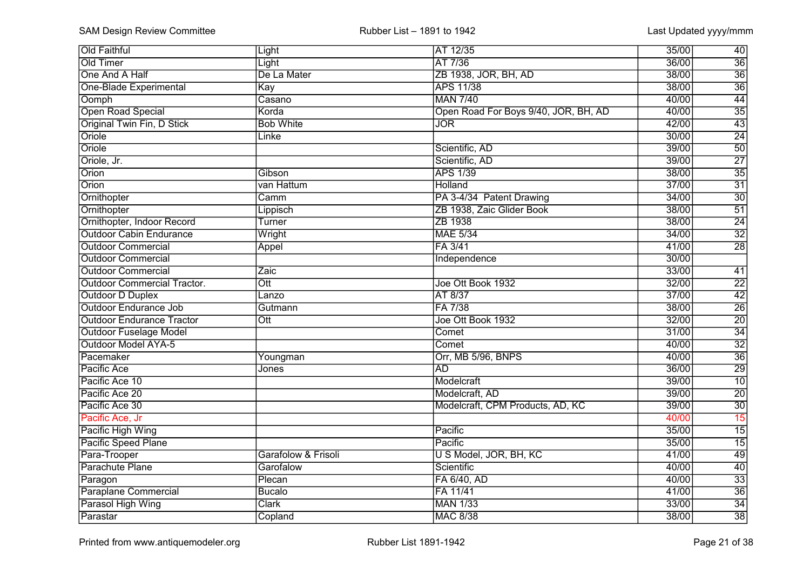| <b>Old Faithful</b>                | Light                    | AT 12/35                             | 35/00 | 40              |
|------------------------------------|--------------------------|--------------------------------------|-------|-----------------|
| Old Timer                          | Light                    | AT 7/36                              | 36/00 | 36              |
| One And A Half                     | De La Mater              | ZB 1938, JOR, BH, AD                 | 38/00 | $\overline{36}$ |
| One-Blade Experimental             | Kay                      | <b>APS 11/38</b>                     | 38/00 | $\overline{36}$ |
| Oomph                              | Casano                   | <b>MAN 7/40</b>                      | 40/00 | 44              |
| Open Road Special                  | Korda                    | Open Road For Boys 9/40, JOR, BH, AD | 40/00 | $\overline{35}$ |
| Original Twin Fin, D Stick         | <b>Bob White</b>         | $\overline{\text{JOR}}$              | 42/00 | $\overline{43}$ |
| Oriole                             | Linke                    |                                      | 30/00 | $\overline{24}$ |
| Oriole                             |                          | Scientific, AD                       | 39/00 | $\overline{50}$ |
| Oriole, Jr.                        |                          | Scientific, AD                       | 39/00 | $\overline{27}$ |
| Orion                              | Gibson                   | <b>APS 1/39</b>                      | 38/00 | $\overline{35}$ |
| Orion                              | van Hattum               | Holland                              | 37/00 | $\overline{31}$ |
| Ornithopter                        | $\overline{\text{Camm}}$ | PA 3-4/34 Patent Drawing             | 34/00 | $\overline{30}$ |
| Ornithopter                        | Lippisch                 | ZB 1938, Zaic Glider Book            | 38/00 | $\overline{51}$ |
| Ornithopter, Indoor Record         | Turner                   | ZB 1938                              | 38/00 | $\overline{24}$ |
| <b>Outdoor Cabin Endurance</b>     | Wright                   | <b>MAE 5/34</b>                      | 34/00 | $\overline{32}$ |
| <b>Outdoor Commercial</b>          | Appel                    | FA 3/41                              | 41/00 | $\overline{28}$ |
| <b>Outdoor Commercial</b>          |                          | Independence                         | 30/00 |                 |
| <b>Outdoor Commercial</b>          | Zaic                     |                                      | 33/00 | 41              |
| <b>Outdoor Commercial Tractor.</b> | $\overline{\text{Ott}}$  | Joe Ott Book 1932                    | 32/00 | $\overline{22}$ |
| <b>Outdoor D Duplex</b>            | Lanzo                    | AT 8/37                              | 37/00 | 42              |
| <b>Outdoor Endurance Job</b>       | Gutmann                  | FA 7/38                              | 38/00 | $\overline{26}$ |
| <b>Outdoor Endurance Tractor</b>   | Ott                      | Joe Ott Book 1932                    | 32/00 | $\overline{20}$ |
| <b>Outdoor Fuselage Model</b>      |                          | Comet                                | 31/00 | $\overline{34}$ |
| <b>Outdoor Model AYA-5</b>         |                          | Comet                                | 40/00 | $\overline{32}$ |
| Pacemaker                          | Youngman                 | Orr, MB 5/96, BNPS                   | 40/00 | $\overline{36}$ |
| Pacific Ace                        | Jones                    | <b>AD</b>                            | 36/00 | $\overline{29}$ |
| Pacific Ace 10                     |                          | Modelcraft                           | 39/00 | $\overline{10}$ |
| Pacific Ace 20                     |                          | Modelcraft, AD                       | 39/00 | $\overline{20}$ |
| Pacific Ace 30                     |                          | Modelcraft, CPM Products, AD, KC     | 39/00 | $\overline{30}$ |
| Pacific Ace, Jr                    |                          |                                      | 40/00 | 15              |
| Pacific High Wing                  |                          | Pacific                              | 35/00 | $\overline{15}$ |
| Pacific Speed Plane                |                          | Pacific                              | 35/00 | $\overline{15}$ |
| Para-Trooper                       | Garafolow & Frisoli      | U S Model, JOR, BH, KC               | 41/00 | 49              |
| Parachute Plane                    | Garofalow                | Scientific                           | 40/00 | 40              |
| Paragon                            | Plecan                   | FA 6/40, AD                          | 40/00 | $\overline{33}$ |
| <b>Paraplane Commercial</b>        | <b>Bucalo</b>            | FA 11/41                             | 41/00 | $\overline{36}$ |
| Parasol High Wing                  | <b>Clark</b>             | <b>MAN 1/33</b>                      | 33/00 | 34              |
| Parastar                           | Copland                  | <b>MAC 8/38</b>                      | 38/00 | $\overline{38}$ |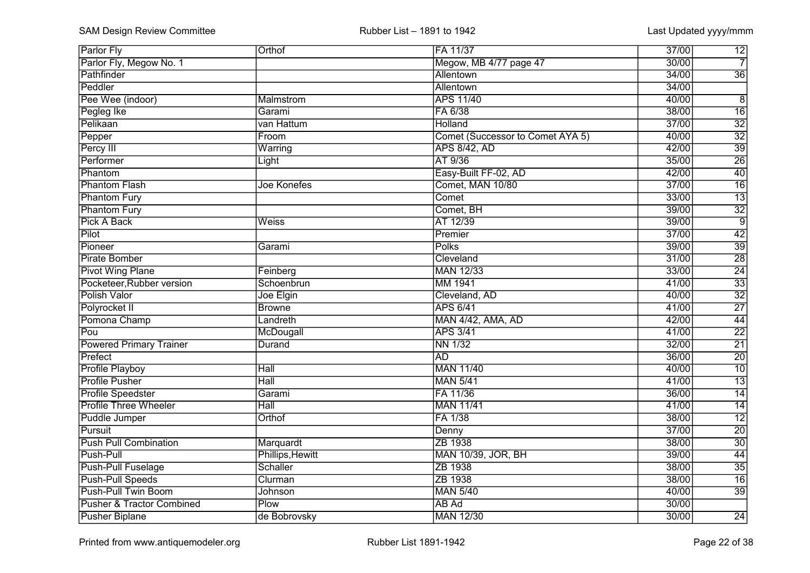| <b>Parlor Fly</b>                    | Orthof             | <b>FA 11/37</b>                  | 37/00<br>12              |
|--------------------------------------|--------------------|----------------------------------|--------------------------|
| Parlor Fly, Megow No. 1              |                    | Megow, MB 4/77 page 47           | $\overline{7}$<br>30/00  |
| Pathfinder                           |                    | Allentown                        | $\overline{36}$<br>34/00 |
| Peddler                              |                    | Allentown                        | 34/00                    |
| Pee Wee (indoor)                     | Malmstrom          | <b>APS 11/40</b>                 | 40/00<br>$\overline{8}$  |
| Pegleg Ike                           | Garami             | FA 6/38                          | $\overline{16}$<br>38/00 |
| Pelikaan                             | van Hattum         | Holland                          | $\overline{32}$<br>37/00 |
| Pepper                               | Froom              | Comet (Successor to Comet AYA 5) | $\overline{32}$<br>40/00 |
| Percy III                            | Warring            | <b>APS 8/42, AD</b>              | $\overline{39}$<br>42/00 |
| Performer                            | Light              | AT 9/36                          | $\overline{26}$<br>35/00 |
| Phantom                              |                    | Easy-Built FF-02, AD             | $\overline{40}$<br>42/00 |
| <b>Phantom Flash</b>                 | <b>Joe Konefes</b> | Comet, MAN 10/80                 | $\overline{16}$<br>37/00 |
| <b>Phantom Fury</b>                  |                    | Comet                            | $\overline{13}$<br>33/00 |
| <b>Phantom Fury</b>                  |                    | Comet, BH                        | $\overline{32}$<br>39/00 |
| Pick A Back                          | Weiss              | AT 12/39                         | $\overline{9}$<br>39/00  |
| Pilot                                |                    | Premier                          | $\overline{42}$<br>37/00 |
| Pioneer                              | Garami             | <b>Polks</b>                     | $\overline{39}$<br>39/00 |
| Pirate Bomber                        |                    | Cleveland                        | $\overline{28}$<br>31/00 |
| <b>Pivot Wing Plane</b>              | Feinberg           | <b>MAN 12/33</b>                 | $\frac{24}{33}$<br>33/00 |
| Pocketeer, Rubber version            | Schoenbrun         | MM 1941                          | 41/00                    |
| Polish Valor                         | Joe Elgin          | Cleveland, AD                    | $\overline{32}$<br>40/00 |
| Polyrocket II                        | <b>Browne</b>      | <b>APS 6/41</b>                  | $\overline{27}$<br>41/00 |
| Pomona Champ                         | Landreth           | <b>MAN 4/42, AMA, AD</b>         | 44<br>42/00              |
| Pou                                  | McDougall          | <b>APS 3/41</b>                  | $\overline{22}$<br>41/00 |
| <b>Powered Primary Trainer</b>       | Durand             | <b>NN 1/32</b>                   | $\overline{21}$<br>32/00 |
| Prefect                              |                    | $\overline{AD}$                  | $\overline{20}$<br>36/00 |
| <b>Profile Playboy</b>               | Hall               | <b>MAN 11/40</b>                 | $\overline{10}$<br>40/00 |
| <b>Profile Pusher</b>                | $\overline{Hall}$  | <b>MAN 5/41</b>                  | $\overline{13}$<br>41/00 |
| <b>Profile Speedster</b>             | Garami             | FA 11/36                         | $\overline{14}$<br>36/00 |
| <b>Profile Three Wheeler</b>         | $\overline{Hall}$  | <b>MAN 11/41</b>                 | $\overline{14}$<br>41/00 |
| Puddle Jumper                        | Orthof             | FA 1/38                          | $\overline{12}$<br>38/00 |
| Pursuit                              |                    | Denny                            | $\overline{20}$<br>37/00 |
| <b>Push Pull Combination</b>         | Marquardt          | ZB 1938                          | $\overline{30}$<br>38/00 |
| Push-Pull                            | Phillips, Hewitt   | <b>MAN 10/39, JOR, BH</b>        | $\overline{44}$<br>39/00 |
| <b>Push-Pull Fuselage</b>            | <b>Schaller</b>    | ZB 1938                          | $\overline{35}$<br>38/00 |
| <b>Push-Pull Speeds</b>              | Clurman            | ZB 1938                          | 16<br>38/00              |
| Push-Pull Twin Boom                  | Johnson            | <b>MAN 5/40</b>                  | $\overline{39}$<br>40/00 |
| <b>Pusher &amp; Tractor Combined</b> | Plow               | AB Ad                            | 30/00                    |
| <b>Pusher Biplane</b>                | de Bobrovsky       | <b>MAN 12/30</b>                 | 30/00<br>$\overline{24}$ |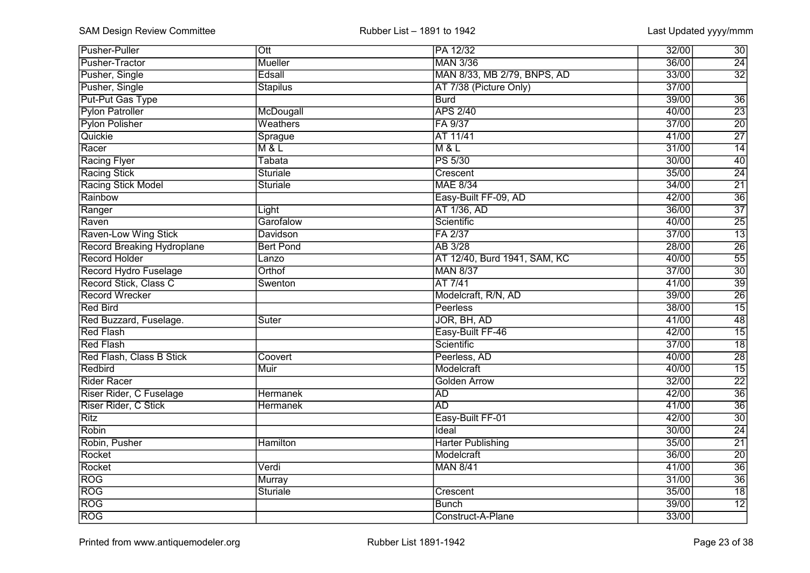| Pusher-Puller                     | Ott              | PA 12/32                     | 30<br>32/00              |
|-----------------------------------|------------------|------------------------------|--------------------------|
| Pusher-Tractor                    | <b>Mueller</b>   | <b>MAN 3/36</b>              | $\overline{24}$<br>36/00 |
| Pusher, Single                    | Edsall           | MAN 8/33, MB 2/79, BNPS, AD  | $\overline{32}$<br>33/00 |
| Pusher, Single                    | <b>Stapilus</b>  | AT 7/38 (Picture Only)       | 37/00                    |
| Put-Put Gas Type                  |                  | <b>Burd</b>                  | 39/00<br>$\overline{36}$ |
| <b>Pylon Patroller</b>            | McDougall        | <b>APS 2/40</b>              | $\overline{23}$<br>40/00 |
| <b>Pylon Polisher</b>             | Weathers         | FA 9/37                      | $\overline{20}$<br>37/00 |
| Quickie                           | Sprague          | AT 11/41                     | $\overline{27}$<br>41/00 |
| Racer                             | M & L            | M & L                        | $\overline{14}$<br>31/00 |
| <b>Racing Flyer</b>               | <b>Tabata</b>    | <b>PS 5/30</b>               | $\overline{40}$<br>30/00 |
| <b>Racing Stick</b>               | <b>Sturiale</b>  | Crescent                     | $\overline{24}$<br>35/00 |
| Racing Stick Model                | Sturiale         | <b>MAE 8/34</b>              | $\overline{21}$<br>34/00 |
| Rainbow                           |                  | Easy-Built FF-09, AD         | $\overline{36}$<br>42/00 |
| Ranger                            | Light            | AT 1/36, AD                  | $\overline{37}$<br>36/00 |
| Raven                             | Garofalow        | Scientific                   | $\overline{25}$<br>40/00 |
| Raven-Low Wing Stick              | <b>Davidson</b>  | FA 2/37                      | $\overline{13}$<br>37/00 |
| <b>Record Breaking Hydroplane</b> | <b>Bert Pond</b> | AB 3/28                      | $\overline{26}$<br>28/00 |
| <b>Record Holder</b>              | Lanzo            | AT 12/40, Burd 1941, SAM, KC | 55<br>40/00              |
| Record Hydro Fuselage             | Orthof           | <b>MAN 8/37</b>              | 30<br>37/00              |
| Record Stick, Class C             | Swenton          | AT 7/41                      | 39<br>41/00              |
| <b>Record Wrecker</b>             |                  | Modelcraft, R/N, AD          | $\overline{26}$<br>39/00 |
| Red Bird                          |                  | <b>Peerless</b>              | $\overline{15}$<br>38/00 |
| Red Buzzard, Fuselage.            | Suter            | JOR, BH, AD                  | 48<br>41/00              |
| <b>Red Flash</b>                  |                  | Easy-Built FF-46             | $\overline{15}$<br>42/00 |
| <b>Red Flash</b>                  |                  | Scientific                   | $\overline{18}$<br>37/00 |
| <b>Red Flash, Class B Stick</b>   | Coovert          | Peerless, AD                 | $\overline{28}$<br>40/00 |
| Redbird                           | Muir             | Modelcraft                   | $\overline{15}$<br>40/00 |
| Rider Racer                       |                  | <b>Golden Arrow</b>          | $\overline{22}$<br>32/00 |
| Riser Rider, C Fuselage           | <b>Hermanek</b>  | <b>AD</b>                    | $\overline{36}$<br>42/00 |
| Riser Rider, C Stick              | <b>Hermanek</b>  | <b>AD</b>                    | $\overline{36}$<br>41/00 |
| <b>Ritz</b>                       |                  | Easy-Built FF-01             | $\overline{30}$<br>42/00 |
| Robin                             |                  | Ideal                        | $\overline{24}$<br>30/00 |
| Robin, Pusher                     | <b>Hamilton</b>  | <b>Harter Publishing</b>     | $\overline{21}$<br>35/00 |
| Rocket                            |                  | Modelcraft                   | $\overline{20}$<br>36/00 |
| Rocket                            | Verdi            | <b>MAN 8/41</b>              | $\overline{36}$<br>41/00 |
| <b>ROG</b>                        | Murray           |                              | $\overline{36}$<br>31/00 |
| <b>ROG</b>                        | Sturiale         | Crescent                     | $\overline{18}$<br>35/00 |
| <b>ROG</b>                        |                  | <b>Bunch</b>                 | $\overline{12}$<br>39/00 |
| <b>ROG</b>                        |                  | Construct-A-Plane            | 33/00                    |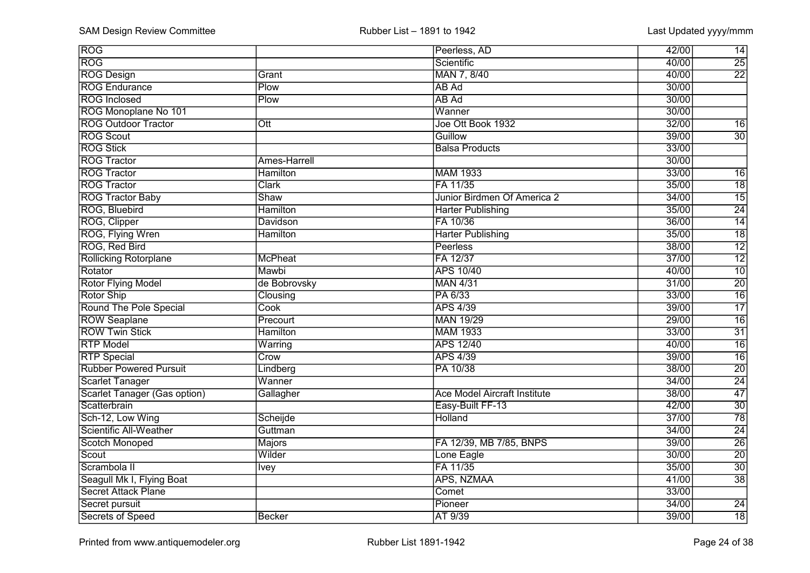| <b>ROG</b>                          |                  | Peerless, AD                        | 42/00<br>14              |
|-------------------------------------|------------------|-------------------------------------|--------------------------|
| <b>ROG</b>                          |                  | Scientific                          | 25<br>40/00              |
| <b>ROG Design</b>                   | Grant            | MAN 7, 8/40                         | $\overline{22}$<br>40/00 |
| <b>ROG Endurance</b>                | Plow             | AB Ad                               | 30/00                    |
| <b>ROG</b> Inclosed                 | Plow             | AB Ad                               | 30/00                    |
| ROG Monoplane No 101                |                  | Wanner                              | 30/00                    |
| <b>ROG Outdoor Tractor</b>          | $\overline{Ott}$ | Joe Ott Book 1932                   | 32/00<br>$\overline{16}$ |
| <b>ROG Scout</b>                    |                  | Guillow                             | 39/00<br>$\overline{30}$ |
| <b>ROG Stick</b>                    |                  | <b>Balsa Products</b>               | 33/00                    |
| <b>ROG Tractor</b>                  | Ames-Harrell     |                                     | 30/00                    |
| <b>ROG Tractor</b>                  | <b>Hamilton</b>  | <b>MAM 1933</b>                     | 33/00<br>$\overline{16}$ |
| <b>ROG Tractor</b>                  | <b>Clark</b>     | FA 11/35                            | $\overline{18}$<br>35/00 |
| <b>ROG Tractor Baby</b>             | Shaw             | Junior Birdmen Of America 2         | $\overline{15}$<br>34/00 |
| ROG, Bluebird                       | <b>Hamilton</b>  | <b>Harter Publishing</b>            | $\overline{24}$<br>35/00 |
| ROG, Clipper                        | Davidson         | FA 10/36                            | $\overline{14}$<br>36/00 |
| ROG, Flying Wren                    | <b>Hamilton</b>  | <b>Harter Publishing</b>            | $\overline{18}$<br>35/00 |
| ROG, Red Bird                       |                  | <b>Peerless</b>                     | $\overline{12}$<br>38/00 |
| <b>Rollicking Rotorplane</b>        | McPheat          | FA 12/37                            | $\overline{12}$<br>37/00 |
| Rotator                             | Mawbi            | <b>APS 10/40</b>                    | 10<br>40/00              |
| <b>Rotor Flying Model</b>           | de Bobrovsky     | <b>MAN 4/31</b>                     | 20<br>31/00              |
| Rotor Ship                          | Clousing         | PA 6/33                             | $\overline{16}$<br>33/00 |
| Round The Pole Special              | Cook             | <b>APS 4/39</b>                     | $\overline{17}$<br>39/00 |
| <b>ROW Seaplane</b>                 | Precourt         | <b>MAN 19/29</b>                    | $\overline{16}$<br>29/00 |
| <b>ROW Twin Stick</b>               | <b>Hamilton</b>  | <b>MAM 1933</b>                     | $\overline{31}$<br>33/00 |
| <b>RTP Model</b>                    | Warring          | <b>APS 12/40</b>                    | $\overline{16}$<br>40/00 |
| <b>RTP</b> Special                  | Crow             | <b>APS 4/39</b>                     | $\overline{16}$<br>39/00 |
| <b>Rubber Powered Pursuit</b>       | Lindberg         | PA 10/38                            | $\overline{20}$<br>38/00 |
| Scarlet Tanager                     | Wanner           |                                     | $\overline{24}$<br>34/00 |
| <b>Scarlet Tanager (Gas option)</b> | Gallagher        | <b>Ace Model Aircraft Institute</b> | $\overline{47}$<br>38/00 |
| Scatterbrain                        |                  | Easy-Built FF-13                    | $\overline{30}$<br>42/00 |
| Sch-12, Low Wing                    | Scheijde         | <b>Holland</b>                      | $\overline{78}$<br>37/00 |
| <b>Scientific All-Weather</b>       | Guttman          |                                     | $\overline{24}$<br>34/00 |
| <b>Scotch Monoped</b>               | Majors           | FA 12/39, MB 7/85, BNPS             | $\overline{26}$<br>39/00 |
| Scout                               | Wilder           | Lone Eagle                          | $\overline{20}$<br>30/00 |
| Scrambola II                        | <b>Ivey</b>      | FA 11/35                            | $\overline{30}$<br>35/00 |
| Seagull Mk I, Flying Boat           |                  | APS, NZMAA                          | $\overline{38}$<br>41/00 |
| <b>Secret Attack Plane</b>          |                  | Comet                               | 33/00                    |
| Secret pursuit                      |                  | Pioneer                             | 34/00<br>$\overline{24}$ |
| Secrets of Speed                    | Becker           | AT 9/39                             | 18<br>39/00              |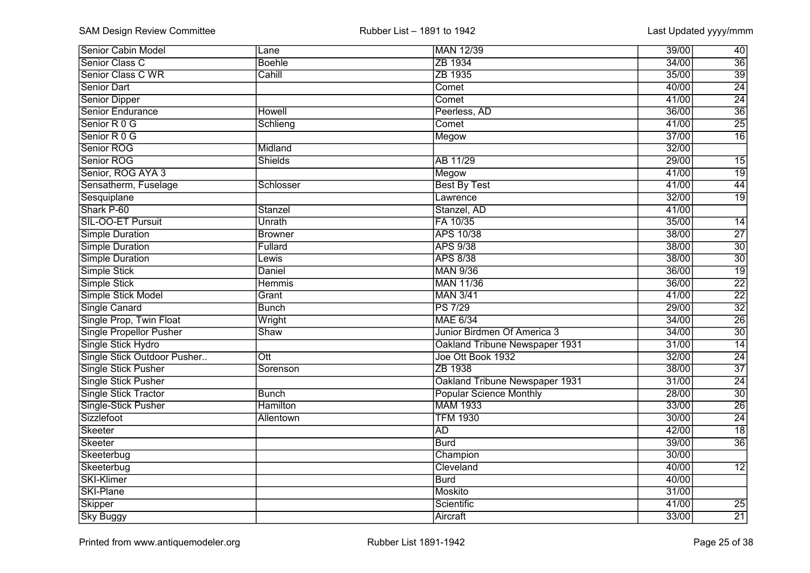| <b>Senior Cabin Model</b>      | Lane                    | MAN 12/39                      | 39/00<br>40              |
|--------------------------------|-------------------------|--------------------------------|--------------------------|
| Senior Class C                 | <b>Boehle</b>           | ZB 1934                        | $\overline{36}$<br>34/00 |
| Senior Class C WR              | Cahill                  | ZB 1935                        | $\overline{39}$<br>35/00 |
| <b>Senior Dart</b>             |                         | Comet                          | $\overline{24}$<br>40/00 |
| <b>Senior Dipper</b>           |                         | Comet                          | $\overline{24}$<br>41/00 |
| Senior Endurance               | <b>Howell</b>           | Peerless, AD                   | $\overline{36}$<br>36/00 |
| Senior R 0 G                   | Schlieng                | Comet                          | $\overline{25}$<br>41/00 |
| Senior R 0 G                   |                         | Megow                          | $\overline{16}$<br>37/00 |
| Senior ROG                     | Midland                 |                                | 32/00                    |
| Senior ROG                     | <b>Shields</b>          | AB 11/29                       | 29/00<br>$\overline{15}$ |
| Senior, ROG AYA 3              |                         | Megow                          | 41/00<br>$\overline{19}$ |
| Sensatherm, Fuselage           | Schlosser               | <b>Best By Test</b>            | $\overline{44}$<br>41/00 |
| Sesquiplane                    |                         | Lawrence                       | $\overline{19}$<br>32/00 |
| Shark P-60                     | Stanzel                 | Stanzel, AD                    | 41/00                    |
| SIL-OO-ET Pursuit              | Unrath                  | FA 10/35                       | 35/00<br>$\overline{14}$ |
| <b>Simple Duration</b>         | <b>Browner</b>          | APS 10/38                      | $\overline{27}$<br>38/00 |
| <b>Simple Duration</b>         | Fullard                 | <b>APS 9/38</b>                | $\overline{30}$<br>38/00 |
| <b>Simple Duration</b>         | Lewis                   | <b>APS 8/38</b>                | 30<br>38/00              |
| Simple Stick                   | Daniel                  | <b>MAN 9/36</b>                | $\overline{19}$<br>36/00 |
| Simple Stick                   | <b>Hemmis</b>           | <b>MAN 11/36</b>               | $\overline{22}$<br>36/00 |
| Simple Stick Model             | Grant                   | <b>MAN 3/41</b>                | $\overline{22}$<br>41/00 |
| Single Canard                  | <b>Bunch</b>            | <b>PS 7/29</b>                 | $\overline{32}$<br>29/00 |
| Single Prop, Twin Float        | Wright                  | <b>MAE 6/34</b>                | $\overline{26}$<br>34/00 |
| <b>Single Propellor Pusher</b> | Shaw                    | Junior Birdmen Of America 3    | $\overline{30}$<br>34/00 |
| Single Stick Hydro             |                         | Oakland Tribune Newspaper 1931 | $\overline{14}$<br>31/00 |
| Single Stick Outdoor Pusher    | $\overline{\text{Ott}}$ | Joe Ott Book 1932              | $\overline{24}$<br>32/00 |
| Single Stick Pusher            | Sorenson                | ZB 1938                        | $\overline{37}$<br>38/00 |
| <b>Single Stick Pusher</b>     |                         | Oakland Tribune Newspaper 1931 | $\overline{24}$<br>31/00 |
| <b>Single Stick Tractor</b>    | <b>Bunch</b>            | <b>Popular Science Monthly</b> | $\overline{30}$<br>28/00 |
| Single-Stick Pusher            | <b>Hamilton</b>         | <b>MAM 1933</b>                | $\overline{26}$<br>33/00 |
| Sizzlefoot                     | Allentown               | <b>TFM 1930</b>                | $\overline{24}$<br>30/00 |
| Skeeter                        |                         | <b>AD</b>                      | $\overline{18}$<br>42/00 |
| Skeeter                        |                         | <b>Burd</b>                    | $\overline{36}$<br>39/00 |
| Skeeterbug                     |                         | Champion                       | 30/00                    |
| Skeeterbug                     |                         | Cleveland                      | 40/00<br>$\overline{12}$ |
| <b>SKI-Klimer</b>              |                         | <b>Burd</b>                    | 40/00                    |
| SKI-Plane                      |                         | Moskito                        | 31/00                    |
| Skipper                        |                         | Scientific                     | 41/00<br>$\overline{25}$ |
| <b>Sky Buggy</b>               |                         | Aircraft                       | 33/00<br>21              |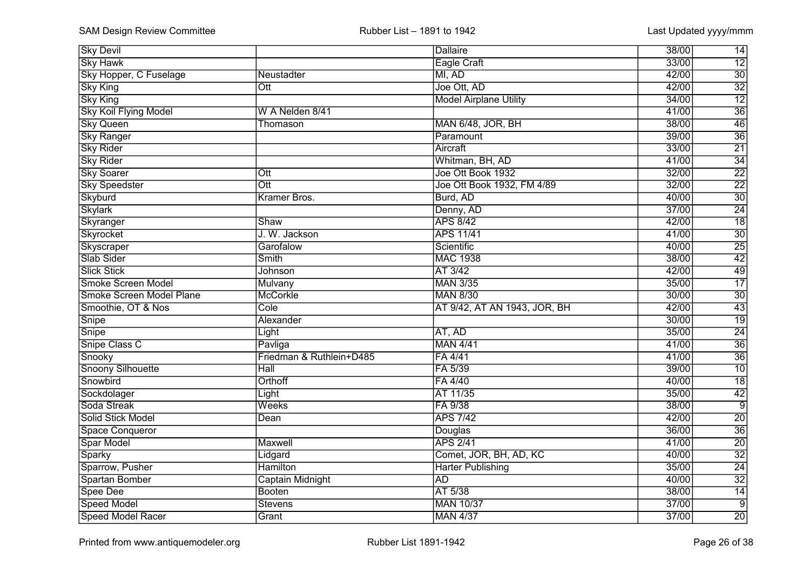| <b>Sky Devil</b>             |                            | <b>Dallaire</b>               | 38/00<br>14              |
|------------------------------|----------------------------|-------------------------------|--------------------------|
| <b>Sky Hawk</b>              |                            | <b>Eagle Craft</b>            | $\overline{12}$<br>33/00 |
| Sky Hopper, C Fuselage       | Neustadter                 | MI, AD                        | $\overline{30}$<br>42/00 |
| <b>Sky King</b>              | $\overline{\text{Ott}}$    | Joe Ott, AD                   | $\overline{32}$<br>42/00 |
| <b>Sky King</b>              |                            | <b>Model Airplane Utility</b> | $\overline{12}$<br>34/00 |
| <b>Sky Koil Flying Model</b> | W A Nelden 8/41            |                               | $\overline{36}$<br>41/00 |
| <b>Sky Queen</b>             | Thomason                   | MAN 6/48, JOR, BH             | $\overline{46}$<br>38/00 |
| <b>Sky Ranger</b>            |                            | Paramount                     | $\overline{36}$<br>39/00 |
| <b>Sky Rider</b>             |                            | Aircraft                      | $\overline{21}$<br>33/00 |
| <b>Sky Rider</b>             |                            | Whitman, BH, AD               | $\overline{34}$<br>41/00 |
| <b>Sky Soarer</b>            | $\overline{\text{Ott}}$    | Joe Ott Book 1932             | $\overline{22}$<br>32/00 |
| <b>Sky Speedster</b>         | $\overline{\text{Out}}$    | Joe Ott Book 1932, FM 4/89    | $\overline{22}$<br>32/00 |
| Skyburd                      | Kramer Bros.               | Burd, AD                      | $\overline{30}$<br>40/00 |
| <b>Skylark</b>               |                            | Denny, AD                     | $\overline{24}$<br>37/00 |
| Skyranger                    | Shaw                       | <b>APS 8/42</b>               | $\overline{18}$<br>42/00 |
| Skyrocket                    | J. W. Jackson              | <b>APS 11/41</b>              | $\overline{30}$<br>41/00 |
| Skyscraper                   | Garofalow                  | Scientific                    | $\overline{25}$<br>40/00 |
| Slab Sider                   | Smith                      | <b>MAC 1938</b>               | 42<br>38/00              |
| <b>Slick Stick</b>           | Johnson                    | AT 3/42                       | 49<br>42/00              |
| <b>Smoke Screen Model</b>    | Mulvany                    | <b>MAN 3/35</b>               | 17<br>35/00              |
| Smoke Screen Model Plane     | <b>McCorkle</b>            | <b>MAN 8/30</b>               | $\overline{30}$<br>30/00 |
| Smoothie, OT & Nos           | Cole                       | AT 9/42, AT AN 1943, JOR, BH  | $\overline{43}$<br>42/00 |
| Snipe                        | Alexander                  |                               | $\overline{19}$<br>30/00 |
| Snipe                        | Light                      | AT, AD                        | $\overline{24}$<br>35/00 |
| Snipe Class C                | Pavliga                    | <b>MAN 4/41</b>               | $\overline{36}$<br>41/00 |
| Snooky                       | Friedman & Ruthlein+D485   | FA 4/41                       | $\overline{36}$<br>41/00 |
| Snoony Silhouette            | $\overline{\mathsf{Hall}}$ | FA 5/39                       | $\overline{10}$<br>39/00 |
| Snowbird                     | Orthoff                    | FA 4/40                       | $\overline{18}$<br>40/00 |
| Sockdolager                  | Light                      | AT 11/35                      | $\overline{42}$<br>35/00 |
| Soda Streak                  | Weeks                      | FA 9/38                       | $\overline{9}$<br>38/00  |
| Solid Stick Model            | Dean                       | <b>APS 7/42</b>               | $\overline{20}$<br>42/00 |
| <b>Space Conqueror</b>       |                            | Douglas                       | $\overline{36}$<br>36/00 |
| Spar Model                   | <b>Maxwell</b>             | <b>APS 2/41</b>               | $\overline{20}$<br>41/00 |
| Sparky                       | Lidgard                    | Comet, JOR, BH, AD, KC        | $\overline{32}$<br>40/00 |
| Sparrow, Pusher              | <b>Hamilton</b>            | <b>Harter Publishing</b>      | $\overline{24}$<br>35/00 |
| Spartan Bomber               | Captain Midnight           | <b>AD</b>                     | $\overline{32}$<br>40/00 |
| Spee Dee                     | Booten                     | AT 5/38                       | 14<br>38/00              |
| <b>Speed Model</b>           | <b>Stevens</b>             | <b>MAN 10/37</b>              | $\overline{9}$<br>37/00  |
| Speed Model Racer            | Grant                      | <b>MAN 4/37</b>               | $\overline{20}$<br>37/00 |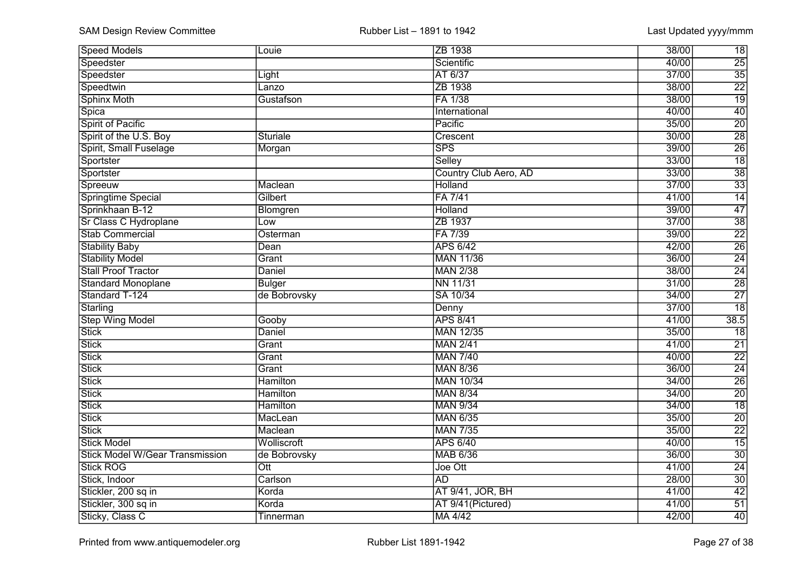| <b>Speed Models</b>                    | Louie                   | ZB 1938                 | 38/00 | 18              |
|----------------------------------------|-------------------------|-------------------------|-------|-----------------|
| Speedster                              |                         | Scientific              | 40/00 | 25              |
| Speedster                              | Light                   | AT 6/37                 | 37/00 | $\overline{35}$ |
| Speedtwin                              | Lanzo                   | ZB 1938                 | 38/00 | $\overline{22}$ |
| <b>Sphinx Moth</b>                     | Gustafson               | FA 1/38                 | 38/00 | $\overline{19}$ |
| Spica                                  |                         | International           | 40/00 | 40              |
| Spirit of Pacific                      |                         | Pacific                 | 35/00 | $\overline{20}$ |
| Spirit of the U.S. Boy                 | <b>Sturiale</b>         | Crescent                | 30/00 | $\overline{28}$ |
| Spirit, Small Fuselage                 | Morgan                  | $\overline{\text{SPS}}$ | 39/00 | $\overline{26}$ |
| Sportster                              |                         | Selley                  | 33/00 | $\overline{18}$ |
| Sportster                              |                         | Country Club Aero, AD   | 33/00 | $\overline{38}$ |
| Spreeuw                                | Maclean                 | <b>Holland</b>          | 37/00 | $\overline{33}$ |
| Springtime Special                     | Gilbert                 | FA 7/41                 | 41/00 | $\overline{14}$ |
| Sprinkhaan B-12                        | <b>Blomgren</b>         | <b>Holland</b>          | 39/00 | 47              |
| Sr Class C Hydroplane                  | LOW                     | ZB 1937                 | 37/00 | $\overline{38}$ |
| <b>Stab Commercial</b>                 | Osterman                | FA 7/39                 | 39/00 | $\overline{22}$ |
| <b>Stability Baby</b>                  | Dean                    | <b>APS 6/42</b>         | 42/00 | $\overline{26}$ |
| <b>Stability Model</b>                 | Grant                   | <b>MAN 11/36</b>        | 36/00 | 24              |
| <b>Stall Proof Tractor</b>             | Daniel                  | <b>MAN 2/38</b>         | 38/00 | $\overline{24}$ |
| <b>Standard Monoplane</b>              | <b>Bulger</b>           | <b>NN 11/31</b>         | 31/00 | $\overline{28}$ |
| Standard T-124                         | de Bobrovsky            | SA 10/34                | 34/00 | $\overline{27}$ |
| Starling                               |                         | Denny                   | 37/00 | $\overline{18}$ |
| <b>Step Wing Model</b>                 | Gooby                   | <b>APS 8/41</b>         | 41/00 | 38.5            |
| <b>Stick</b>                           | Daniel                  | <b>MAN 12/35</b>        | 35/00 | $\overline{18}$ |
| <b>Stick</b>                           | Grant                   | <b>MAN 2/41</b>         | 41/00 | $\overline{21}$ |
| <b>Stick</b>                           | Grant                   | <b>MAN 7/40</b>         | 40/00 | $\overline{22}$ |
| <b>Stick</b>                           | Grant                   | <b>MAN 8/36</b>         | 36/00 | $\overline{24}$ |
| <b>Stick</b>                           | <b>Hamilton</b>         | <b>MAN 10/34</b>        | 34/00 | $\overline{26}$ |
| <b>Stick</b>                           | <b>Hamilton</b>         | <b>MAN 8/34</b>         | 34/00 | $\overline{20}$ |
| <b>Stick</b>                           | <b>Hamilton</b>         | <b>MAN 9/34</b>         | 34/00 | $\overline{18}$ |
| <b>Stick</b>                           | MacLean                 | <b>MAN 6/35</b>         | 35/00 | $\overline{20}$ |
| <b>Stick</b>                           | Maclean                 | <b>MAN 7/35</b>         | 35/00 | $\overline{22}$ |
| <b>Stick Model</b>                     | Wolliscroft             | <b>APS 6/40</b>         | 40/00 | $\overline{15}$ |
| <b>Stick Model W/Gear Transmission</b> | de Bobrovsky            | <b>MAB 6/36</b>         | 36/00 | $\overline{30}$ |
| <b>Stick ROG</b>                       | $\overline{\text{Out}}$ | Joe Ott                 | 41/00 | $\overline{24}$ |
| Stick, Indoor                          | Carlson                 | <b>AD</b>               | 28/00 | 30              |
| Stickler, 200 sq in                    | Korda                   | AT 9/41, JOR, BH        | 41/00 | 42              |
| Stickler, 300 sq in                    | Korda                   | AT 9/41(Pictured)       | 41/00 | 51              |
| Sticky, Class C                        | Tinnerman               | MA 4/42                 | 42/00 | 40              |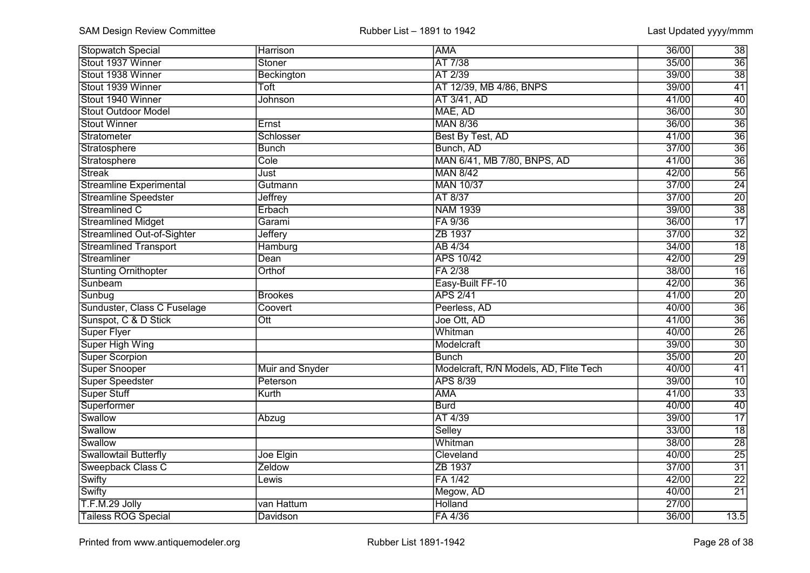| <b>Stopwatch Special</b>          | Harrison               | <b>AMA</b>                             | 36/00 | 38              |
|-----------------------------------|------------------------|----------------------------------------|-------|-----------------|
| Stout 1937 Winner                 | Stoner                 | AT 7/38                                | 35/00 | $\overline{36}$ |
| Stout 1938 Winner                 | Beckington             | AT 2/39                                | 39/00 | $\overline{38}$ |
| Stout 1939 Winner                 | Toft                   | AT 12/39, MB 4/86, BNPS                | 39/00 | $\overline{41}$ |
| Stout 1940 Winner                 | Johnson                | AT 3/41, AD                            | 41/00 | 40              |
| Stout Outdoor Model               |                        | MAE, AD                                | 36/00 | $\overline{30}$ |
| Stout Winner                      | Ernst                  | <b>MAN 8/36</b>                        | 36/00 | $\overline{36}$ |
| Stratometer                       | Schlosser              | Best By Test, AD                       | 41/00 | $\overline{36}$ |
| Stratosphere                      | <b>Bunch</b>           | Bunch, AD                              | 37/00 | $\overline{36}$ |
| Stratosphere                      | Cole                   | MAN 6/41, MB 7/80, BNPS, AD            | 41/00 | $\overline{36}$ |
| <b>Streak</b>                     | Just                   | <b>MAN 8/42</b>                        | 42/00 | $\overline{56}$ |
| <b>Streamline Experimental</b>    | Gutmann                | <b>MAN 10/37</b>                       | 37/00 | $\overline{24}$ |
| <b>Streamline Speedster</b>       | <b>Jeffrey</b>         | AT 8/37                                | 37/00 | $\overline{20}$ |
| Streamlined C                     | Erbach                 | <b>NAM 1939</b>                        | 39/00 | $\overline{38}$ |
| <b>Streamlined Midget</b>         | Garami                 | FA 9/36                                | 36/00 | $\overline{17}$ |
| <b>Streamlined Out-of-Sighter</b> | Jeffery                | ZB 1937                                | 37/00 | $\overline{32}$ |
| <b>Streamlined Transport</b>      | Hamburg                | AB 4/34                                | 34/00 | $\overline{18}$ |
| Streamliner                       | Dean                   | <b>APS 10/42</b>                       | 42/00 | 29              |
| <b>Stunting Ornithopter</b>       | Orthof                 | FA 2/38                                | 38/00 | $\overline{16}$ |
| Sunbeam                           |                        | Easy-Built FF-10                       | 42/00 | $\overline{36}$ |
| Sunbug                            | <b>Brookes</b>         | <b>APS 2/41</b>                        | 41/00 | $\overline{20}$ |
| Sunduster, Class C Fuselage       | Coovert                | Peerless, AD                           | 40/00 | $\overline{36}$ |
| Sunspot, C & D Stick              | Ott                    | Joe Ott, AD                            | 41/00 | $\overline{36}$ |
| <b>Super Flyer</b>                |                        | Whitman                                | 40/00 | $\overline{26}$ |
| Super High Wing                   |                        | Modelcraft                             | 39/00 | $\overline{30}$ |
| <b>Super Scorpion</b>             |                        | <b>Bunch</b>                           | 35/00 | $\overline{20}$ |
| Super Snooper                     | <b>Muir and Snyder</b> | Modelcraft, R/N Models, AD, Flite Tech | 40/00 | $\overline{41}$ |
| Super Speedster                   | Peterson               | <b>APS 8/39</b>                        | 39/00 | $\overline{10}$ |
| Super Stuff                       | Kurth                  | <b>AMA</b>                             | 41/00 | $\overline{33}$ |
| Superformer                       |                        | <b>Burd</b>                            | 40/00 | $\overline{40}$ |
| Swallow                           | Abzug                  | AT 4/39                                | 39/00 | $\overline{17}$ |
| Swallow                           |                        | Selley                                 | 33/00 | $\overline{18}$ |
| Swallow                           |                        | Whitman                                | 38/00 | $\overline{28}$ |
| <b>Swallowtail Butterfly</b>      | Joe Elgin              | Cleveland                              | 40/00 | $\overline{25}$ |
| Sweepback Class C                 | Zeldow                 | ZB 1937                                | 37/00 | $\overline{31}$ |
| Swifty                            | Lewis                  | FA 1/42                                | 42/00 | $\overline{22}$ |
| Swifty                            |                        | Megow, AD                              | 40/00 | $\overline{21}$ |
| T.F.M.29 Jolly                    | van Hattum             | Holland                                | 27/00 |                 |
| <b>Tailess ROG Special</b>        | Davidson               | FA 4/36                                | 36/00 | 13.5            |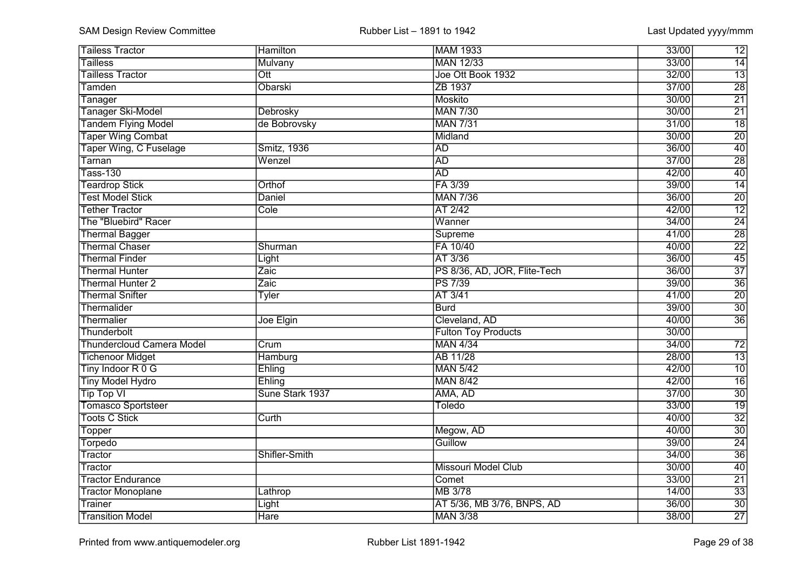| <b>Tailess Tractor</b>           | <b>Hamilton</b> | MAM 1933                     | 33/00<br>12              |
|----------------------------------|-----------------|------------------------------|--------------------------|
| <b>Tailless</b>                  | Mulvany         | <b>MAN 12/33</b>             | 14<br>33/00              |
| <b>Tailless Tractor</b>          | Ott             | Joe Ott Book 1932            | $\overline{13}$<br>32/00 |
| Tamden                           | Obarski         | ZB 1937                      | $\overline{28}$<br>37/00 |
| Tanager                          |                 | Moskito                      | $\overline{21}$<br>30/00 |
| <b>Tanager Ski-Model</b>         | Debrosky        | <b>MAN 7/30</b>              | $\overline{21}$<br>30/00 |
| <b>Tandem Flying Model</b>       | de Bobrovsky    | <b>MAN 7/31</b>              | $\overline{18}$<br>31/00 |
| <b>Taper Wing Combat</b>         |                 | Midland                      | $\overline{20}$<br>30/00 |
| Taper Wing, C Fuselage           | Smitz, 1936     | <b>AD</b>                    | $\overline{40}$<br>36/00 |
| Tarnan                           | Wenzel          | <b>AD</b>                    | $\overline{28}$<br>37/00 |
| <b>Tass-130</b>                  |                 | <b>AD</b>                    | $\overline{40}$<br>42/00 |
| <b>Teardrop Stick</b>            | Orthof          | FA 3/39                      | $\overline{14}$<br>39/00 |
| <b>Test Model Stick</b>          | Daniel          | <b>MAN 7/36</b>              | $\overline{20}$<br>36/00 |
| <b>Tether Tractor</b>            | Cole            | AT 2/42                      | $\overline{12}$<br>42/00 |
| The "Bluebird" Racer             |                 | Wanner                       | $\overline{24}$<br>34/00 |
| <b>Thermal Bagger</b>            |                 | Supreme                      | $\overline{28}$<br>41/00 |
| <b>Thermal Chaser</b>            | Shurman         | FA 10/40                     | $\overline{22}$<br>40/00 |
| <b>Thermal Finder</b>            | Light           | AT 3/36                      | 45<br>36/00              |
| <b>Thermal Hunter</b>            | Zaic            | PS 8/36, AD, JOR, Flite-Tech | 37<br>36/00              |
| <b>Thermal Hunter 2</b>          | Zaic            | PS 7/39                      | $\overline{36}$<br>39/00 |
| <b>Thermal Snifter</b>           | <b>Tyler</b>    | AT 3/41                      | $\overline{20}$<br>41/00 |
| Thermalider                      |                 | <b>Burd</b>                  | $\overline{30}$<br>39/00 |
| Thermalier                       | Joe Elgin       | Cleveland, AD                | $\overline{36}$<br>40/00 |
| Thunderbolt                      |                 | <b>Fulton Toy Products</b>   | 30/00                    |
| <b>Thundercloud Camera Model</b> | Crum            | <b>MAN 4/34</b>              | 34/00<br>$\overline{72}$ |
| <b>Tichenoor Midget</b>          | Hamburg         | AB 11/28                     | $\overline{13}$<br>28/00 |
| Tiny Indoor R 0 G                | Ehling          | <b>MAN 5/42</b>              | $\overline{10}$<br>42/00 |
| <b>Tiny Model Hydro</b>          | Ehling          | <b>MAN 8/42</b>              | $\overline{16}$<br>42/00 |
| <b>Tip Top VI</b>                | Sune Stark 1937 | AMA, AD                      | $\overline{30}$<br>37/00 |
| <b>Tomasco Sportsteer</b>        |                 | <b>Toledo</b>                | $\overline{19}$<br>33/00 |
| <b>Toots C Stick</b>             | Curth           |                              | $\overline{32}$<br>40/00 |
| Topper                           |                 | Megow, AD                    | $\overline{30}$<br>40/00 |
| Torpedo                          |                 | Guillow                      | $\overline{24}$<br>39/00 |
| Tractor                          | Shifler-Smith   |                              | $\overline{36}$<br>34/00 |
| Tractor                          |                 | <b>Missouri Model Club</b>   | 40<br>30/00              |
| <b>Tractor Endurance</b>         |                 | Comet                        | 21<br>33/00              |
| <b>Tractor Monoplane</b>         | Lathrop         | MB 3/78                      | $\overline{33}$<br>14/00 |
| Trainer                          | Light           | AT 5/36, MB 3/76, BNPS, AD   | $\overline{30}$<br>36/00 |
| <b>Transition Model</b>          | <b>Hare</b>     | <b>MAN 3/38</b>              | $\overline{27}$<br>38/00 |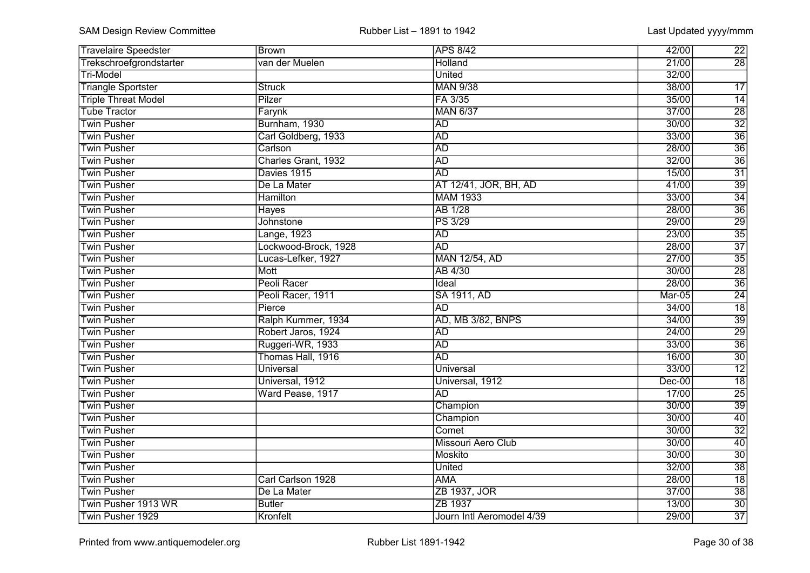| <b>Travelaire Speedster</b> | Brown                | <b>APS 8/42</b>           | 42/00    | 22              |
|-----------------------------|----------------------|---------------------------|----------|-----------------|
| Trekschroefgrondstarter     | van der Muelen       | Holland                   | 21/00    | $\overline{28}$ |
| <b>Tri-Model</b>            |                      | <b>United</b>             | 32/00    |                 |
| <b>Triangle Sportster</b>   | <b>Struck</b>        | <b>MAN 9/38</b>           | 38/00    | $\overline{17}$ |
| <b>Triple Threat Model</b>  | Pilzer               | FA 3/35                   | 35/00    | 14              |
| <b>Tube Tractor</b>         | Farynk               | <b>MAN 6/37</b>           | 37/00    | $\overline{28}$ |
| <b>Twin Pusher</b>          | Burnham, 1930        | <b>AD</b>                 | 30/00    | $\overline{32}$ |
| <b>Twin Pusher</b>          | Carl Goldberg, 1933  | <b>AD</b>                 | 33/00    | $\overline{36}$ |
| <b>Twin Pusher</b>          | Carlson              | <b>AD</b>                 | 28/00    | $\overline{36}$ |
| <b>Twin Pusher</b>          | Charles Grant, 1932  | <b>AD</b>                 | 32/00    | $\overline{36}$ |
| <b>Twin Pusher</b>          | Davies 1915          | <b>AD</b>                 | 15/00    | $\overline{31}$ |
| <b>Twin Pusher</b>          | De La Mater          | AT 12/41, JOR, BH, AD     | 41/00    | $\overline{39}$ |
| <b>Twin Pusher</b>          | <b>Hamilton</b>      | <b>MAM 1933</b>           | 33/00    | $\overline{34}$ |
| <b>Twin Pusher</b>          | <b>Hayes</b>         | <b>AB 1/28</b>            | 28/00    | $\overline{36}$ |
| <b>Twin Pusher</b>          | Johnstone            | <b>PS 3/29</b>            | 29/00    | $\overline{29}$ |
| <b>Twin Pusher</b>          | Lange, 1923          | <b>AD</b>                 | 23/00    | $\overline{35}$ |
| <b>Twin Pusher</b>          | Lockwood-Brock, 1928 | <b>AD</b>                 | 28/00    | $\overline{37}$ |
| <b>Twin Pusher</b>          | Lucas-Lefker, 1927   | MAN 12/54, AD             | 27/00    | $\overline{35}$ |
| <b>Twin Pusher</b>          | Mott                 | AB 4/30                   | 30/00    | 28              |
| <b>Twin Pusher</b>          | Peoli Racer          | Ideal                     | 28/00    | $\overline{36}$ |
| <b>Twin Pusher</b>          | Peoli Racer, 1911    | <b>SA 1911, AD</b>        | Mar-05   | $\overline{24}$ |
| <b>Twin Pusher</b>          | Pierce               | AD                        | 34/00    | $\overline{18}$ |
| <b>Twin Pusher</b>          | Ralph Kummer, 1934   | AD, MB 3/82, BNPS         | 34/00    | $\overline{39}$ |
| <b>Twin Pusher</b>          | Robert Jaros, 1924   | <b>AD</b>                 | 24/00    | $\overline{29}$ |
| <b>Twin Pusher</b>          | Ruggeri-WR, 1933     | <b>AD</b>                 | 33/00    | $\overline{36}$ |
| <b>Twin Pusher</b>          | Thomas Hall, 1916    | <b>AD</b>                 | 16/00    | $\overline{30}$ |
| <b>Twin Pusher</b>          | <b>Universal</b>     | <b>Universal</b>          | 33/00    | $\overline{12}$ |
| <b>Twin Pusher</b>          | Universal, 1912      | Universal, 1912           | $Dec-00$ | $\overline{18}$ |
| <b>Twin Pusher</b>          | Ward Pease, 1917     | <b>AD</b>                 | 17/00    | $\overline{25}$ |
| <b>Twin Pusher</b>          |                      | Champion                  | 30/00    | $\overline{39}$ |
| <b>Twin Pusher</b>          |                      | Champion                  | 30/00    | $\overline{40}$ |
| <b>Twin Pusher</b>          |                      | Comet                     | 30/00    | $\overline{32}$ |
| <b>Twin Pusher</b>          |                      | <b>Missouri Aero Club</b> | 30/00    | $\overline{40}$ |
| <b>Twin Pusher</b>          |                      | Moskito                   | 30/00    | $\overline{30}$ |
| <b>Twin Pusher</b>          |                      | <b>United</b>             | 32/00    | $\overline{38}$ |
| <b>Twin Pusher</b>          | Carl Carlson 1928    | <b>AMA</b>                | 28/00    | $\overline{18}$ |
| <b>Twin Pusher</b>          | De La Mater          | ZB 1937, JOR              | 37/00    | $\overline{38}$ |
| Twin Pusher 1913 WR         | <b>Butler</b>        | ZB 1937                   | 13/00    | $\overline{30}$ |
| Twin Pusher 1929            | Kronfelt             | Journ Intl Aeromodel 4/39 | 29/00    | $\overline{37}$ |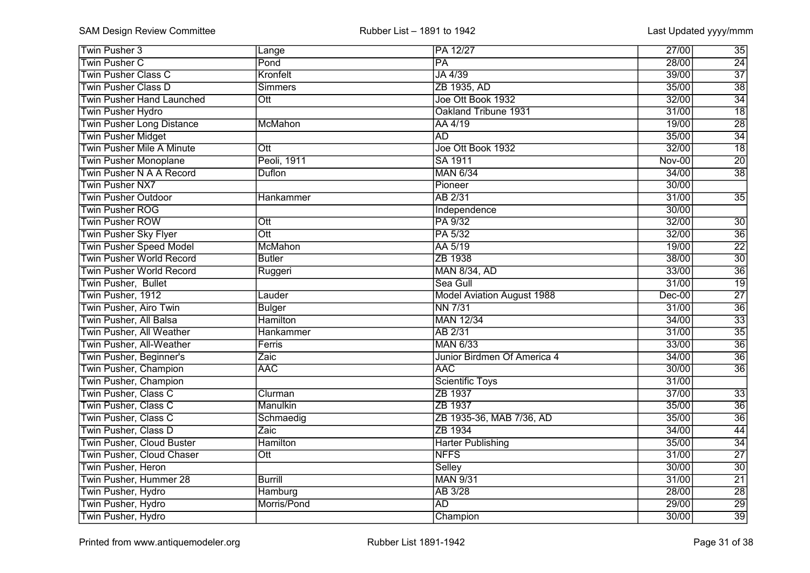| Twin Pusher 3                    | Lange                   | PA 12/27                          | 27/00         | 35              |
|----------------------------------|-------------------------|-----------------------------------|---------------|-----------------|
| Twin Pusher C                    | Pond                    | PA                                | 28/00         | 24              |
| <b>Twin Pusher Class C</b>       | Kronfelt                | JA 4/39                           | 39/00         | $\overline{37}$ |
| <b>Twin Pusher Class D</b>       | <b>Simmers</b>          | ZB 1935, AD                       | 35/00         | $\overline{38}$ |
| <b>Twin Pusher Hand Launched</b> | Ott                     | Joe Ott Book 1932                 | 32/00         | $\overline{34}$ |
| <b>Twin Pusher Hydro</b>         |                         | Oakland Tribune 1931              | 31/00         | $\overline{18}$ |
| <b>Twin Pusher Long Distance</b> | McMahon                 | AA 4/19                           | 19/00         | $\overline{28}$ |
| <b>Twin Pusher Midget</b>        |                         | <b>AD</b>                         | 35/00         | $\overline{34}$ |
| <b>Twin Pusher Mile A Minute</b> | $\overline{\text{Out}}$ | Joe Ott Book 1932                 | 32/00         | $\overline{18}$ |
| <b>Twin Pusher Monoplane</b>     | Peoli, 1911             | SA 1911                           | <b>Nov-00</b> | $\overline{20}$ |
| Twin Pusher N A A Record         | <b>Duflon</b>           | <b>MAN 6/34</b>                   | 34/00         | $\overline{38}$ |
| Twin Pusher NX7                  |                         | Pioneer                           | 30/00         |                 |
| <b>Twin Pusher Outdoor</b>       | Hankammer               | AB 2/31                           | 31/00         | $\overline{35}$ |
| <b>Twin Pusher ROG</b>           |                         | Independence                      | 30/00         |                 |
| <b>Twin Pusher ROW</b>           | $\overline{Ott}$        | PA 9/32                           | 32/00         | $\overline{30}$ |
| <b>Twin Pusher Sky Flyer</b>     | $\overline{\text{Ott}}$ | PA 5/32                           | 32/00         | $\overline{36}$ |
| <b>Twin Pusher Speed Model</b>   | McMahon                 | AA 5/19                           | 19/00         | $\overline{22}$ |
| <b>Twin Pusher World Record</b>  | Butler                  | ZB 1938                           | 38/00         | $\overline{30}$ |
| <b>Twin Pusher World Record</b>  | Ruggeri                 | <b>MAN 8/34, AD</b>               | 33/00         | $\overline{36}$ |
| Twin Pusher, Bullet              |                         | Sea Gull                          | 31/00         | $\overline{19}$ |
| Twin Pusher, 1912                | Lauder                  | <b>Model Aviation August 1988</b> | $Dec-00$      | $\overline{27}$ |
| Twin Pusher, Airo Twin           | <b>Bulger</b>           | <b>NN 7/31</b>                    | 31/00         | $\overline{36}$ |
| Twin Pusher, All Balsa           | <b>Hamilton</b>         | <b>MAN 12/34</b>                  | 34/00         | $\overline{33}$ |
| Twin Pusher, All Weather         | Hankammer               | AB 2/31                           | 31/00         | $\overline{35}$ |
| Twin Pusher, All-Weather         | Ferris                  | <b>MAN 6/33</b>                   | 33/00         | $\overline{36}$ |
| Twin Pusher, Beginner's          | Zaic                    | Junior Birdmen Of America 4       | 34/00         | $\overline{36}$ |
| Twin Pusher, Champion            | <b>AAC</b>              | <b>AAC</b>                        | 30/00         | $\overline{36}$ |
| Twin Pusher, Champion            |                         | Scientific Toys                   | 31/00         |                 |
| Twin Pusher, Class C             | Clurman                 | ZB 1937                           | 37/00         | $\overline{33}$ |
| Twin Pusher, Class C             | Manulkin                | ZB 1937                           | 35/00         | $\overline{36}$ |
| Twin Pusher, Class C             | Schmaedig               | ZB 1935-36, MAB 7/36, AD          | 35/00         | $\overline{36}$ |
| Twin Pusher, Class D             | Zaic                    | ZB 1934                           | 34/00         | $\overline{44}$ |
| Twin Pusher, Cloud Buster        | <b>Hamilton</b>         | <b>Harter Publishing</b>          | 35/00         | $\overline{34}$ |
| Twin Pusher, Cloud Chaser        | $\overline{\text{Out}}$ | <b>NFFS</b>                       | 31/00         | $\overline{27}$ |
| Twin Pusher, Heron               |                         | Selley                            | 30/00         | $\overline{30}$ |
| Twin Pusher, Hummer 28           | <b>Burrill</b>          | <b>MAN 9/31</b>                   | 31/00         | $\overline{21}$ |
| Twin Pusher, Hydro               | Hamburg                 | AB 3/28                           | 28/00         | 28              |
| Twin Pusher, Hydro               | Morris/Pond             | <b>AD</b>                         | 29/00         | 29              |
| Twin Pusher, Hydro               |                         | Champion                          | 30/00         | $\overline{39}$ |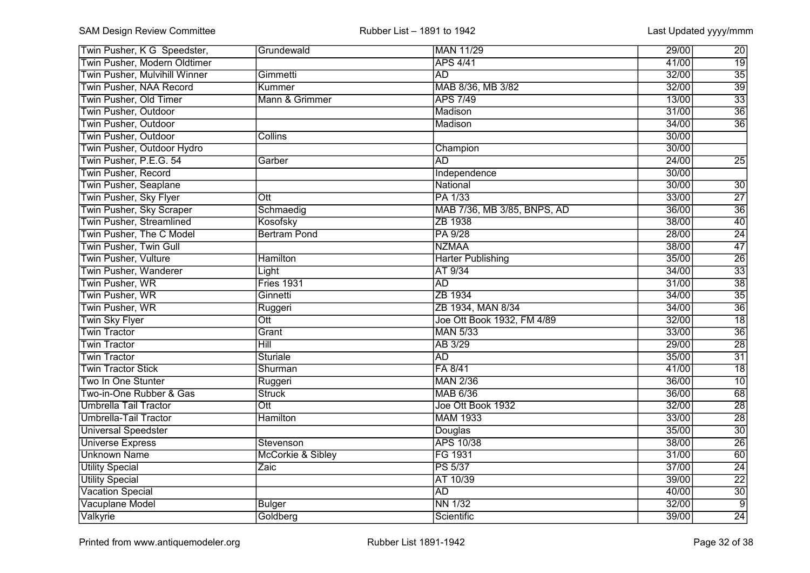| Twin Pusher, K G Speedster,     | Grundewald                   | MAN 11/29                   | 29/00 | 20              |
|---------------------------------|------------------------------|-----------------------------|-------|-----------------|
| Twin Pusher, Modern Oldtimer    |                              | <b>APS 4/41</b>             | 41/00 | $\overline{19}$ |
| Twin Pusher, Mulvihill Winner   | Gimmetti                     | AD                          | 32/00 | $\overline{35}$ |
| <b>Twin Pusher, NAA Record</b>  | Kummer                       | MAB 8/36, MB 3/82           | 32/00 | $\overline{39}$ |
| Twin Pusher, Old Timer          | Mann & Grimmer               | <b>APS 7/49</b>             | 13/00 | $\overline{33}$ |
| <b>Twin Pusher, Outdoor</b>     |                              | Madison                     | 31/00 | $\overline{36}$ |
| <b>Twin Pusher, Outdoor</b>     |                              | Madison                     | 34/00 | $\overline{36}$ |
| <b>Twin Pusher, Outdoor</b>     | <b>Collins</b>               |                             | 30/00 |                 |
| Twin Pusher, Outdoor Hydro      |                              | Champion                    | 30/00 |                 |
| Twin Pusher, P.E.G. 54          | Garber                       | $\overline{AD}$             | 24/00 | $\overline{25}$ |
| <b>Twin Pusher, Record</b>      |                              | Independence                | 30/00 |                 |
| <b>Twin Pusher, Seaplane</b>    |                              | National                    | 30/00 | $\overline{30}$ |
| Twin Pusher, Sky Flyer          | $\overline{\text{Out}}$      | PA 1/33                     | 33/00 | $\overline{27}$ |
| <b>Twin Pusher, Sky Scraper</b> | Schmaedig                    | MAB 7/36, MB 3/85, BNPS, AD | 36/00 | $\overline{36}$ |
| <b>Twin Pusher, Streamlined</b> | Kosofsky                     | ZB 1938                     | 38/00 | 40              |
| Twin Pusher, The C Model        | <b>Bertram Pond</b>          | PA 9/28                     | 28/00 | $\overline{24}$ |
| Twin Pusher, Twin Gull          |                              | <b>NZMAA</b>                | 38/00 | 47              |
| Twin Pusher, Vulture            | <b>Hamilton</b>              | <b>Harter Publishing</b>    | 35/00 | 26              |
| Twin Pusher, Wanderer           | Light                        | AT 9/34                     | 34/00 | $\overline{33}$ |
| Twin Pusher, WR                 | <b>Fries 1931</b>            | <b>AD</b>                   | 31/00 | $\overline{38}$ |
| Twin Pusher, WR                 | Ginnetti                     | ZB 1934                     | 34/00 | $\overline{35}$ |
| Twin Pusher, WR                 | Ruggeri                      | ZB 1934, MAN 8/34           | 34/00 | $\overline{36}$ |
| <b>Twin Sky Flyer</b>           | Ott                          | Joe Ott Book 1932, FM 4/89  | 32/00 | $\overline{18}$ |
| <b>Twin Tractor</b>             | Grant                        | <b>MAN 5/33</b>             | 33/00 | $\overline{36}$ |
| <b>Twin Tractor</b>             | $\overline{Hill}$            | AB 3/29                     | 29/00 | $\overline{28}$ |
| <b>Twin Tractor</b>             | Sturiale                     | $\overline{AD}$             | 35/00 | $\overline{31}$ |
| <b>Twin Tractor Stick</b>       | Shurman                      | FA 8/41                     | 41/00 | $\overline{18}$ |
| Two In One Stunter              | Ruggeri                      | <b>MAN 2/36</b>             | 36/00 | $\overline{10}$ |
| Two-in-One Rubber & Gas         | <b>Struck</b>                | <b>MAB 6/36</b>             | 36/00 | 68              |
| <b>Umbrella Tail Tractor</b>    | $\overline{Ott}$             | Joe Ott Book 1932           | 32/00 | $\overline{28}$ |
| Umbrella-Tail Tractor           | Hamilton                     | <b>MAM 1933</b>             | 33/00 | $\overline{28}$ |
| <b>Universal Speedster</b>      |                              | Douglas                     | 35/00 | $\overline{30}$ |
| <b>Universe Express</b>         | Stevenson                    | <b>APS 10/38</b>            | 38/00 | $\overline{26}$ |
| <b>Unknown Name</b>             | <b>McCorkie &amp; Sibley</b> | FG 1931                     | 31/00 | 60              |
| <b>Utility Special</b>          | Zaic                         | <b>PS 5/37</b>              | 37/00 | $\overline{24}$ |
| <b>Utility Special</b>          |                              | AT 10/39                    | 39/00 | $\overline{22}$ |
| <b>Vacation Special</b>         |                              | <b>AD</b>                   | 40/00 | $\overline{30}$ |
| Vacuplane Model                 | <b>Bulger</b>                | <b>NN 1/32</b>              | 32/00 | $\overline{9}$  |
| Valkyrie                        | Goldberg                     | Scientific                  | 39/00 | 24              |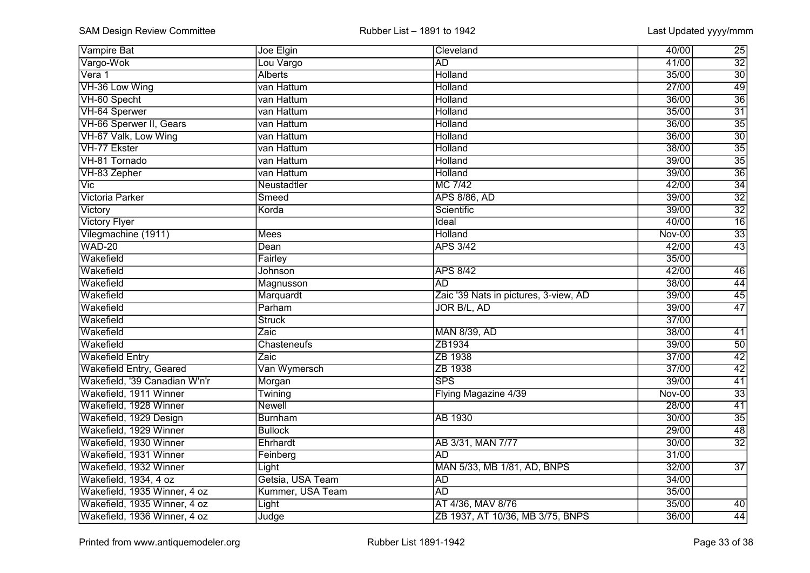| <b>Vampire Bat</b>             | Joe Elgin        | Cleveland                             | 40/00         | 25              |
|--------------------------------|------------------|---------------------------------------|---------------|-----------------|
| Vargo-Wok                      | Lou Vargo        | <b>AD</b>                             | 41/00         | $\overline{32}$ |
| Vera 1                         | <b>Alberts</b>   | Holland                               | 35/00         | $\overline{30}$ |
| VH-36 Low Wing                 | van Hattum       | Holland                               | 27/00         | $\overline{49}$ |
| VH-60 Specht                   | van Hattum       | Holland                               | 36/00         | $\overline{36}$ |
| VH-64 Sperwer                  | van Hattum       | Holland                               | 35/00         | $\overline{31}$ |
| VH-66 Sperwer II, Gears        | van Hattum       | Holland                               | 36/00         | $\overline{35}$ |
| VH-67 Valk, Low Wing           | van Hattum       | <b>Holland</b>                        | 36/00         | $\overline{30}$ |
| VH-77 Ekster                   | van Hattum       | <b>Holland</b>                        | 38/00         | $\overline{35}$ |
| VH-81 Tornado                  | van Hattum       | <b>Holland</b>                        | 39/00         | $\overline{35}$ |
| VH-83 Zepher                   | van Hattum       | <b>Holland</b>                        | 39/00         | $\overline{36}$ |
| Vic                            | Neustadtler      | <b>MC 7/42</b>                        | 42/00         | $\overline{34}$ |
| <b>Victoria Parker</b>         | Smeed            | <b>APS 8/86, AD</b>                   | 39/00         | $\overline{32}$ |
| Victory                        | Korda            | Scientific                            | 39/00         | $\overline{32}$ |
| <b>Victory Flyer</b>           |                  | Ideal                                 | 40/00         | $\overline{16}$ |
| Vilegmachine (1911)            | <b>Mees</b>      | Holland                               | <b>Nov-00</b> | $\overline{33}$ |
| <b>WAD-20</b>                  | Dean             | <b>APS 3/42</b>                       | 42/00         | 43              |
| Wakefield                      | Fairley          |                                       | 35/00         |                 |
| Wakefield                      | Johnson          | <b>APS 8/42</b>                       | 42/00         | 46              |
| Wakefield                      | Magnusson        | <b>AD</b>                             | 38/00         | 44              |
| Wakefield                      | Marquardt        | Zaic '39 Nats in pictures, 3-view, AD | 39/00         | 45              |
| Wakefield                      | Parham           | JOR B/L, AD                           | 39/00         | $\overline{47}$ |
| Wakefield                      | <b>Struck</b>    |                                       | 37/00         |                 |
| Wakefield                      | Zaic             | <b>MAN 8/39, AD</b>                   | 38/00         | 41              |
| Wakefield                      | Chasteneufs      | ZB1934                                | 39/00         | $\overline{50}$ |
| <b>Wakefield Entry</b>         | Zaic             | ZB 1938                               | 37/00         | $\overline{42}$ |
| <b>Wakefield Entry, Geared</b> | Van Wymersch     | ZB 1938                               | 37/00         | $\overline{42}$ |
| Wakefield, '39 Canadian W'n'r  | Morgan           | $\overline{\text{SPS}}$               | 39/00         | $\overline{41}$ |
| Wakefield, 1911 Winner         | Twining          | Flying Magazine 4/39                  | <b>Nov-00</b> | $\overline{33}$ |
| Wakefield, 1928 Winner         | <b>Newell</b>    |                                       | 28/00         | $\overline{41}$ |
| Wakefield, 1929 Design         | <b>Burnham</b>   | <b>AB 1930</b>                        | 30/00         | $\overline{35}$ |
| Wakefield, 1929 Winner         | <b>Bullock</b>   |                                       | 29/00         | 48              |
| Wakefield, 1930 Winner         | Ehrhardt         | AB 3/31, MAN 7/77                     | 30/00         | $\overline{32}$ |
| Wakefield, 1931 Winner         | Feinberg         | <b>AD</b>                             | 31/00         |                 |
| Wakefield, 1932 Winner         | Light            | MAN 5/33, MB 1/81, AD, BNPS           | 32/00         | $\overline{37}$ |
| Wakefield, 1934, 4 oz          | Getsia, USA Team | <b>AD</b>                             | 34/00         |                 |
| Wakefield, 1935 Winner, 4 oz   | Kummer, USA Team | <b>AD</b>                             | 35/00         |                 |
| Wakefield, 1935 Winner, 4 oz   | Light            | AT 4/36, MAV 8/76                     | 35/00         | 40              |
| Wakefield, 1936 Winner, 4 oz   | Judge            | ZB 1937, AT 10/36, MB 3/75, BNPS      | 36/00         | 44              |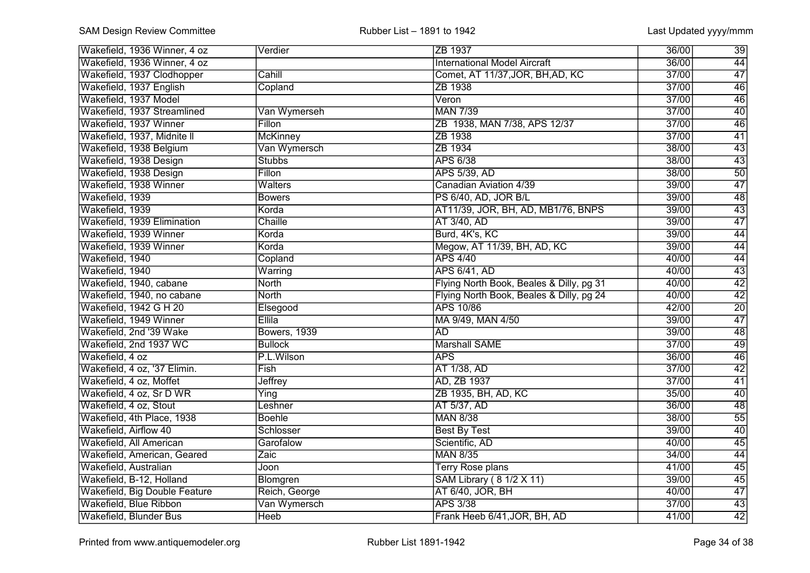| Wakefield, 1936 Winner, 4 oz  | Verdier         | ZB 1937                                  | 36/00 | 39              |
|-------------------------------|-----------------|------------------------------------------|-------|-----------------|
| Wakefield, 1936 Winner, 4 oz  |                 | <b>International Model Aircraft</b>      | 36/00 | 44              |
| Wakefield, 1937 Clodhopper    | Cahill          | Comet, AT 11/37, JOR, BH, AD, KC         | 37/00 | 47              |
| Wakefield, 1937 English       | Copland         | ZB 1938                                  | 37/00 | $\overline{46}$ |
| Wakefield, 1937 Model         |                 | Veron                                    | 37/00 | $\overline{46}$ |
| Wakefield, 1937 Streamlined   | Van Wymerseh    | <b>MAN 7/39</b>                          | 37/00 | 40              |
| Wakefield, 1937 Winner        | Fillon          | ZB 1938, MAN 7/38, APS 12/37             | 37/00 | $\overline{46}$ |
| Wakefield, 1937, Midnite II   | <b>McKinney</b> | ZB 1938                                  | 37/00 | $\overline{41}$ |
| Wakefield, 1938 Belgium       | Van Wymersch    | ZB 1934                                  | 38/00 | $\overline{43}$ |
| Wakefield, 1938 Design        | <b>Stubbs</b>   | <b>APS 6/38</b>                          | 38/00 | $\overline{43}$ |
| Wakefield, 1938 Design        | Fillon          | APS 5/39, AD                             | 38/00 | 50              |
| Wakefield, 1938 Winner        | <b>Walters</b>  | Canadian Aviation 4/39                   | 39/00 | $\overline{47}$ |
| Wakefield, 1939               | <b>Bowers</b>   | PS 6/40, AD, JOR B/L                     | 39/00 | $\overline{48}$ |
| Wakefield, 1939               | Korda           | AT11/39, JOR, BH, AD, MB1/76, BNPS       | 39/00 | $\overline{43}$ |
| Wakefield, 1939 Elimination   | Chaille         | AT 3/40, AD                              | 39/00 | 47              |
| Wakefield, 1939 Winner        | Korda           | Burd, 4K's, KC                           | 39/00 | 44              |
| Wakefield, 1939 Winner        | Korda           | Megow, AT 11/39, BH, AD, KC              | 39/00 | 44              |
| Wakefield, 1940               | Copland         | <b>APS 4/40</b>                          | 40/00 | 44              |
| Wakefield, 1940               | Warring         | <b>APS 6/41, AD</b>                      | 40/00 | 43              |
| Wakefield, 1940, cabane       | <b>North</b>    | Flying North Book, Beales & Dilly, pg 31 | 40/00 | 42              |
| Wakefield, 1940, no cabane    | <b>North</b>    | Flying North Book, Beales & Dilly, pg 24 | 40/00 | 42              |
| Wakefield, 1942 G H 20        | Elsegood        | <b>APS 10/86</b>                         | 42/00 | $\overline{20}$ |
| Wakefield, 1949 Winner        | Ellila          | MA 9/49, MAN 4/50                        | 39/00 | 47              |
| Wakefield, 2nd '39 Wake       | Bowers, 1939    | <b>AD</b>                                | 39/00 | 48              |
| Wakefield, 2nd 1937 WC        | <b>Bullock</b>  | <b>Marshall SAME</b>                     | 37/00 | $\overline{49}$ |
| Wakefield, 4 oz               | P.L.Wilson      | <b>APS</b>                               | 36/00 | 46              |
| Wakefield, 4 oz, '37 Elimin.  | Fish            | AT 1/38, AD                              | 37/00 | $\overline{42}$ |
| Wakefield, 4 oz, Moffet       | <b>Jeffrey</b>  | AD, ZB 1937                              | 37/00 | $\overline{41}$ |
| Wakefield, 4 oz, Sr D WR      | Ying            | ZB 1935, BH, AD, KC                      | 35/00 | $\overline{40}$ |
| Wakefield, 4 oz, Stout        | Leshner         | AT 5/37, AD                              | 36/00 | $\overline{48}$ |
| Wakefield, 4th Place, 1938    | <b>Boehle</b>   | <b>MAN 8/38</b>                          | 38/00 | $\overline{55}$ |
| Wakefield, Airflow 40         | Schlosser       | <b>Best By Test</b>                      | 39/00 | $\overline{40}$ |
| Wakefield, All American       | Garofalow       | Scientific, AD                           | 40/00 | 45              |
| Wakefield, American, Geared   | Zaic            | <b>MAN 8/35</b>                          | 34/00 | 44              |
| Wakefield, Australian         | Joon            | <b>Terry Rose plans</b>                  | 41/00 | 45              |
| Wakefield, B-12, Holland      | Blomgren        | SAM Library (8 1/2 X 11)                 | 39/00 | 45              |
| Wakefield, Big Double Feature | Reich, George   | AT 6/40, JOR, BH                         | 40/00 | 47              |
| Wakefield, Blue Ribbon        | Van Wymersch    | <b>APS 3/38</b>                          | 37/00 | 43              |
| Wakefield, Blunder Bus        | <b>Heeb</b>     | Frank Heeb 6/41, JOR, BH, AD             | 41/00 | 42              |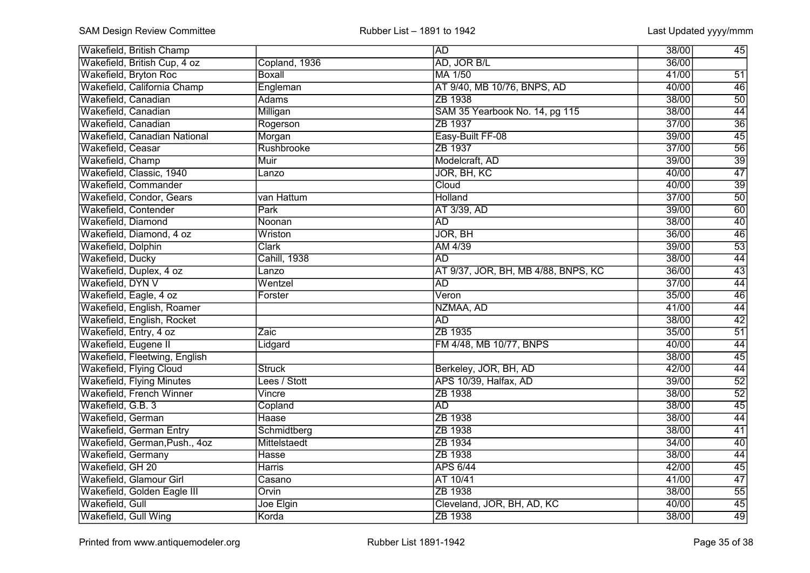| <b>Wakefield, British Champ</b>  |                     | <b>AD</b>                           | 38/00 | 45              |
|----------------------------------|---------------------|-------------------------------------|-------|-----------------|
| Wakefield, British Cup, 4 oz     | Copland, 1936       | AD, JOR B/L                         | 36/00 |                 |
| Wakefield, Bryton Roc            | <b>Boxall</b>       | MA 1/50                             | 41/00 | 51              |
| Wakefield, California Champ      | Engleman            | AT 9/40, MB 10/76, BNPS, AD         | 40/00 | 46              |
| Wakefield, Canadian              | <b>Adams</b>        | ZB 1938                             | 38/00 | $\overline{50}$ |
| Wakefield, Canadian              | Milligan            | SAM 35 Yearbook No. 14, pg 115      | 38/00 | $\overline{44}$ |
| Wakefield, Canadian              | Rogerson            | ZB 1937                             | 37/00 | $\overline{36}$ |
| Wakefield, Canadian National     | Morgan              | Easy-Built FF-08                    | 39/00 | $\overline{45}$ |
| Wakefield, Ceasar                | Rushbrooke          | ZB 1937                             | 37/00 | $\overline{56}$ |
| Wakefield, Champ                 | <b>Muir</b>         | Modelcraft, AD                      | 39/00 | $\overline{39}$ |
| Wakefield, Classic, 1940         | Lanzo               | JOR, BH, KC                         | 40/00 | $\overline{47}$ |
| Wakefield, Commander             |                     | Cloud                               | 40/00 | $\overline{39}$ |
| Wakefield, Condor, Gears         | van Hattum          | <b>Holland</b>                      | 37/00 | $\overline{50}$ |
| Wakefield, Contender             | Park                | AT 3/39, AD                         | 39/00 | 60              |
| Wakefield, Diamond               | Noonan              | <b>AD</b>                           | 38/00 | 40              |
| Wakefield, Diamond, 4 oz         | Wriston             | JOR, BH                             | 36/00 | $\overline{46}$ |
| Wakefield, Dolphin               | <b>Clark</b>        | AM 4/39                             | 39/00 | 53              |
| Wakefield, Ducky                 | <b>Cahill, 1938</b> | <b>AD</b>                           | 38/00 | 44              |
| Wakefield, Duplex, 4 oz          | Lanzo               | AT 9/37, JOR, BH, MB 4/88, BNPS, KC | 36/00 | 43              |
| Wakefield, DYN V                 | Wentzel             | <b>AD</b>                           | 37/00 | 44              |
| Wakefield, Eagle, 4 oz           | Forster             | Veron                               | 35/00 | $\overline{46}$ |
| Wakefield, English, Roamer       |                     | NZMAA, AD                           | 41/00 | 44              |
| Wakefield, English, Rocket       |                     | <b>AD</b>                           | 38/00 | 42              |
| Wakefield, Entry, 4 oz           | Zaic                | ZB 1935                             | 35/00 | 51              |
| Wakefield, Eugene II             | Lidgard             | FM 4/48, MB 10/77, BNPS             | 40/00 | $\overline{44}$ |
| Wakefield, Fleetwing, English    |                     |                                     | 38/00 | $\overline{45}$ |
| Wakefield, Flying Cloud          | <b>Struck</b>       | Berkeley, JOR, BH, AD               | 42/00 | $\overline{44}$ |
| <b>Wakefield, Flying Minutes</b> | Lees / Stott        | APS 10/39, Halfax, AD               | 39/00 | $\overline{52}$ |
| Wakefield, French Winner         | Vincre              | ZB 1938                             | 38/00 | $\overline{52}$ |
| Wakefield, G.B. 3                | Copland             | <b>AD</b>                           | 38/00 | $\overline{45}$ |
| Wakefield, German                | <b>Haase</b>        | ZB 1938                             | 38/00 | $\overline{44}$ |
| Wakefield, German Entry          | Schmidtberg         | ZB 1938                             | 38/00 | $\overline{41}$ |
| Wakefield, German, Push., 4oz    | Mittelstaedt        | ZB 1934                             | 34/00 | 40              |
| Wakefield, Germany               | <b>Hasse</b>        | ZB 1938                             | 38/00 | 44              |
| Wakefield, GH 20                 | <b>Harris</b>       | <b>APS 6/44</b>                     | 42/00 | 45              |
| Wakefield, Glamour Girl          | Casano              | AT 10/41                            | 41/00 | 47              |
| Wakefield, Golden Eagle III      | Orvin               | ZB 1938                             | 38/00 | 55              |
| Wakefield, Gull                  | Joe Elgin           | Cleveland, JOR, BH, AD, KC          | 40/00 | 45              |
| Wakefield, Gull Wing             | Korda               | ZB 1938                             | 38/00 | 49              |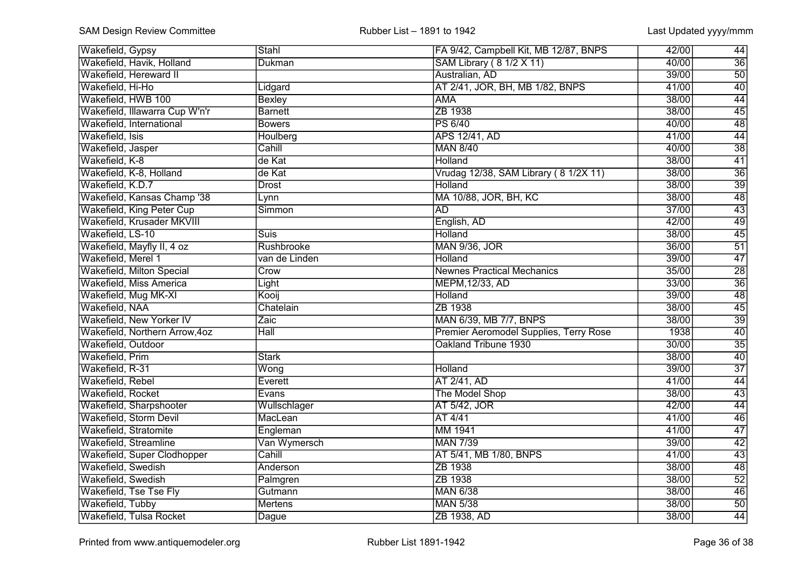| Wakefield, Gypsy               | Stahl          | FA 9/42, Campbell Kit, MB 12/87, BNPS  | 42/00 | 44              |
|--------------------------------|----------------|----------------------------------------|-------|-----------------|
| Wakefield, Havik, Holland      | <b>Dukman</b>  | SAM Library (8 1/2 X 11)               | 40/00 | $\overline{36}$ |
| Wakefield, Hereward II         |                | Australian, AD                         | 39/00 | $\overline{50}$ |
| Wakefield, Hi-Ho               | Lidgard        | AT 2/41, JOR, BH, MB 1/82, BNPS        | 41/00 | $\overline{40}$ |
| Wakefield, HWB 100             | <b>Bexley</b>  | <b>AMA</b>                             | 38/00 | 44              |
| Wakefield, Illawarra Cup W'n'r | <b>Barnett</b> | ZB 1938                                | 38/00 | $\overline{45}$ |
| Wakefield, International       | <b>Bowers</b>  | <b>PS 6/40</b>                         | 40/00 | $\overline{48}$ |
| Wakefield, Isis                | Houlberg       | <b>APS 12/41, AD</b>                   | 41/00 | $\overline{44}$ |
| Wakefield, Jasper              | Cahill         | <b>MAN 8/40</b>                        | 40/00 | $\overline{38}$ |
| Wakefield, K-8                 | de Kat         | <b>Holland</b>                         | 38/00 | $\overline{41}$ |
| Wakefield, K-8, Holland        | de Kat         | Vrudag 12/38, SAM Library (8 1/2X 11)  | 38/00 | $\overline{36}$ |
| Wakefield, K.D.7               | <b>Drost</b>   | <b>Holland</b>                         | 38/00 | $\overline{39}$ |
| Wakefield, Kansas Champ '38    | Lynn           | MA 10/88, JOR, BH, KC                  | 38/00 | $\overline{48}$ |
| Wakefield, King Peter Cup      | Simmon         | <b>AD</b>                              | 37/00 | 43              |
| Wakefield, Krusader MKVIII     |                | English, AD                            | 42/00 | 49              |
| Wakefield, LS-10               | <b>Suis</b>    | Holland                                | 38/00 | $\overline{45}$ |
| Wakefield, Mayfly II, 4 oz     | Rushbrooke     | <b>MAN 9/36, JOR</b>                   | 36/00 | 51              |
| Wakefield, Merel 1             | van de Linden  | Holland                                | 39/00 | 47              |
| Wakefield, Milton Special      | Crow           | <b>Newnes Practical Mechanics</b>      | 35/00 | 28              |
| Wakefield, Miss America        | Light          | MEPM, 12/33, AD                        | 33/00 | 36              |
| Wakefield, Mug MK-XI           | Kooij          | Holland                                | 39/00 | $\overline{48}$ |
| Wakefield, NAA                 | Chatelain      | ZB 1938                                | 38/00 | $\overline{45}$ |
| Wakefield, New Yorker IV       | Zaic           | MAN 6/39, MB 7/7, BNPS                 | 38/00 | $\overline{39}$ |
| Wakefield, Northern Arrow, 4oz | Hall           | Premier Aeromodel Supplies, Terry Rose | 1938  | $\overline{40}$ |
| Wakefield, Outdoor             |                | Oakland Tribune 1930                   | 30/00 | $\overline{35}$ |
| Wakefield, Prim                | <b>Stark</b>   |                                        | 38/00 | $\overline{40}$ |
| Wakefield, R-31                | Wong           | Holland                                | 39/00 | $\overline{37}$ |
| Wakefield, Rebel               | Everett        | AT 2/41, AD                            | 41/00 | $\overline{44}$ |
| Wakefield, Rocket              | Evans          | The Model Shop                         | 38/00 | $\overline{43}$ |
| Wakefield, Sharpshooter        | Wullschlager   | AT 5/42, JOR                           | 42/00 | $\overline{44}$ |
| Wakefield, Storm Devil         | MacLean        | AT 4/41                                | 41/00 | 46              |
| Wakefield, Stratomite          | Engleman       | MM 1941                                | 41/00 | 47              |
| Wakefield, Streamline          | Van Wymersch   | <b>MAN 7/39</b>                        | 39/00 | 42              |
| Wakefield, Super Clodhopper    | Cahill         | AT 5/41, MB 1/80, BNPS                 | 41/00 | $\overline{43}$ |
| Wakefield, Swedish             | Anderson       | ZB 1938                                | 38/00 | 48              |
| Wakefield, Swedish             | Palmgren       | ZB 1938                                | 38/00 | 52              |
| Wakefield, Tse Tse Fly         | Gutmann        | <b>MAN 6/38</b>                        | 38/00 | 46              |
| Wakefield, Tubby               | <b>Mertens</b> | <b>MAN 5/38</b>                        | 38/00 | 50              |
| Wakefield, Tulsa Rocket        | Dague          | ZB 1938, AD                            | 38/00 | 44              |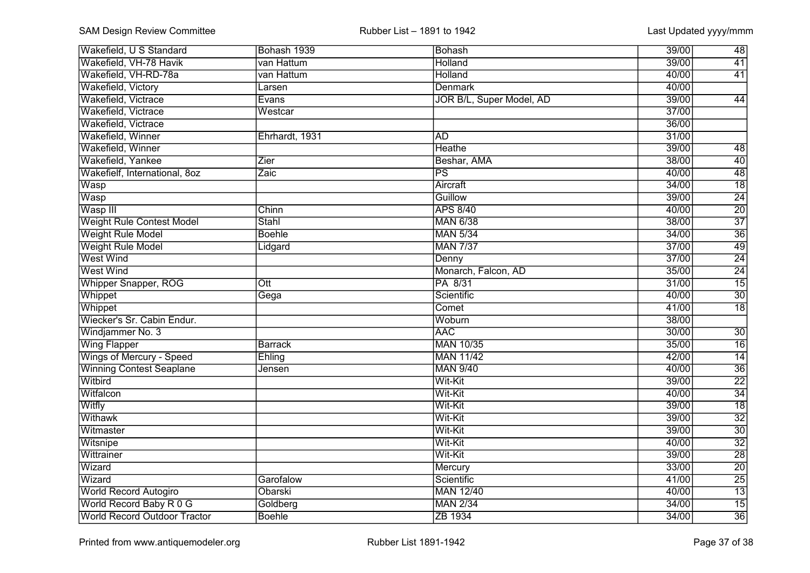| Wakefield, U S Standard             | Bohash 1939    | Bohash                   | 39/00 | 48              |
|-------------------------------------|----------------|--------------------------|-------|-----------------|
| Wakefield, VH-78 Havik              | van Hattum     | <b>Holland</b>           | 39/00 | 41              |
| Wakefield, VH-RD-78a                | van Hattum     | Holland                  | 40/00 | 41              |
| Wakefield, Victory                  | Larsen         | <b>Denmark</b>           | 40/00 |                 |
| Wakefield, Victrace                 | Evans          | JOR B/L, Super Model, AD | 39/00 | 44              |
| Wakefield, Victrace                 | Westcar        |                          | 37/00 |                 |
| Wakefield, Victrace                 |                |                          | 36/00 |                 |
| Wakefield, Winner                   | Ehrhardt, 1931 | <b>AD</b>                | 31/00 |                 |
| Wakefield, Winner                   |                | <b>Heathe</b>            | 39/00 | $\overline{48}$ |
| Wakefield, Yankee                   | Zier           | Beshar, AMA              | 38/00 | $\overline{40}$ |
| Wakefielf, International, 8oz       | Zaic           | $\overline{\mathsf{PS}}$ | 40/00 | 48              |
| Wasp                                |                | Aircraft                 | 34/00 | $\overline{18}$ |
| Wasp                                |                | Guillow                  | 39/00 | $\overline{24}$ |
| Wasp III                            | Chinn          | <b>APS 8/40</b>          | 40/00 | $\overline{20}$ |
| <b>Weight Rule Contest Model</b>    | Stahl          | <b>MAN 6/38</b>          | 38/00 | $\overline{37}$ |
| <b>Weight Rule Model</b>            | <b>Boehle</b>  | <b>MAN 5/34</b>          | 34/00 | $\overline{36}$ |
| <b>Weight Rule Model</b>            | Lidgard        | <b>MAN 7/37</b>          | 37/00 | 49              |
| <b>West Wind</b>                    |                | Denny                    | 37/00 | 24              |
| <b>West Wind</b>                    |                | Monarch, Falcon, AD      | 35/00 | $\overline{24}$ |
| Whipper Snapper, ROG                | Ott            | PA 8/31                  | 31/00 | 15              |
| Whippet                             | Gega           | Scientific               | 40/00 | $\overline{30}$ |
| Whippet                             |                | Comet                    | 41/00 | $\overline{18}$ |
| Wiecker's Sr. Cabin Endur.          |                | Woburn                   | 38/00 |                 |
| Windjammer No. 3                    |                | <b>AAC</b>               | 30/00 | $\overline{30}$ |
| <b>Wing Flapper</b>                 | <b>Barrack</b> | <b>MAN 10/35</b>         | 35/00 | $\overline{16}$ |
| Wings of Mercury - Speed            | Ehling         | <b>MAN 11/42</b>         | 42/00 | $\overline{14}$ |
| <b>Winning Contest Seaplane</b>     | Jensen         | <b>MAN 9/40</b>          | 40/00 | $\overline{36}$ |
| Witbird                             |                | Wit-Kit                  | 39/00 | $\overline{22}$ |
| Witfalcon                           |                | Wit-Kit                  | 40/00 | $\overline{34}$ |
| Witfly                              |                | Wit-Kit                  | 39/00 | $\overline{18}$ |
| Withawk                             |                | Wit-Kit                  | 39/00 | $\overline{32}$ |
| Witmaster                           |                | Wit-Kit                  | 39/00 | $\overline{30}$ |
| Witsnipe                            |                | Wit-Kit                  | 40/00 | $\overline{32}$ |
| Wittrainer                          |                | Wit-Kit                  | 39/00 | $\overline{28}$ |
| Wizard                              |                | Mercury                  | 33/00 | $\overline{20}$ |
| Wizard                              | Garofalow      | Scientific               | 41/00 | $\overline{25}$ |
| World Record Autogiro               | Obarski        | <b>MAN 12/40</b>         | 40/00 | $\overline{13}$ |
| World Record Baby R 0 G             | Goldberg       | <b>MAN 2/34</b>          | 34/00 | $\overline{15}$ |
| <b>World Record Outdoor Tractor</b> | <b>Boehle</b>  | ZB 1934                  | 34/00 | $\overline{36}$ |